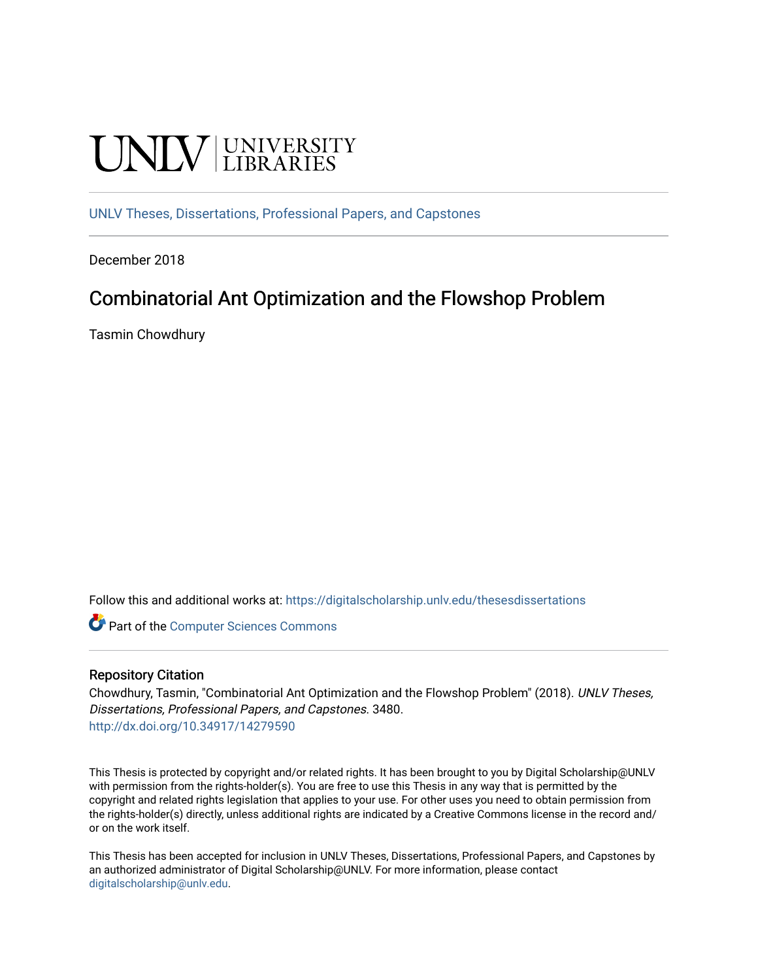# UNIV UNIVERSITY

[UNLV Theses, Dissertations, Professional Papers, and Capstones](https://digitalscholarship.unlv.edu/thesesdissertations)

December 2018

### Combinatorial Ant Optimization and the Flowshop Problem

Tasmin Chowdhury

Follow this and additional works at: [https://digitalscholarship.unlv.edu/thesesdissertations](https://digitalscholarship.unlv.edu/thesesdissertations?utm_source=digitalscholarship.unlv.edu%2Fthesesdissertations%2F3480&utm_medium=PDF&utm_campaign=PDFCoverPages)

**C** Part of the [Computer Sciences Commons](http://network.bepress.com/hgg/discipline/142?utm_source=digitalscholarship.unlv.edu%2Fthesesdissertations%2F3480&utm_medium=PDF&utm_campaign=PDFCoverPages)

#### Repository Citation

Chowdhury, Tasmin, "Combinatorial Ant Optimization and the Flowshop Problem" (2018). UNLV Theses, Dissertations, Professional Papers, and Capstones. 3480. <http://dx.doi.org/10.34917/14279590>

This Thesis is protected by copyright and/or related rights. It has been brought to you by Digital Scholarship@UNLV with permission from the rights-holder(s). You are free to use this Thesis in any way that is permitted by the copyright and related rights legislation that applies to your use. For other uses you need to obtain permission from the rights-holder(s) directly, unless additional rights are indicated by a Creative Commons license in the record and/ or on the work itself.

This Thesis has been accepted for inclusion in UNLV Theses, Dissertations, Professional Papers, and Capstones by an authorized administrator of Digital Scholarship@UNLV. For more information, please contact [digitalscholarship@unlv.edu](mailto:digitalscholarship@unlv.edu).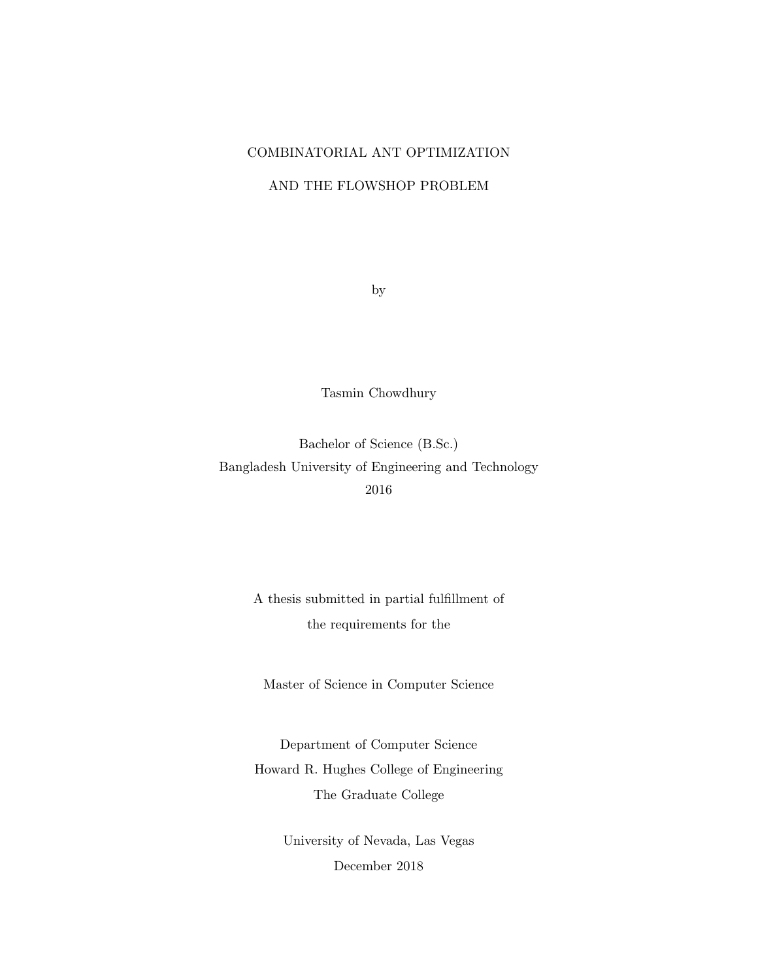#### COMBINATORIAL ANT OPTIMIZATION

#### AND THE FLOWSHOP PROBLEM

by

Tasmin Chowdhury

Bachelor of Science (B.Sc.) Bangladesh University of Engineering and Technology 2016

> A thesis submitted in partial fulfillment of the requirements for the

Master of Science in Computer Science

Department of Computer Science Howard R. Hughes College of Engineering The Graduate College

> University of Nevada, Las Vegas December 2018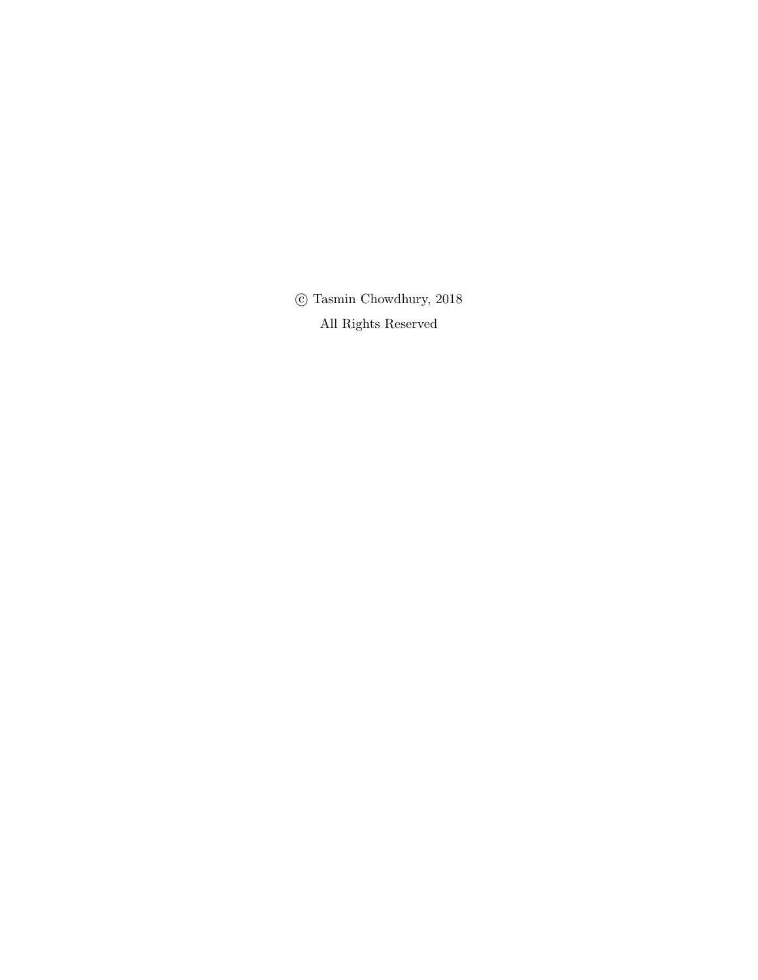$\odot$  Tasmin Chowdhury, 2018 All Rights Reserved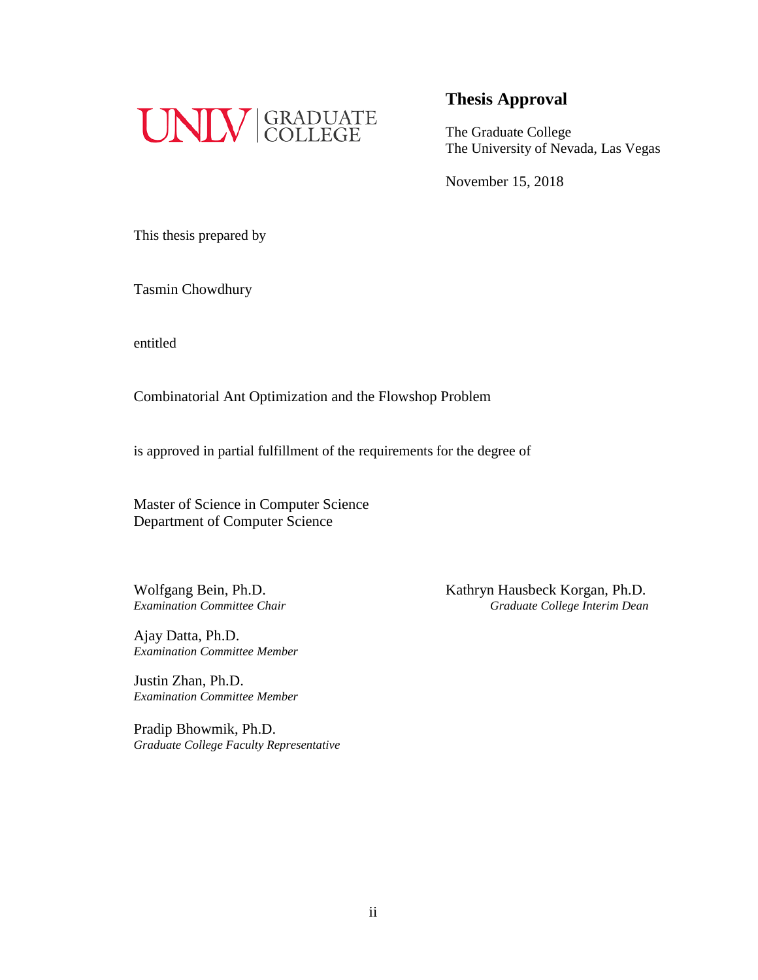

The Graduate College The University of Nevada, Las Vegas

November 15, 2018

This thesis prepared by

Tasmin Chowdhury

entitled

Combinatorial Ant Optimization and the Flowshop Problem

is approved in partial fulfillment of the requirements for the degree of

Master of Science in Computer Science Department of Computer Science

Ajay Datta, Ph.D. *Examination Committee Member*

Justin Zhan, Ph.D. *Examination Committee Member*

Pradip Bhowmik, Ph.D. *Graduate College Faculty Representative*

Wolfgang Bein, Ph.D.<br>
Examination Committee Chair<br>
Graduate College Interim Dean *Examination Committee Chair Graduate College Interim Dean*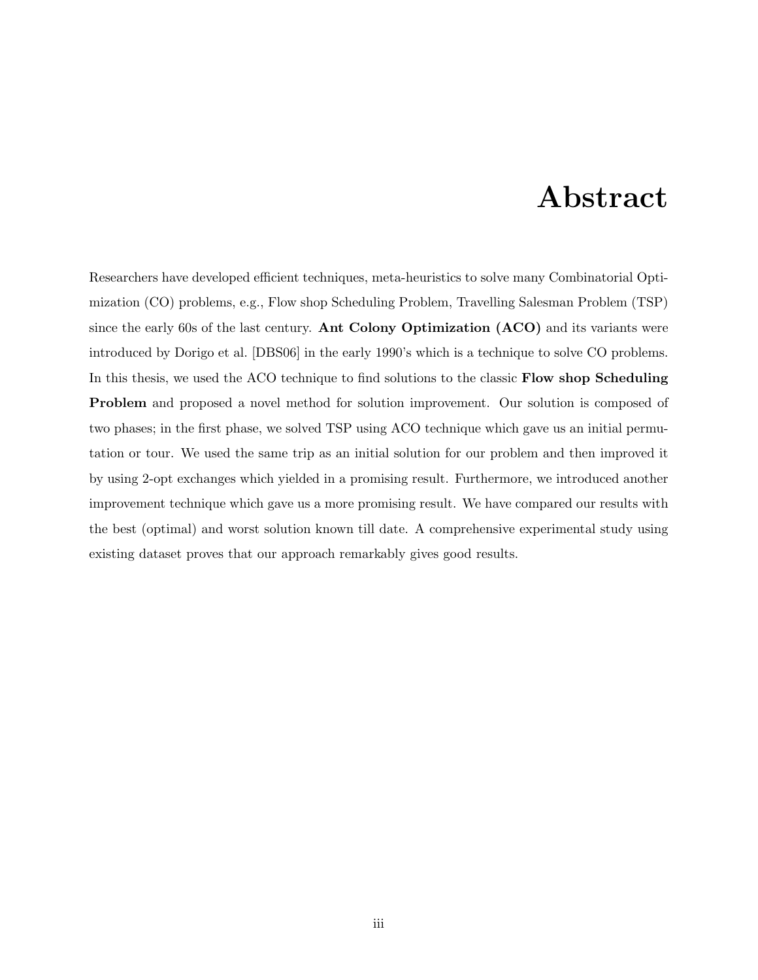### Abstract

Researchers have developed efficient techniques, meta-heuristics to solve many Combinatorial Optimization (CO) problems, e.g., Flow shop Scheduling Problem, Travelling Salesman Problem (TSP) since the early 60s of the last century. Ant Colony Optimization (ACO) and its variants were introduced by Dorigo et al. [DBS06] in the early 1990's which is a technique to solve CO problems. In this thesis, we used the ACO technique to find solutions to the classic **Flow shop Scheduling** Problem and proposed a novel method for solution improvement. Our solution is composed of two phases; in the first phase, we solved TSP using ACO technique which gave us an initial permutation or tour. We used the same trip as an initial solution for our problem and then improved it by using 2-opt exchanges which yielded in a promising result. Furthermore, we introduced another improvement technique which gave us a more promising result. We have compared our results with the best (optimal) and worst solution known till date. A comprehensive experimental study using existing dataset proves that our approach remarkably gives good results.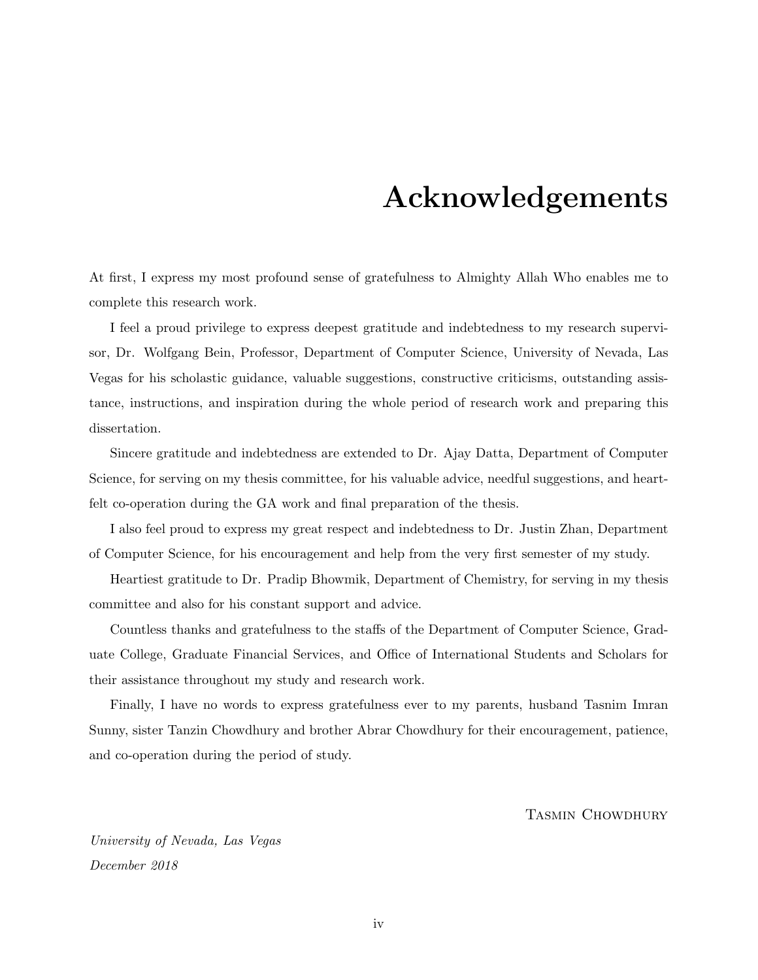### Acknowledgements

At first, I express my most profound sense of gratefulness to Almighty Allah Who enables me to complete this research work.

I feel a proud privilege to express deepest gratitude and indebtedness to my research supervisor, Dr. Wolfgang Bein, Professor, Department of Computer Science, University of Nevada, Las Vegas for his scholastic guidance, valuable suggestions, constructive criticisms, outstanding assistance, instructions, and inspiration during the whole period of research work and preparing this dissertation.

Sincere gratitude and indebtedness are extended to Dr. Ajay Datta, Department of Computer Science, for serving on my thesis committee, for his valuable advice, needful suggestions, and heartfelt co-operation during the GA work and final preparation of the thesis.

I also feel proud to express my great respect and indebtedness to Dr. Justin Zhan, Department of Computer Science, for his encouragement and help from the very first semester of my study.

Heartiest gratitude to Dr. Pradip Bhowmik, Department of Chemistry, for serving in my thesis committee and also for his constant support and advice.

Countless thanks and gratefulness to the staffs of the Department of Computer Science, Graduate College, Graduate Financial Services, and Office of International Students and Scholars for their assistance throughout my study and research work.

Finally, I have no words to express gratefulness ever to my parents, husband Tasnim Imran Sunny, sister Tanzin Chowdhury and brother Abrar Chowdhury for their encouragement, patience, and co-operation during the period of study.

#### Tasmin Chowdhury

University of Nevada, Las Vegas December 2018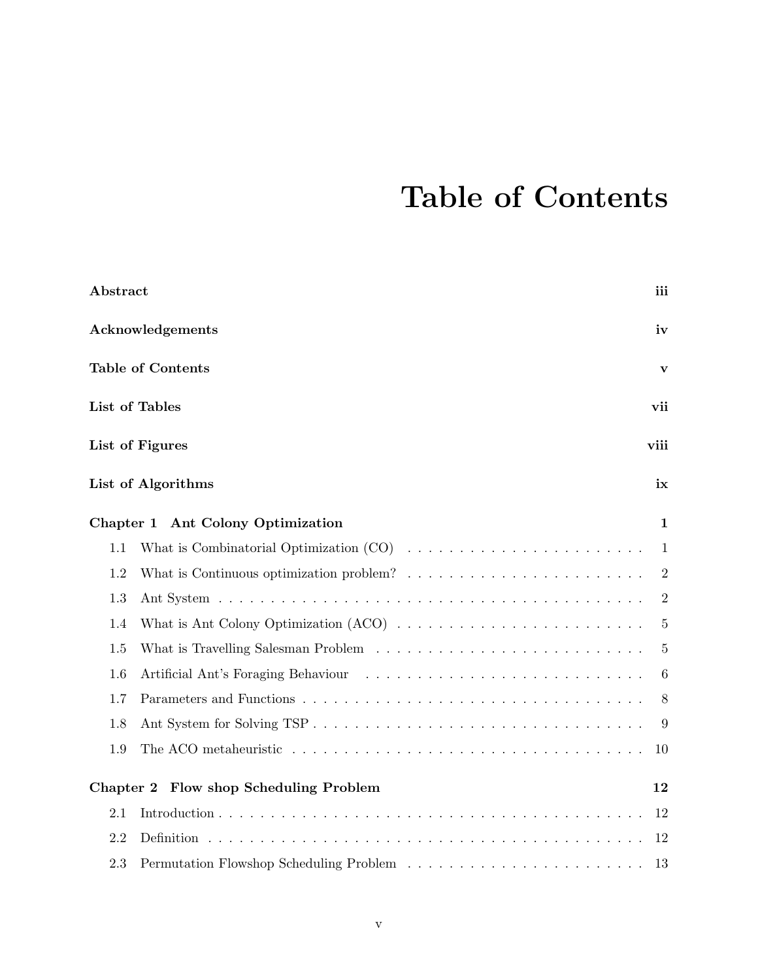### Table of Contents

| Abstract                                                                                                  | iii            |
|-----------------------------------------------------------------------------------------------------------|----------------|
| Acknowledgements                                                                                          | iv             |
| <b>Table of Contents</b>                                                                                  | $\mathbf{V}$   |
| List of Tables                                                                                            | vii            |
| List of Figures                                                                                           | viii           |
| List of Algorithms                                                                                        | ix             |
| Chapter 1 Ant Colony Optimization                                                                         | 1              |
| 1.1                                                                                                       | 1              |
| What is Continuous optimization problem? $\ldots \ldots \ldots \ldots \ldots \ldots \ldots \ldots$<br>1.2 | $\overline{2}$ |
| 1.3                                                                                                       | $\overline{2}$ |
| 1.4                                                                                                       | $\overline{5}$ |
| 1.5                                                                                                       | 5              |
| 1.6                                                                                                       | 6              |
| 1.7                                                                                                       | 8              |
| 1.8                                                                                                       | 9              |
| 1.9                                                                                                       | 10             |
| Flow shop Scheduling Problem<br>Chapter 2                                                                 | 12             |
| 2.1                                                                                                       | 12             |
| 2.2                                                                                                       | 12             |
| 2.3                                                                                                       | 13             |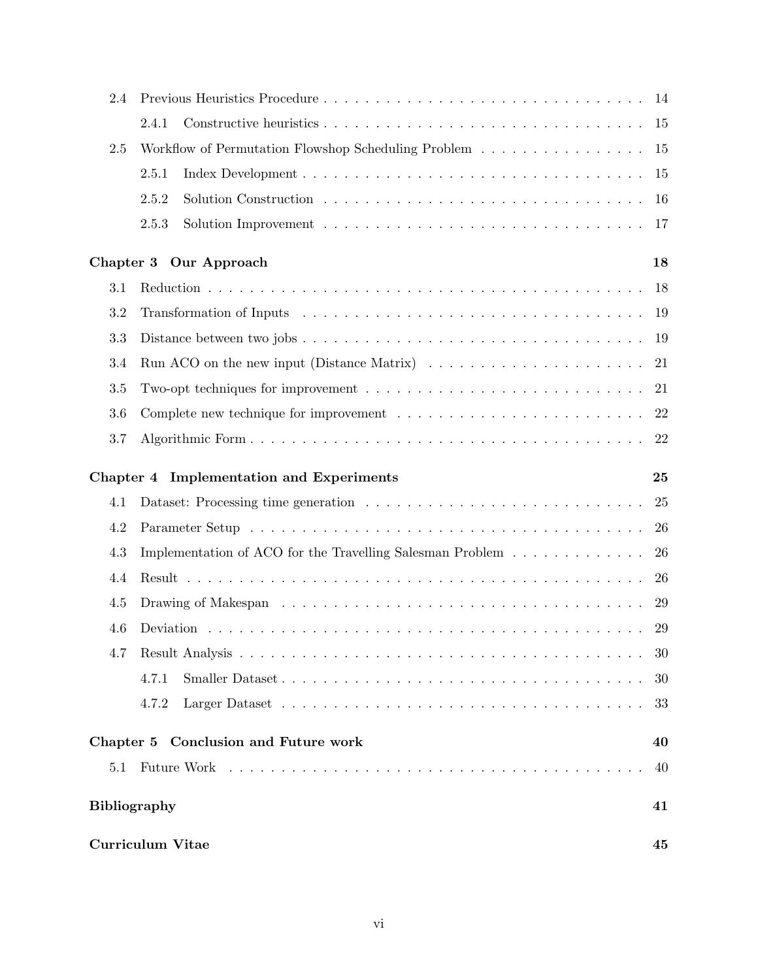| 2.4                 |                                                                                              |    |
|---------------------|----------------------------------------------------------------------------------------------|----|
|                     | 2.4.1                                                                                        |    |
| 2.5                 | Workflow of Permutation Flowshop Scheduling Problem                                          | 15 |
|                     | 2.5.1                                                                                        | 15 |
|                     | 2.5.2                                                                                        | 16 |
|                     | 2.5.3                                                                                        | 17 |
|                     | Chapter 3 Our Approach                                                                       | 18 |
| 3.1                 |                                                                                              | 18 |
| 3.2                 |                                                                                              | 19 |
| $\!3.3$             |                                                                                              | 19 |
| 3.4                 | Run ACO on the new input (Distance Matrix) $\dots \dots \dots \dots \dots \dots \dots \dots$ | 21 |
| 3.5                 |                                                                                              | 21 |
| 3.6                 |                                                                                              |    |
| 3.7                 |                                                                                              | 22 |
|                     | Chapter 4 Implementation and Experiments                                                     | 25 |
| 4.1                 |                                                                                              | 25 |
| 4.2                 |                                                                                              | 26 |
| 4.3                 | Implementation of ACO for the Travelling Salesman Problem                                    | 26 |
| 4.4                 |                                                                                              | 26 |
| 4.5                 |                                                                                              | 29 |
| 4.6                 |                                                                                              |    |
| 4.7                 |                                                                                              | 30 |
|                     | 4.7.1                                                                                        | 30 |
|                     | 4.7.2                                                                                        | 33 |
|                     | Chapter 5 Conclusion and Future work                                                         | 40 |
| 5.1                 |                                                                                              | 40 |
| <b>Bibliography</b> |                                                                                              | 41 |
|                     | <b>Curriculum Vitae</b>                                                                      | 45 |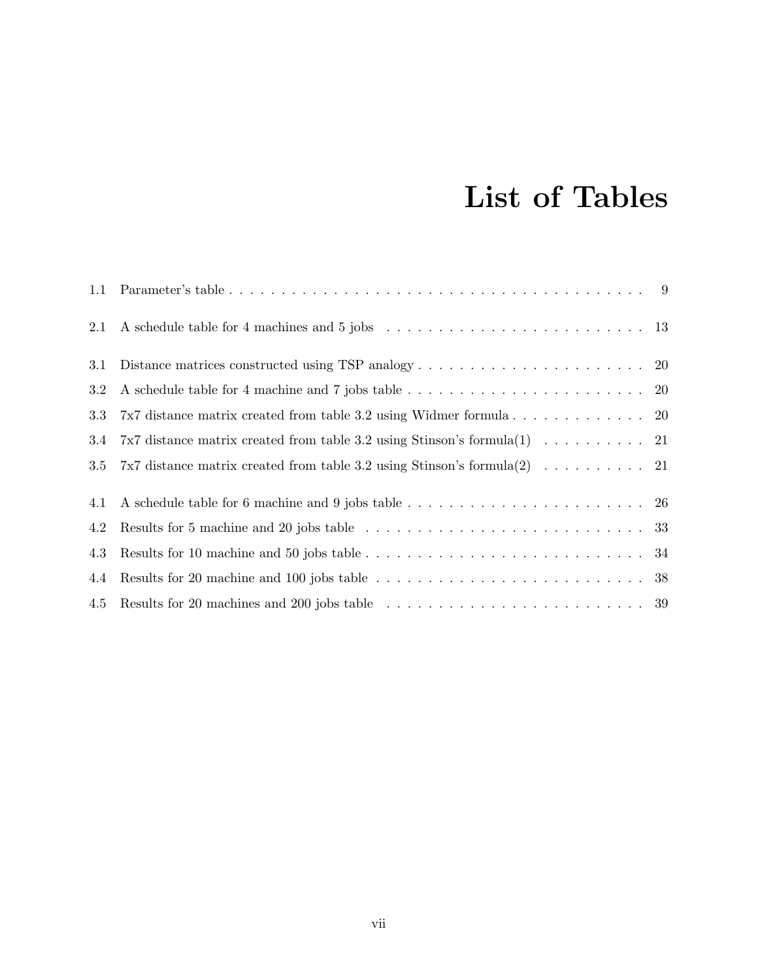### List of Tables

| 1.1 |                                                                                                                       |  |
|-----|-----------------------------------------------------------------------------------------------------------------------|--|
| 2.1 |                                                                                                                       |  |
| 3.1 | Distance matrices constructed using TSP analogy $\dots \dots \dots \dots \dots \dots \dots \dots \dots$ 20            |  |
| 3.2 |                                                                                                                       |  |
| 3.3 |                                                                                                                       |  |
| 3.4 | 7x7 distance matrix created from table 3.2 using Stinson's formula(1) $\ldots \ldots \ldots$ 21                       |  |
| 3.5 | 7x7 distance matrix created from table 3.2 using Stinson's formula(2) $\ldots \ldots \ldots$ 21                       |  |
| 4.1 |                                                                                                                       |  |
| 4.2 | Results for 5 machine and 20 jobs table $\ldots \ldots \ldots \ldots \ldots \ldots \ldots \ldots \ldots \ldots 33$    |  |
| 4.3 |                                                                                                                       |  |
| 4.4 | Results for 20 machine and 100 jobs table $\ldots \ldots \ldots \ldots \ldots \ldots \ldots \ldots \ldots 38$         |  |
| 4.5 | Results for 20 machines and 200 jobs table $\ldots \ldots \ldots \ldots \ldots \ldots \ldots \ldots \ldots \ldots$ 39 |  |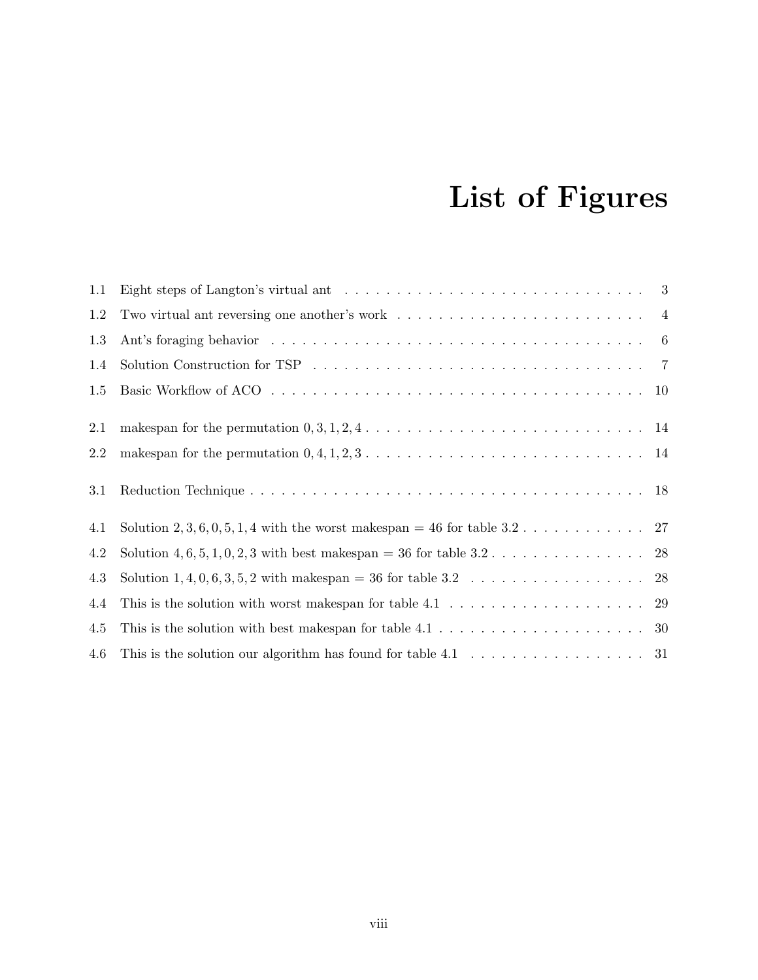## List of Figures

| $1.1\,$ | Eight steps of Langton's virtual ant $\dots \dots \dots \dots \dots \dots \dots \dots \dots \dots \dots \dots$      |  |
|---------|---------------------------------------------------------------------------------------------------------------------|--|
| 1.2     | Two virtual ant reversing one another's work $\dots \dots \dots \dots \dots \dots \dots \dots \dots \dots$          |  |
| $1.3\,$ |                                                                                                                     |  |
| 1.4     | Solution Construction for TSP $\ldots \ldots \ldots \ldots \ldots \ldots \ldots \ldots \ldots \ldots \ldots \ldots$ |  |
| 1.5     |                                                                                                                     |  |
| 2.1     | makespan for the permutation $0, 3, 1, 2, 4, \ldots, \ldots, \ldots, \ldots, \ldots, \ldots, \ldots, 14$            |  |
| 2.2     | makespan for the permutation $0, 4, 1, 2, 3, \ldots, \ldots, \ldots, \ldots, \ldots, \ldots, \ldots, \ldots, 14$    |  |
| 3.1     |                                                                                                                     |  |
| 4.1     | Solution 2, 3, 6, 0, 5, 1, 4 with the worst makespan = 46 for table 3.2 27                                          |  |
| 4.2     |                                                                                                                     |  |
| 4.3     |                                                                                                                     |  |
| 4.4     | This is the solution with worst makespan for table $4.1 \ldots \ldots \ldots \ldots \ldots \ldots \ldots 29$        |  |
| 4.5     |                                                                                                                     |  |
| 4.6     | This is the solution our algorithm has found for table $4.1 \ldots \ldots \ldots \ldots \ldots \ldots 31$           |  |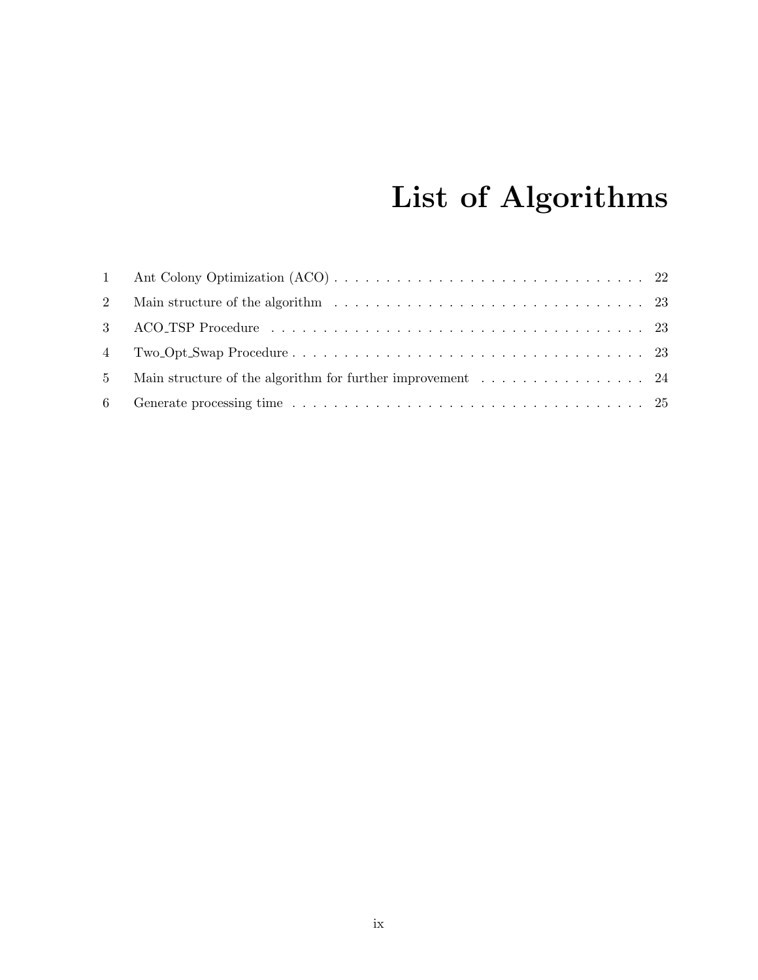## List of Algorithms

| 2              |                                                                                                                            |  |
|----------------|----------------------------------------------------------------------------------------------------------------------------|--|
|                |                                                                                                                            |  |
|                |                                                                                                                            |  |
| 5 <sup>5</sup> | Main structure of the algorithm for further improvement $\dots \dots \dots \dots \dots \dots$ 24                           |  |
|                | 6 Generate processing time $\ldots \ldots \ldots \ldots \ldots \ldots \ldots \ldots \ldots \ldots \ldots \ldots \ldots 25$ |  |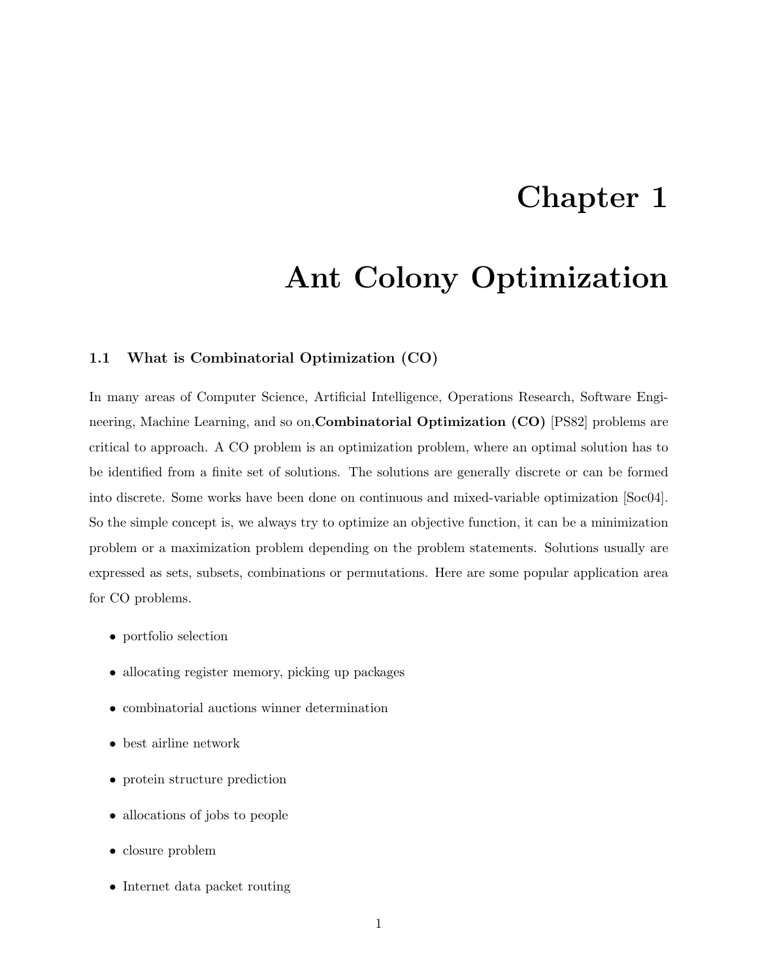### Chapter 1

### Ant Colony Optimization

#### 1.1 What is Combinatorial Optimization (CO)

In many areas of Computer Science, Artificial Intelligence, Operations Research, Software Engineering, Machine Learning, and so on,Combinatorial Optimization (CO) [PS82] problems are critical to approach. A CO problem is an optimization problem, where an optimal solution has to be identified from a finite set of solutions. The solutions are generally discrete or can be formed into discrete. Some works have been done on continuous and mixed-variable optimization [Soc04]. So the simple concept is, we always try to optimize an objective function, it can be a minimization problem or a maximization problem depending on the problem statements. Solutions usually are expressed as sets, subsets, combinations or permutations. Here are some popular application area for CO problems.

- portfolio selection
- allocating register memory, picking up packages
- $\bullet\,$  combinatorial auctions winner determination
- best airline network
- protein structure prediction
- allocations of jobs to people
- closure problem
- Internet data packet routing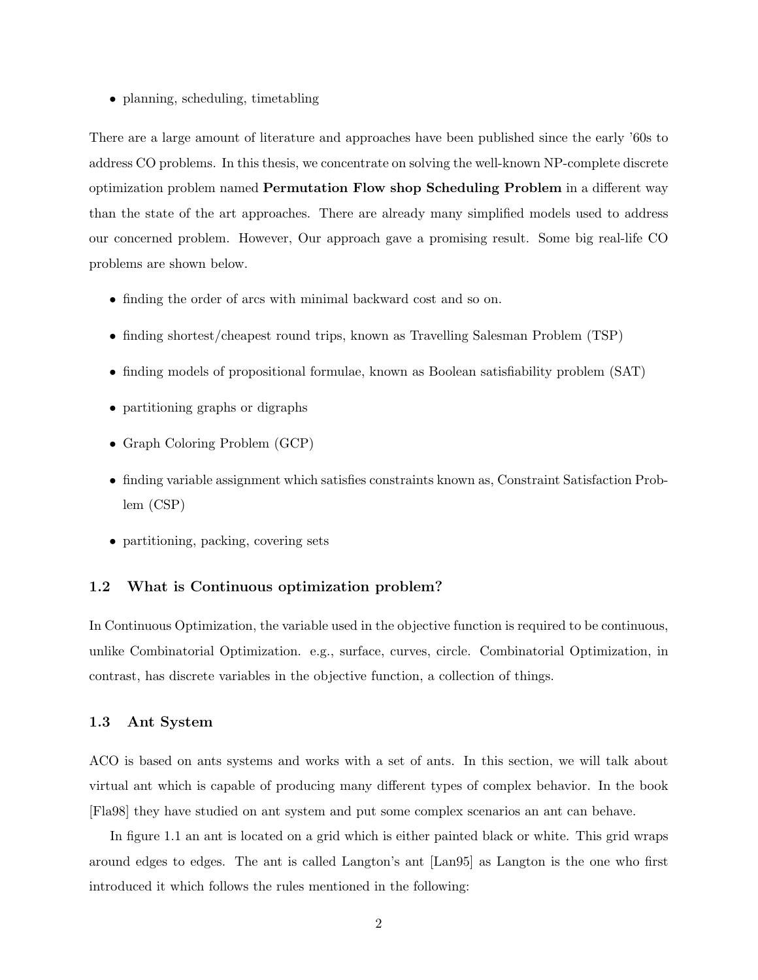• planning, scheduling, timetabling

There are a large amount of literature and approaches have been published since the early '60s to address CO problems. In this thesis, we concentrate on solving the well-known NP-complete discrete optimization problem named Permutation Flow shop Scheduling Problem in a different way than the state of the art approaches. There are already many simplified models used to address our concerned problem. However, Our approach gave a promising result. Some big real-life CO problems are shown below.

- finding the order of arcs with minimal backward cost and so on.
- finding shortest/cheapest round trips, known as Travelling Salesman Problem (TSP)
- finding models of propositional formulae, known as Boolean satisfiability problem (SAT)
- partitioning graphs or digraphs
- Graph Coloring Problem (GCP)
- finding variable assignment which satisfies constraints known as, Constraint Satisfaction Problem (CSP)
- partitioning, packing, covering sets

#### 1.2 What is Continuous optimization problem?

In Continuous Optimization, the variable used in the objective function is required to be continuous, unlike Combinatorial Optimization. e.g., surface, curves, circle. Combinatorial Optimization, in contrast, has discrete variables in the objective function, a collection of things.

#### 1.3 Ant System

ACO is based on ants systems and works with a set of ants. In this section, we will talk about virtual ant which is capable of producing many different types of complex behavior. In the book [Fla98] they have studied on ant system and put some complex scenarios an ant can behave.

In figure 1.1 an ant is located on a grid which is either painted black or white. This grid wraps around edges to edges. The ant is called Langton's ant [Lan95] as Langton is the one who first introduced it which follows the rules mentioned in the following: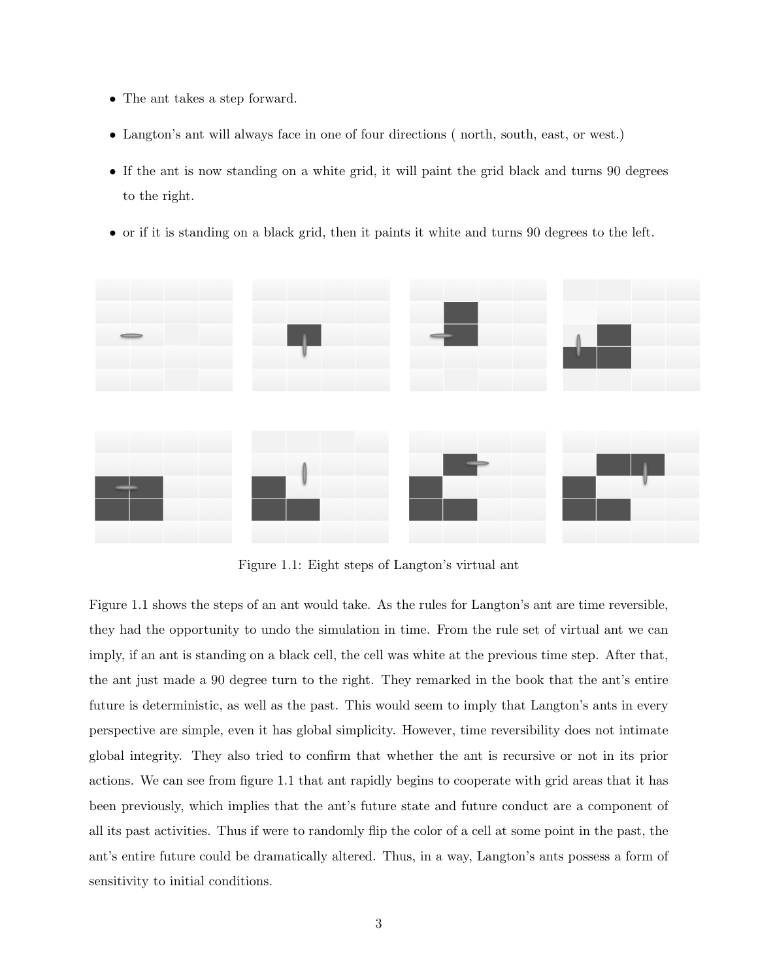- The ant takes a step forward.
- Langton's ant will always face in one of four directions ( north, south, east, or west.)
- If the ant is now standing on a white grid, it will paint the grid black and turns 90 degrees to the right.
- or if it is standing on a black grid, then it paints it white and turns 90 degrees to the left.



Figure 1.1: Eight steps of Langton's virtual ant

Figure 1.1 shows the steps of an ant would take. As the rules for Langton's ant are time reversible, they had the opportunity to undo the simulation in time. From the rule set of virtual ant we can imply, if an ant is standing on a black cell, the cell was white at the previous time step. After that, the ant just made a 90 degree turn to the right. They remarked in the book that the ant's entire future is deterministic, as well as the past. This would seem to imply that Langton's ants in every perspective are simple, even it has global simplicity. However, time reversibility does not intimate global integrity. They also tried to confirm that whether the ant is recursive or not in its prior actions. We can see from figure 1.1 that ant rapidly begins to cooperate with grid areas that it has been previously, which implies that the ant's future state and future conduct are a component of all its past activities. Thus if were to randomly flip the color of a cell at some point in the past, the ant's entire future could be dramatically altered. Thus, in a way, Langton's ants possess a form of sensitivity to initial conditions.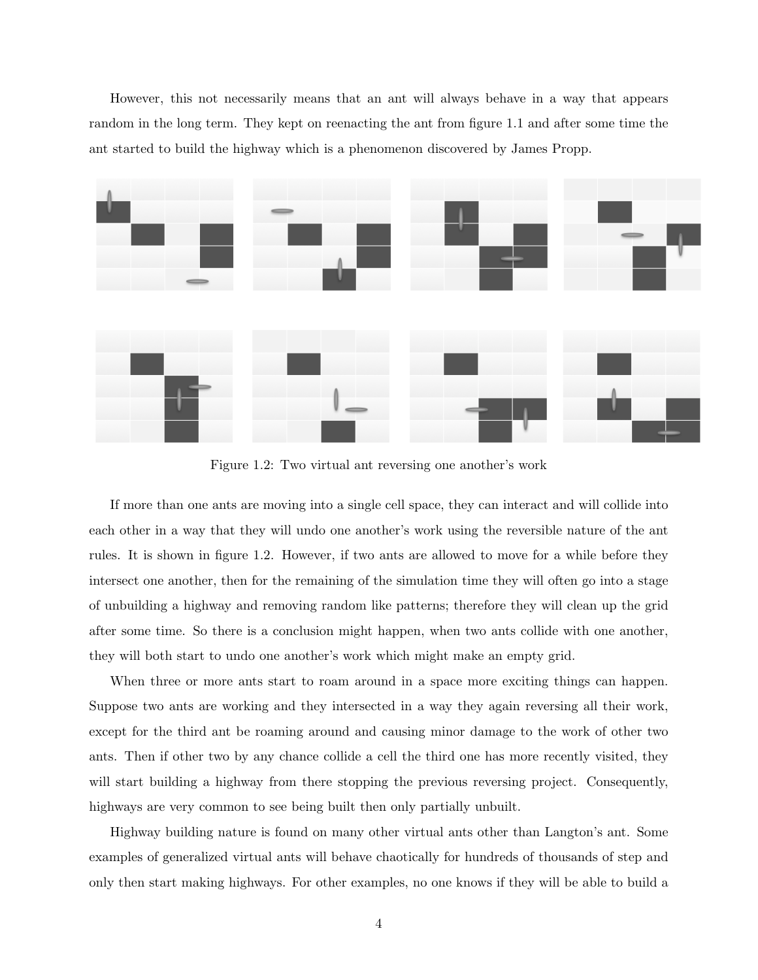However, this not necessarily means that an ant will always behave in a way that appears random in the long term. They kept on reenacting the ant from figure 1.1 and after some time the ant started to build the highway which is a phenomenon discovered by James Propp.



Figure 1.2: Two virtual ant reversing one another's work

If more than one ants are moving into a single cell space, they can interact and will collide into each other in a way that they will undo one another's work using the reversible nature of the ant rules. It is shown in figure 1.2. However, if two ants are allowed to move for a while before they intersect one another, then for the remaining of the simulation time they will often go into a stage of unbuilding a highway and removing random like patterns; therefore they will clean up the grid after some time. So there is a conclusion might happen, when two ants collide with one another, they will both start to undo one another's work which might make an empty grid.

When three or more ants start to roam around in a space more exciting things can happen. Suppose two ants are working and they intersected in a way they again reversing all their work, except for the third ant be roaming around and causing minor damage to the work of other two ants. Then if other two by any chance collide a cell the third one has more recently visited, they will start building a highway from there stopping the previous reversing project. Consequently, highways are very common to see being built then only partially unbuilt.

Highway building nature is found on many other virtual ants other than Langton's ant. Some examples of generalized virtual ants will behave chaotically for hundreds of thousands of step and only then start making highways. For other examples, no one knows if they will be able to build a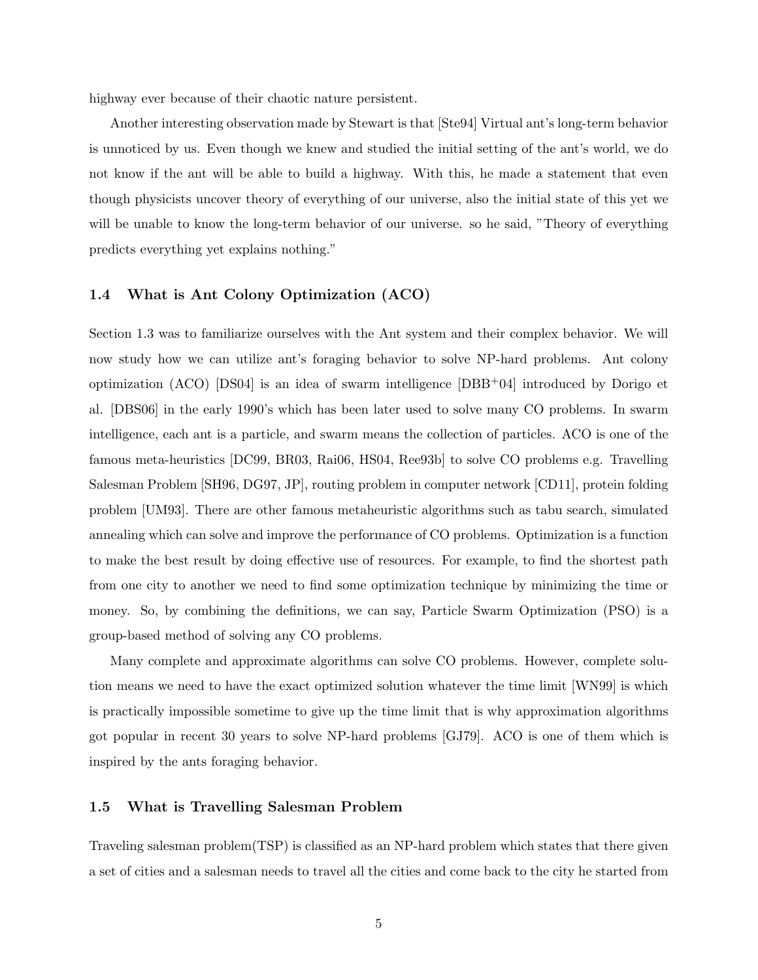highway ever because of their chaotic nature persistent.

Another interesting observation made by Stewart is that [Ste94] Virtual ant's long-term behavior is unnoticed by us. Even though we knew and studied the initial setting of the ant's world, we do not know if the ant will be able to build a highway. With this, he made a statement that even though physicists uncover theory of everything of our universe, also the initial state of this yet we will be unable to know the long-term behavior of our universe. so he said, "Theory of everything predicts everything yet explains nothing."

#### 1.4 What is Ant Colony Optimization (ACO)

Section 1.3 was to familiarize ourselves with the Ant system and their complex behavior. We will now study how we can utilize ant's foraging behavior to solve NP-hard problems. Ant colony optimization (ACO) [DS04] is an idea of swarm intelligence  $[DBB<sup>+</sup>04]$  introduced by Dorigo et al. [DBS06] in the early 1990's which has been later used to solve many CO problems. In swarm intelligence, each ant is a particle, and swarm means the collection of particles. ACO is one of the famous meta-heuristics [DC99, BR03, Rai06, HS04, Ree93b] to solve CO problems e.g. Travelling Salesman Problem [SH96, DG97, JP], routing problem in computer network [CD11], protein folding problem [UM93]. There are other famous metaheuristic algorithms such as tabu search, simulated annealing which can solve and improve the performance of CO problems. Optimization is a function to make the best result by doing effective use of resources. For example, to find the shortest path from one city to another we need to find some optimization technique by minimizing the time or money. So, by combining the definitions, we can say, Particle Swarm Optimization (PSO) is a group-based method of solving any CO problems.

Many complete and approximate algorithms can solve CO problems. However, complete solution means we need to have the exact optimized solution whatever the time limit [WN99] is which is practically impossible sometime to give up the time limit that is why approximation algorithms got popular in recent 30 years to solve NP-hard problems [GJ79]. ACO is one of them which is inspired by the ants foraging behavior.

#### 1.5 What is Travelling Salesman Problem

Traveling salesman problem(TSP) is classified as an NP-hard problem which states that there given a set of cities and a salesman needs to travel all the cities and come back to the city he started from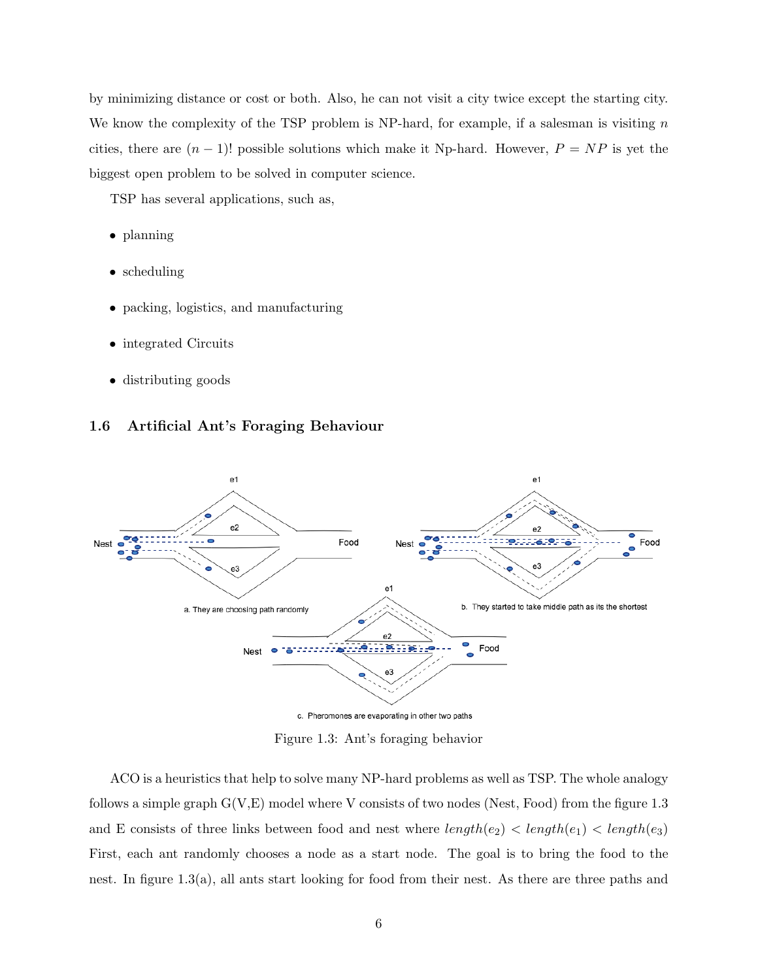by minimizing distance or cost or both. Also, he can not visit a city twice except the starting city. We know the complexity of the TSP problem is NP-hard, for example, if a salesman is visiting  $n$ cities, there are  $(n-1)!$  possible solutions which make it Np-hard. However,  $P = NP$  is yet the biggest open problem to be solved in computer science.

TSP has several applications, such as,

- planning
- scheduling
- packing, logistics, and manufacturing
- integrated Circuits
- distributing goods

#### 1.6 Artificial Ant's Foraging Behaviour



Figure 1.3: Ant's foraging behavior

ACO is a heuristics that help to solve many NP-hard problems as well as TSP. The whole analogy follows a simple graph  $G(V,E)$  model where V consists of two nodes (Nest, Food) from the figure 1.3 and E consists of three links between food and nest where  $length(e_2)$  <  $length(e_1)$  <  $length(e_3)$ First, each ant randomly chooses a node as a start node. The goal is to bring the food to the nest. In figure 1.3(a), all ants start looking for food from their nest. As there are three paths and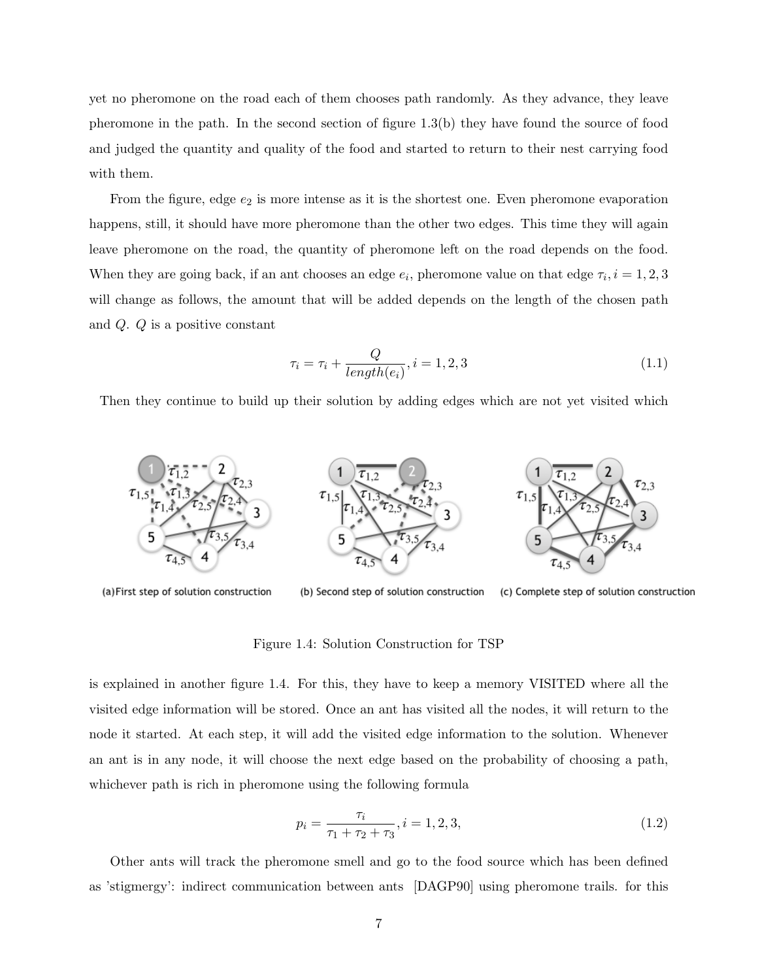yet no pheromone on the road each of them chooses path randomly. As they advance, they leave pheromone in the path. In the second section of figure 1.3(b) they have found the source of food and judged the quantity and quality of the food and started to return to their nest carrying food with them.

From the figure, edge  $e_2$  is more intense as it is the shortest one. Even pheromone evaporation happens, still, it should have more pheromone than the other two edges. This time they will again leave pheromone on the road, the quantity of pheromone left on the road depends on the food. When they are going back, if an ant chooses an edge  $e_i$ , pheromone value on that edge  $\tau_i$ ,  $i = 1, 2, 3$ will change as follows, the amount that will be added depends on the length of the chosen path and Q. Q is a positive constant

$$
\tau_i = \tau_i + \frac{Q}{length(e_i)}, i = 1, 2, 3
$$
\n(1.1)

Then they continue to build up their solution by adding edges which are not yet visited which



(a) First step of solution construction

(b) Second step of solution construction (c) Complete step of solution construction

Figure 1.4: Solution Construction for TSP

is explained in another figure 1.4. For this, they have to keep a memory VISITED where all the visited edge information will be stored. Once an ant has visited all the nodes, it will return to the node it started. At each step, it will add the visited edge information to the solution. Whenever an ant is in any node, it will choose the next edge based on the probability of choosing a path, whichever path is rich in pheromone using the following formula

$$
p_i = \frac{\tau_i}{\tau_1 + \tau_2 + \tau_3}, i = 1, 2, 3,
$$
\n(1.2)

Other ants will track the pheromone smell and go to the food source which has been defined as 'stigmergy': indirect communication between ants [DAGP90] using pheromone trails. for this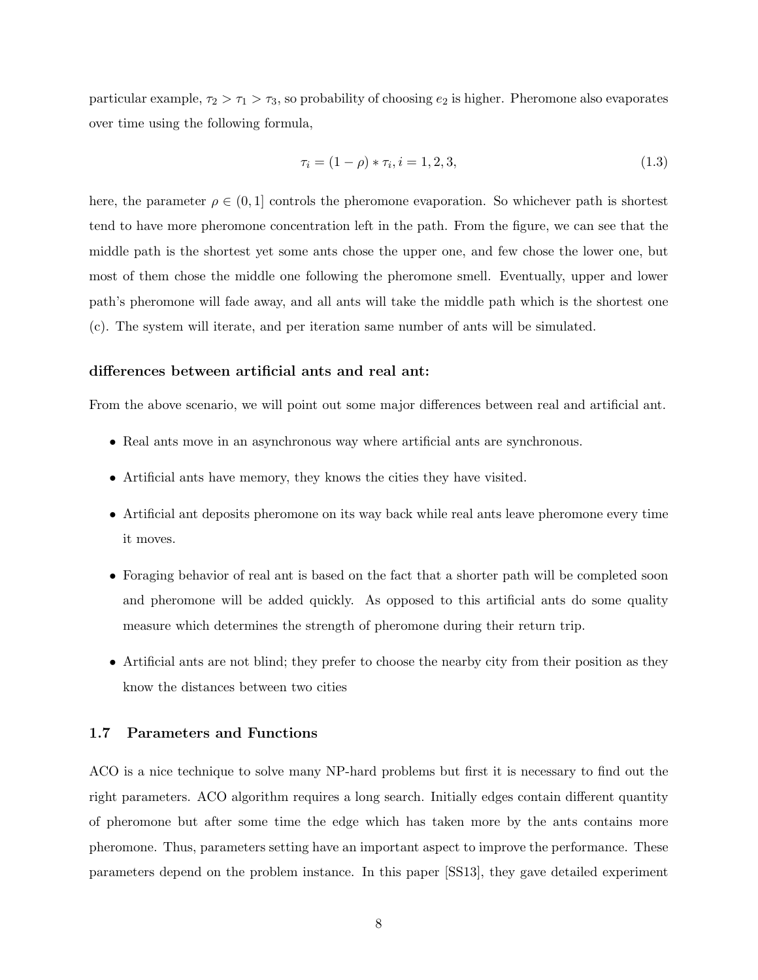particular example,  $\tau_2 > \tau_1 > \tau_3$ , so probability of choosing  $e_2$  is higher. Pheromone also evaporates over time using the following formula,

$$
\tau_i = (1 - \rho) * \tau_i, i = 1, 2, 3,
$$
\n<sup>(1.3)</sup>

here, the parameter  $\rho \in (0,1]$  controls the pheromone evaporation. So whichever path is shortest tend to have more pheromone concentration left in the path. From the figure, we can see that the middle path is the shortest yet some ants chose the upper one, and few chose the lower one, but most of them chose the middle one following the pheromone smell. Eventually, upper and lower path's pheromone will fade away, and all ants will take the middle path which is the shortest one (c). The system will iterate, and per iteration same number of ants will be simulated.

#### differences between artificial ants and real ant:

From the above scenario, we will point out some major differences between real and artificial ant.

- Real ants move in an asynchronous way where artificial ants are synchronous.
- Artificial ants have memory, they knows the cities they have visited.
- Artificial ant deposits pheromone on its way back while real ants leave pheromone every time it moves.
- Foraging behavior of real ant is based on the fact that a shorter path will be completed soon and pheromone will be added quickly. As opposed to this artificial ants do some quality measure which determines the strength of pheromone during their return trip.
- Artificial ants are not blind; they prefer to choose the nearby city from their position as they know the distances between two cities

#### 1.7 Parameters and Functions

ACO is a nice technique to solve many NP-hard problems but first it is necessary to find out the right parameters. ACO algorithm requires a long search. Initially edges contain different quantity of pheromone but after some time the edge which has taken more by the ants contains more pheromone. Thus, parameters setting have an important aspect to improve the performance. These parameters depend on the problem instance. In this paper [SS13], they gave detailed experiment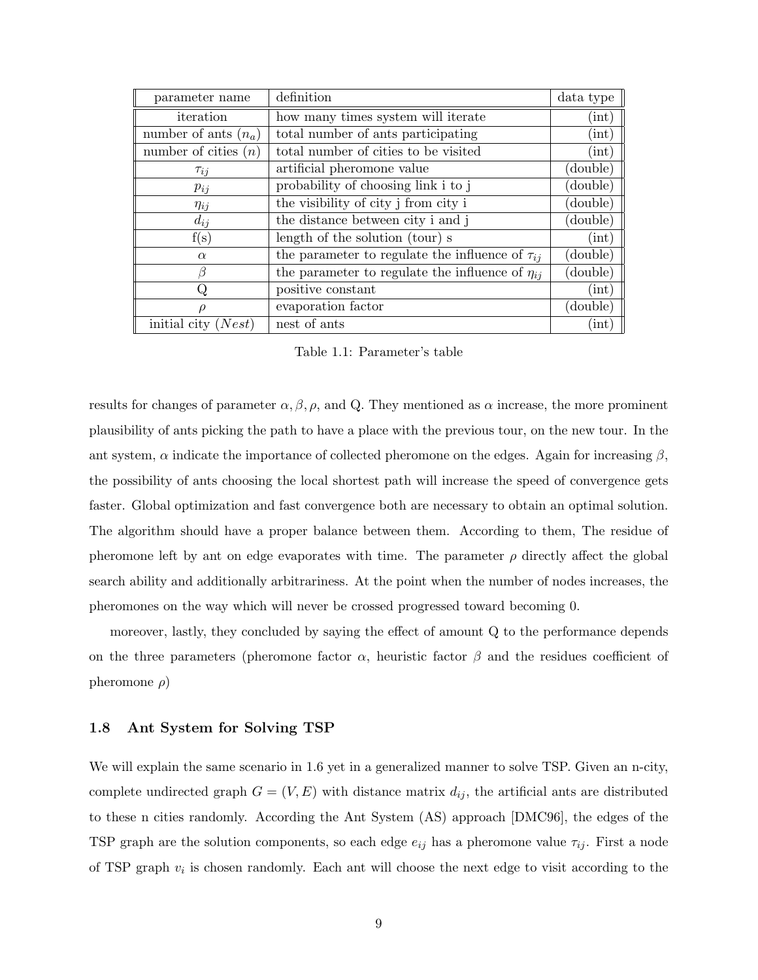| parameter name         | definition                                             | data type |
|------------------------|--------------------------------------------------------|-----------|
| iteration              | how many times system will iterate                     | (int)     |
| number of ants $(n_a)$ | total number of ants participating                     | (int)     |
| number of cities $(n)$ | total number of cities to be visited                   | (int)     |
| $\tau_{ij}$            | artificial pheromone value                             | (double)  |
| $p_{ij}$               | probability of choosing link i to j                    | (double)  |
| $\eta_{ij}$            | the visibility of city j from city i                   | (double)  |
| $d_{ij}$               | the distance between city i and j                      | (double)  |
| f(s)                   | length of the solution (tour) s                        | (int)     |
| $\alpha$               | the parameter to regulate the influence of $\tau_{ii}$ | (double)  |
| Β                      | the parameter to regulate the influence of $\eta_{ii}$ | (double)  |
| Q                      | positive constant                                      | (int)     |
| $\rho$                 | evaporation factor                                     | (double)  |
| initial city<br>Nest   | nest of ants                                           | (int)     |

Table 1.1: Parameter's table

results for changes of parameter  $\alpha, \beta, \rho$ , and Q. They mentioned as  $\alpha$  increase, the more prominent plausibility of ants picking the path to have a place with the previous tour, on the new tour. In the ant system,  $\alpha$  indicate the importance of collected pheromone on the edges. Again for increasing  $\beta$ , the possibility of ants choosing the local shortest path will increase the speed of convergence gets faster. Global optimization and fast convergence both are necessary to obtain an optimal solution. The algorithm should have a proper balance between them. According to them, The residue of pheromone left by ant on edge evaporates with time. The parameter  $\rho$  directly affect the global search ability and additionally arbitrariness. At the point when the number of nodes increases, the pheromones on the way which will never be crossed progressed toward becoming 0.

moreover, lastly, they concluded by saying the effect of amount Q to the performance depends on the three parameters (pheromone factor  $\alpha$ , heuristic factor  $\beta$  and the residues coefficient of pheromone  $\rho$ )

#### 1.8 Ant System for Solving TSP

We will explain the same scenario in 1.6 yet in a generalized manner to solve TSP. Given an n-city, complete undirected graph  $G = (V, E)$  with distance matrix  $d_{ij}$ , the artificial ants are distributed to these n cities randomly. According the Ant System (AS) approach [DMC96], the edges of the TSP graph are the solution components, so each edge  $e_{ij}$  has a pheromone value  $\tau_{ij}$ . First a node of TSP graph  $v_i$  is chosen randomly. Each ant will choose the next edge to visit according to the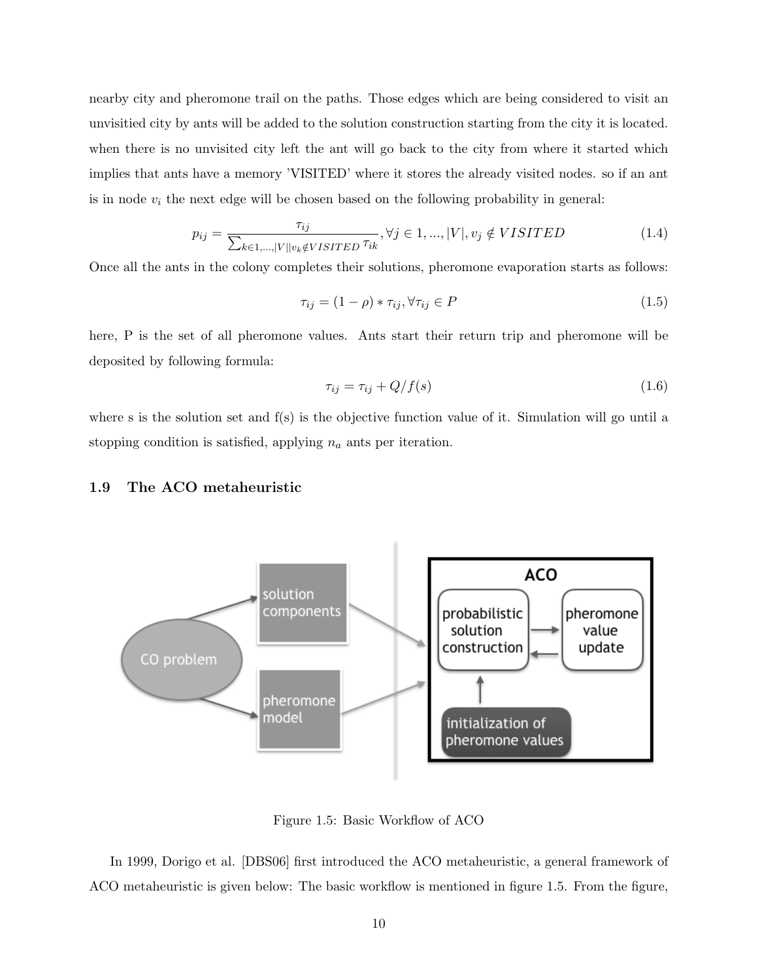nearby city and pheromone trail on the paths. Those edges which are being considered to visit an unvisitied city by ants will be added to the solution construction starting from the city it is located. when there is no unvisited city left the ant will go back to the city from where it started which implies that ants have a memory 'VISITED' where it stores the already visited nodes. so if an ant is in node  $v_i$  the next edge will be chosen based on the following probability in general:

$$
p_{ij} = \frac{\tau_{ij}}{\sum_{k \in 1, \dots, |V||v_k \notin VISTTED} \tau_{ik}}, \forall j \in 1, \dots, |V|, v_j \notin VISTTED \tag{1.4}
$$

Once all the ants in the colony completes their solutions, pheromone evaporation starts as follows:

$$
\tau_{ij} = (1 - \rho) * \tau_{ij}, \forall \tau_{ij} \in P \tag{1.5}
$$

here, P is the set of all pheromone values. Ants start their return trip and pheromone will be deposited by following formula:

$$
\tau_{ij} = \tau_{ij} + Q/f(s) \tag{1.6}
$$

where s is the solution set and f(s) is the objective function value of it. Simulation will go until a stopping condition is satisfied, applying  $n_a$  ants per iteration.

#### 1.9 The ACO metaheuristic



Figure 1.5: Basic Workflow of ACO

In 1999, Dorigo et al. [DBS06] first introduced the ACO metaheuristic, a general framework of ACO metaheuristic is given below: The basic workflow is mentioned in figure 1.5. From the figure,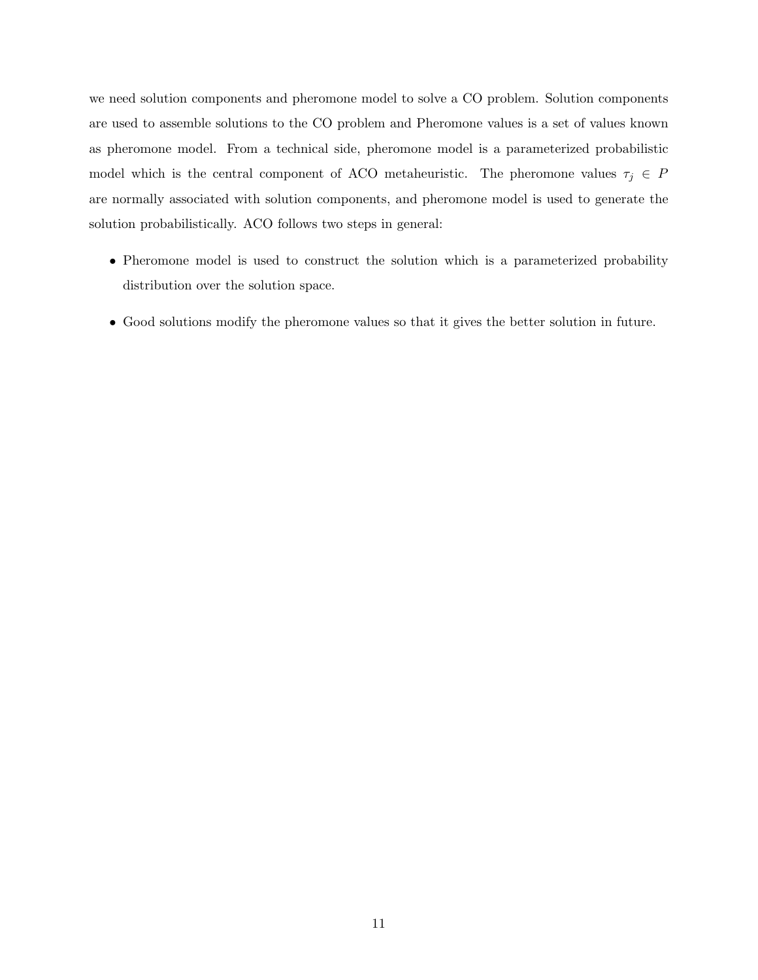we need solution components and pheromone model to solve a CO problem. Solution components are used to assemble solutions to the CO problem and Pheromone values is a set of values known as pheromone model. From a technical side, pheromone model is a parameterized probabilistic model which is the central component of ACO metaheuristic. The pheromone values  $\tau_j \in P$ are normally associated with solution components, and pheromone model is used to generate the solution probabilistically. ACO follows two steps in general:

- Pheromone model is used to construct the solution which is a parameterized probability distribution over the solution space.
- Good solutions modify the pheromone values so that it gives the better solution in future.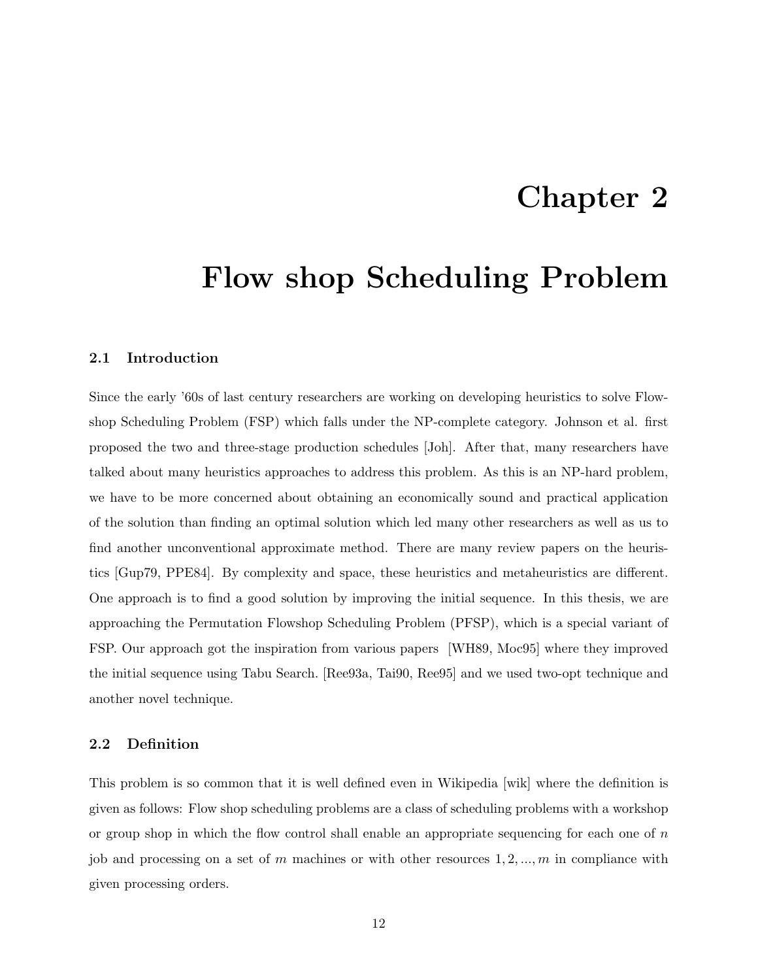### Chapter 2

### Flow shop Scheduling Problem

#### 2.1 Introduction

Since the early '60s of last century researchers are working on developing heuristics to solve Flowshop Scheduling Problem (FSP) which falls under the NP-complete category. Johnson et al. first proposed the two and three-stage production schedules [Joh]. After that, many researchers have talked about many heuristics approaches to address this problem. As this is an NP-hard problem, we have to be more concerned about obtaining an economically sound and practical application of the solution than finding an optimal solution which led many other researchers as well as us to find another unconventional approximate method. There are many review papers on the heuristics [Gup79, PPE84]. By complexity and space, these heuristics and metaheuristics are different. One approach is to find a good solution by improving the initial sequence. In this thesis, we are approaching the Permutation Flowshop Scheduling Problem (PFSP), which is a special variant of FSP. Our approach got the inspiration from various papers [WH89, Moc95] where they improved the initial sequence using Tabu Search. [Ree93a, Tai90, Ree95] and we used two-opt technique and another novel technique.

#### 2.2 Definition

This problem is so common that it is well defined even in Wikipedia [wik] where the definition is given as follows: Flow shop scheduling problems are a class of scheduling problems with a workshop or group shop in which the flow control shall enable an appropriate sequencing for each one of  $n$ job and processing on a set of m machines or with other resources  $1, 2, ..., m$  in compliance with given processing orders.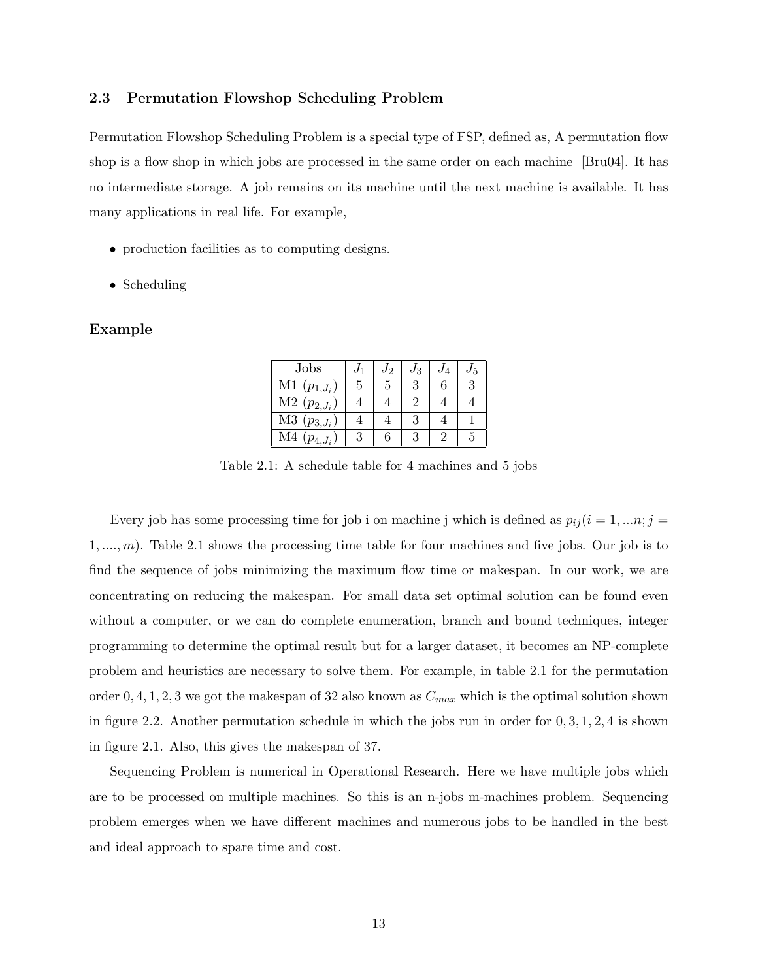#### 2.3 Permutation Flowshop Scheduling Problem

Permutation Flowshop Scheduling Problem is a special type of FSP, defined as, A permutation flow shop is a flow shop in which jobs are processed in the same order on each machine [Bru04]. It has no intermediate storage. A job remains on its machine until the next machine is available. It has many applications in real life. For example,

- production facilities as to computing designs.
- Scheduling

#### Example

| Jobs                        |   | J2 | $J_3$ | $J_4$ |    |
|-----------------------------|---|----|-------|-------|----|
| $M1(p_{1,J_i})$             | 5 | 5  | 3     |       |    |
| $\overline{M2} (p_{2,J_i})$ |   |    |       |       |    |
| $M3(p_{3,J_i})$             |   |    | 3     |       |    |
| M4<br>$(p_{4, J_i})$        | 3 | h  | 3     |       | .5 |

Table 2.1: A schedule table for 4 machines and 5 jobs

Every job has some processing time for job i on machine j which is defined as  $p_{ij} (i = 1, ..., n; j =$  $1, \ldots, m$ . Table 2.1 shows the processing time table for four machines and five jobs. Our job is to find the sequence of jobs minimizing the maximum flow time or makespan. In our work, we are concentrating on reducing the makespan. For small data set optimal solution can be found even without a computer, or we can do complete enumeration, branch and bound techniques, integer programming to determine the optimal result but for a larger dataset, it becomes an NP-complete problem and heuristics are necessary to solve them. For example, in table 2.1 for the permutation order 0, 4, 1, 2, 3 we got the makespan of 32 also known as  $C_{max}$  which is the optimal solution shown in figure 2.2. Another permutation schedule in which the jobs run in order for  $0, 3, 1, 2, 4$  is shown in figure 2.1. Also, this gives the makespan of 37.

Sequencing Problem is numerical in Operational Research. Here we have multiple jobs which are to be processed on multiple machines. So this is an n-jobs m-machines problem. Sequencing problem emerges when we have different machines and numerous jobs to be handled in the best and ideal approach to spare time and cost.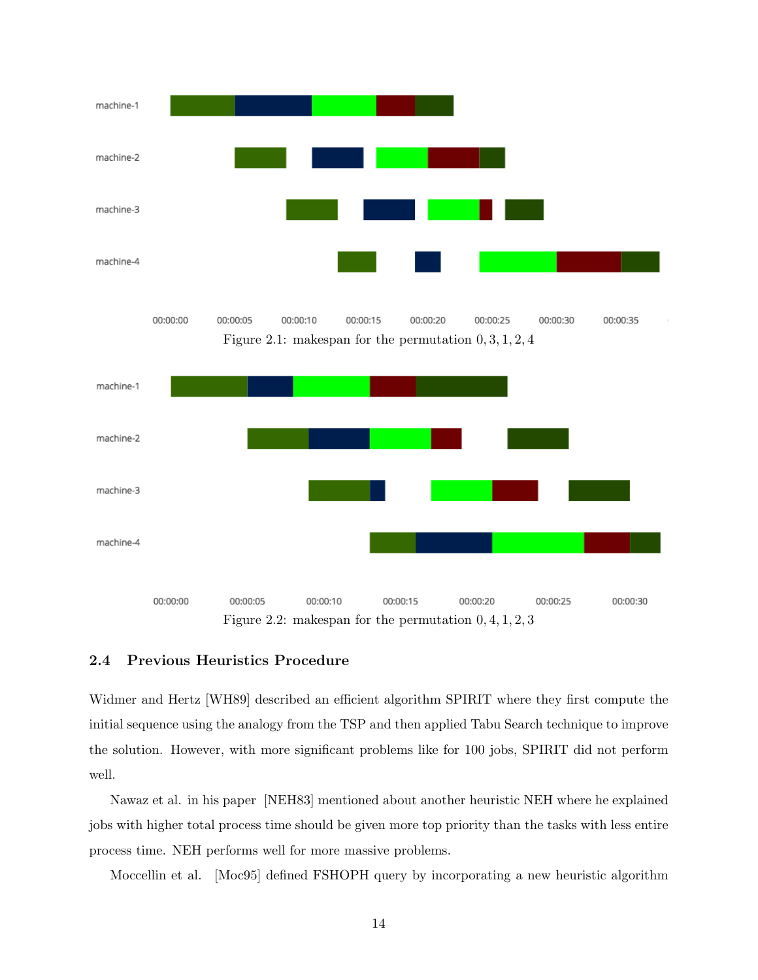

Figure 2.2: makespan for the permutation 0, 4, 1, 2, 3

#### 2.4 Previous Heuristics Procedure

Widmer and Hertz [WH89] described an efficient algorithm SPIRIT where they first compute the initial sequence using the analogy from the TSP and then applied Tabu Search technique to improve the solution. However, with more significant problems like for 100 jobs, SPIRIT did not perform well.

Nawaz et al. in his paper [NEH83] mentioned about another heuristic NEH where he explained jobs with higher total process time should be given more top priority than the tasks with less entire process time. NEH performs well for more massive problems.

Moccellin et al. [Moc95] defined FSHOPH query by incorporating a new heuristic algorithm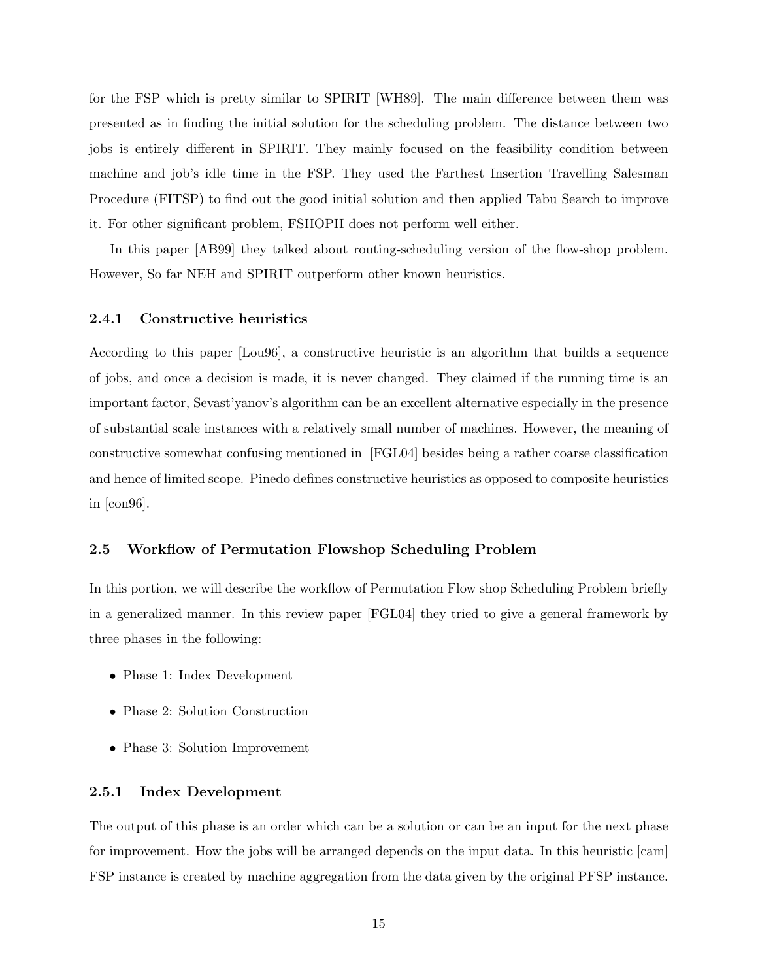for the FSP which is pretty similar to SPIRIT [WH89]. The main difference between them was presented as in finding the initial solution for the scheduling problem. The distance between two jobs is entirely different in SPIRIT. They mainly focused on the feasibility condition between machine and job's idle time in the FSP. They used the Farthest Insertion Travelling Salesman Procedure (FITSP) to find out the good initial solution and then applied Tabu Search to improve it. For other significant problem, FSHOPH does not perform well either.

In this paper [AB99] they talked about routing-scheduling version of the flow-shop problem. However, So far NEH and SPIRIT outperform other known heuristics.

#### 2.4.1 Constructive heuristics

According to this paper [Lou96], a constructive heuristic is an algorithm that builds a sequence of jobs, and once a decision is made, it is never changed. They claimed if the running time is an important factor, Sevast'yanov's algorithm can be an excellent alternative especially in the presence of substantial scale instances with a relatively small number of machines. However, the meaning of constructive somewhat confusing mentioned in [FGL04] besides being a rather coarse classification and hence of limited scope. Pinedo defines constructive heuristics as opposed to composite heuristics in [con96].

#### 2.5 Workflow of Permutation Flowshop Scheduling Problem

In this portion, we will describe the workflow of Permutation Flow shop Scheduling Problem briefly in a generalized manner. In this review paper [FGL04] they tried to give a general framework by three phases in the following:

- Phase 1: Index Development
- Phase 2: Solution Construction
- Phase 3: Solution Improvement

#### 2.5.1 Index Development

The output of this phase is an order which can be a solution or can be an input for the next phase for improvement. How the jobs will be arranged depends on the input data. In this heuristic [cam] FSP instance is created by machine aggregation from the data given by the original PFSP instance.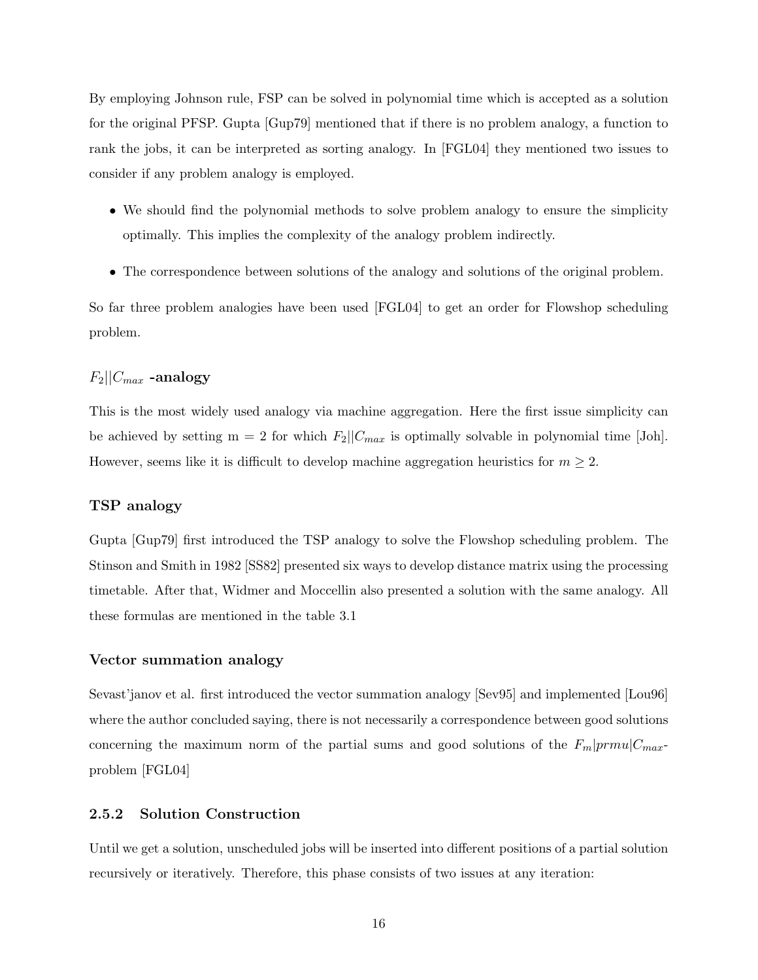By employing Johnson rule, FSP can be solved in polynomial time which is accepted as a solution for the original PFSP. Gupta [Gup79] mentioned that if there is no problem analogy, a function to rank the jobs, it can be interpreted as sorting analogy. In [FGL04] they mentioned two issues to consider if any problem analogy is employed.

- We should find the polynomial methods to solve problem analogy to ensure the simplicity optimally. This implies the complexity of the analogy problem indirectly.
- The correspondence between solutions of the analogy and solutions of the original problem.

So far three problem analogies have been used [FGL04] to get an order for Flowshop scheduling problem.

#### $F_2||C_{max}$  -analogy

This is the most widely used analogy via machine aggregation. Here the first issue simplicity can be achieved by setting  $m = 2$  for which  $F_2||C_{max}$  is optimally solvable in polynomial time [Joh]. However, seems like it is difficult to develop machine aggregation heuristics for  $m \geq 2$ .

#### TSP analogy

Gupta [Gup79] first introduced the TSP analogy to solve the Flowshop scheduling problem. The Stinson and Smith in 1982 [SS82] presented six ways to develop distance matrix using the processing timetable. After that, Widmer and Moccellin also presented a solution with the same analogy. All these formulas are mentioned in the table 3.1

#### Vector summation analogy

Sevast'janov et al. first introduced the vector summation analogy [Sev95] and implemented [Lou96] where the author concluded saying, there is not necessarily a correspondence between good solutions concerning the maximum norm of the partial sums and good solutions of the  $F_m|prmu|C_{max}$ problem [FGL04]

#### 2.5.2 Solution Construction

Until we get a solution, unscheduled jobs will be inserted into different positions of a partial solution recursively or iteratively. Therefore, this phase consists of two issues at any iteration: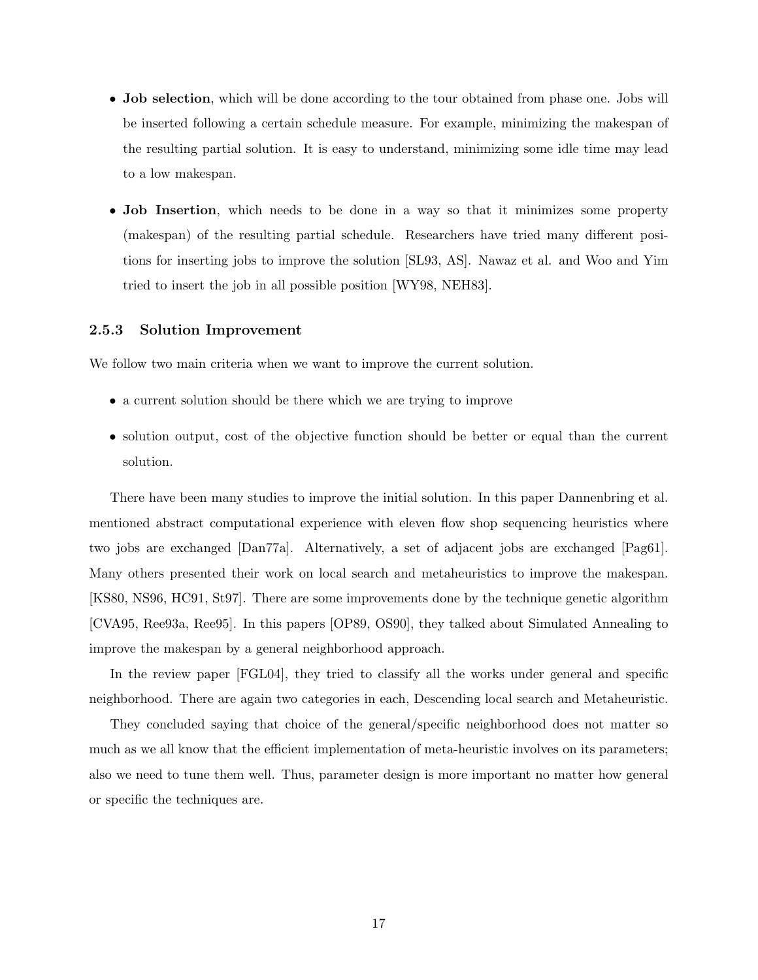- Job selection, which will be done according to the tour obtained from phase one. Jobs will be inserted following a certain schedule measure. For example, minimizing the makespan of the resulting partial solution. It is easy to understand, minimizing some idle time may lead to a low makespan.
- Job Insertion, which needs to be done in a way so that it minimizes some property (makespan) of the resulting partial schedule. Researchers have tried many different positions for inserting jobs to improve the solution [SL93, AS]. Nawaz et al. and Woo and Yim tried to insert the job in all possible position [WY98, NEH83].

#### 2.5.3 Solution Improvement

We follow two main criteria when we want to improve the current solution.

- a current solution should be there which we are trying to improve
- solution output, cost of the objective function should be better or equal than the current solution.

There have been many studies to improve the initial solution. In this paper Dannenbring et al. mentioned abstract computational experience with eleven flow shop sequencing heuristics where two jobs are exchanged [Dan77a]. Alternatively, a set of adjacent jobs are exchanged [Pag61]. Many others presented their work on local search and metaheuristics to improve the makespan. [KS80, NS96, HC91, St97]. There are some improvements done by the technique genetic algorithm [CVA95, Ree93a, Ree95]. In this papers [OP89, OS90], they talked about Simulated Annealing to improve the makespan by a general neighborhood approach.

In the review paper [FGL04], they tried to classify all the works under general and specific neighborhood. There are again two categories in each, Descending local search and Metaheuristic.

They concluded saying that choice of the general/specific neighborhood does not matter so much as we all know that the efficient implementation of meta-heuristic involves on its parameters; also we need to tune them well. Thus, parameter design is more important no matter how general or specific the techniques are.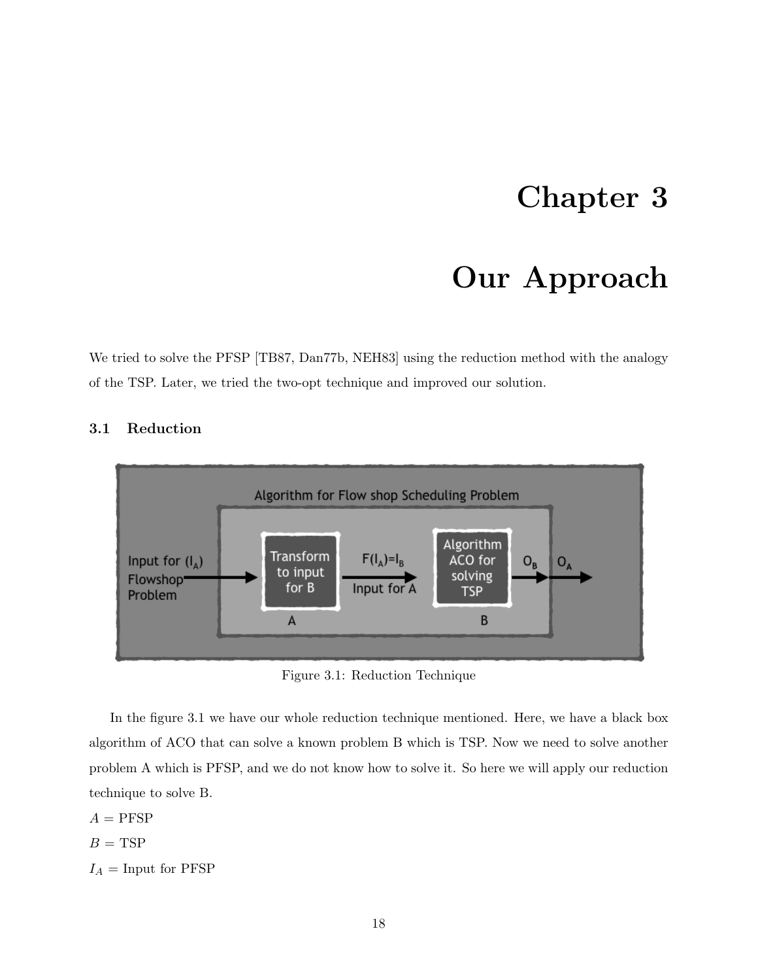### Chapter 3

### Our Approach

We tried to solve the PFSP [TB87, Dan77b, NEH83] using the reduction method with the analogy of the TSP. Later, we tried the two-opt technique and improved our solution.



### 3.1 Reduction

Figure 3.1: Reduction Technique

In the figure 3.1 we have our whole reduction technique mentioned. Here, we have a black box algorithm of ACO that can solve a known problem B which is TSP. Now we need to solve another problem A which is PFSP, and we do not know how to solve it. So here we will apply our reduction technique to solve B.

 $A = PFSP$  $B = TSP$  $I_A =$ Input for PFSP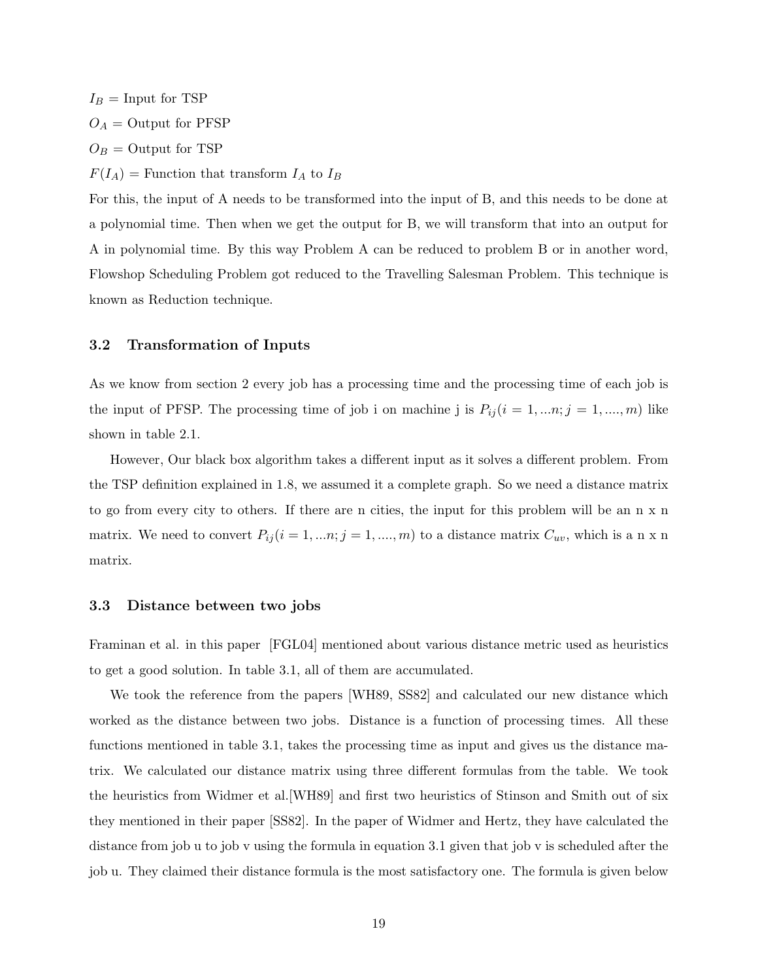$I_B =$ Input for TSP  $O_A =$  Output for PFSP  $O_B =$  Output for TSP  $F(I_A)$  = Function that transform  $I_A$  to  $I_B$ For this, the input of A needs to be transformed into the input of B, and this needs to be done at

a polynomial time. Then when we get the output for B, we will transform that into an output for A in polynomial time. By this way Problem A can be reduced to problem B or in another word, Flowshop Scheduling Problem got reduced to the Travelling Salesman Problem. This technique is known as Reduction technique.

#### 3.2 Transformation of Inputs

As we know from section 2 every job has a processing time and the processing time of each job is the input of PFSP. The processing time of job i on machine j is  $P_{ij}$  ( $i = 1, ..., n$ ;  $j = 1, ..., m$ ) like shown in table 2.1.

However, Our black box algorithm takes a different input as it solves a different problem. From the TSP definition explained in 1.8, we assumed it a complete graph. So we need a distance matrix to go from every city to others. If there are n cities, the input for this problem will be an n x n matrix. We need to convert  $P_{ij}$  ( $i = 1, ..., n$ ;  $j = 1, ..., m$ ) to a distance matrix  $C_{uv}$ , which is a n x n matrix.

#### 3.3 Distance between two jobs

Framinan et al. in this paper [FGL04] mentioned about various distance metric used as heuristics to get a good solution. In table 3.1, all of them are accumulated.

We took the reference from the papers [WH89, SS82] and calculated our new distance which worked as the distance between two jobs. Distance is a function of processing times. All these functions mentioned in table 3.1, takes the processing time as input and gives us the distance matrix. We calculated our distance matrix using three different formulas from the table. We took the heuristics from Widmer et al.[WH89] and first two heuristics of Stinson and Smith out of six they mentioned in their paper [SS82]. In the paper of Widmer and Hertz, they have calculated the distance from job u to job v using the formula in equation 3.1 given that job v is scheduled after the job u. They claimed their distance formula is the most satisfactory one. The formula is given below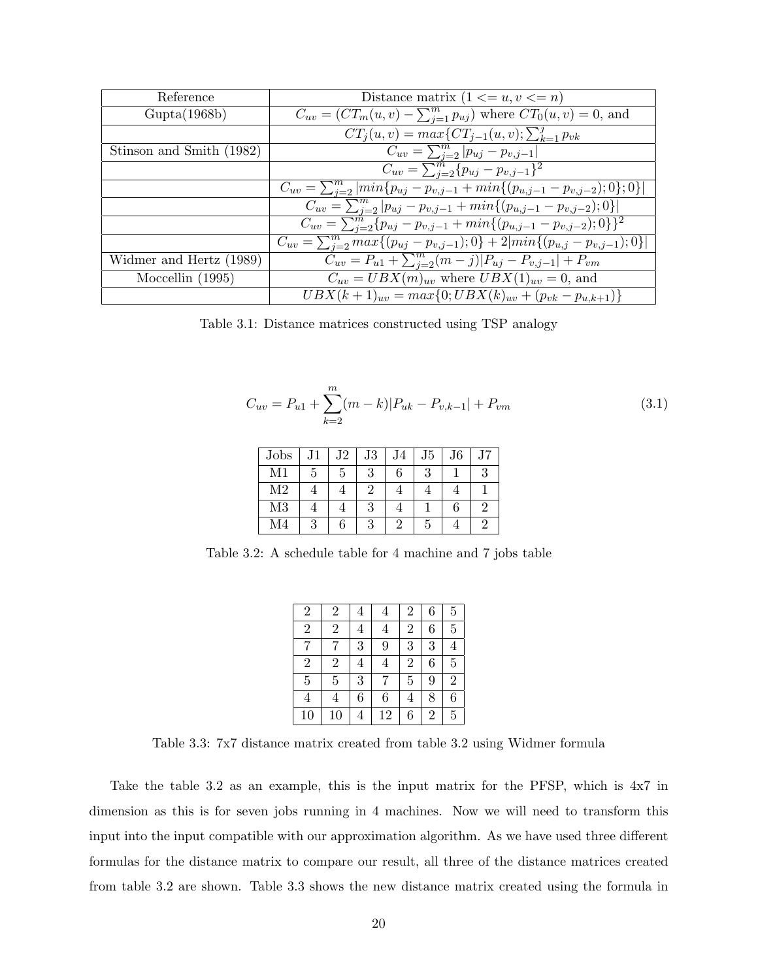| Reference                | Distance matrix $(1 \le u, v \le n)$                                                           |
|--------------------------|------------------------------------------------------------------------------------------------|
| Gupta(1968b)             | $\overline{C_{uv}} = \overline{(CT_m(u,v) - \sum_{i=1}^m p_{uj})}$ where $CT_0(u,v) = 0$ , and |
|                          | $CT_i(u, v) = max\{CT_{i-1}(u, v); \sum_{k=1}^{j} p_{vk}$                                      |
| Stinson and Smith (1982) | $C_{uv} = \sum_{i=2}^{m}  p_{uj} - p_{v,j-1} $                                                 |
|                          | $\overline{C_{uv}} = \sum_{i=2}^{m} \{p_{uj} - p_{v,j-1}\}^2$                                  |
|                          | $C_{uv} = \sum_{i=2}^{m}  min\{p_{uj} - p_{v,j-1} + min\{(p_{u,j-1} - p_{v,j-2}); 0\}; 0\} $   |
|                          | $C_{uv} = \sum_{i=2}^{m}  p_{uj} - p_{v,j-1} + min\{(p_{u,j-1} - p_{v,j-2}); 0\} $             |
|                          | $C_{uv} = \sum_{j=2}^{m} \{p_{uj} - p_{v,j-1} + min\{(p_{u,j-1} - p_{v,j-2});0\}\}^{2}$        |
|                          | $C_{uv} = \sum_{j=2}^{m} max\{(p_{uj} - p_{v,j-1}); 0\} + 2 min\{(p_{u,j} - p_{v,j-1}); 0\} $  |
| Widmer and Hertz (1989)  | $C_{uv} = P_{u1} + \sum_{i=2}^{m} (m-j) P_{uj} - P_{v,j-1}  + P_{vm}$                          |
| Moccellin $(1995)$       | $C_{uv} = UBX(m)_{uv}$ where $UBX(1)_{uv} = 0$ , and                                           |
|                          | $UBX(k+1)_{uv} = max\{0; UBX(k)_{uv} + (p_{vk} - p_{u,k+1})\}$                                 |

Table 3.1: Distance matrices constructed using TSP analogy

$$
C_{uv} = P_{u1} + \sum_{k=2}^{m} (m-k)|P_{uk} - P_{v,k-1}| + P_{vm}
$$
\n(3.1)

| Jobs           |   | J <sub>2</sub> | J3 | J4 | J5 | J6 | J7 |
|----------------|---|----------------|----|----|----|----|----|
| Μ1             | G |                | 3  | 6  |    |    |    |
| M <sub>2</sub> |   |                |    |    |    |    |    |
| M <sub>3</sub> |   |                | 3  |    |    |    |    |
| M <sub>4</sub> | 3 |                |    |    |    |    |    |

Table 3.2: A schedule table for 4 machine and 7 jobs table

| $\overline{2}$ | 2              | 4 | 4  | 2              | 6              | 5 |
|----------------|----------------|---|----|----------------|----------------|---|
| $\overline{2}$ | $\overline{2}$ | 4 |    | $\overline{2}$ | 6              | 5 |
|                |                | 3 | 9  | 3              | 3              | 4 |
| $\overline{2}$ | $\overline{2}$ | 4 | 4  | $\overline{2}$ | 6              | 5 |
| $\overline{5}$ | 5              | 3 |    | 5              | 9              | 2 |
| 4              | 4              | 6 | 6  | 4              | 8              | 6 |
| 10             | 10             | 4 | 12 | 6              | $\overline{2}$ | 5 |

Table 3.3: 7x7 distance matrix created from table 3.2 using Widmer formula

Take the table 3.2 as an example, this is the input matrix for the PFSP, which is 4x7 in dimension as this is for seven jobs running in 4 machines. Now we will need to transform this input into the input compatible with our approximation algorithm. As we have used three different formulas for the distance matrix to compare our result, all three of the distance matrices created from table 3.2 are shown. Table 3.3 shows the new distance matrix created using the formula in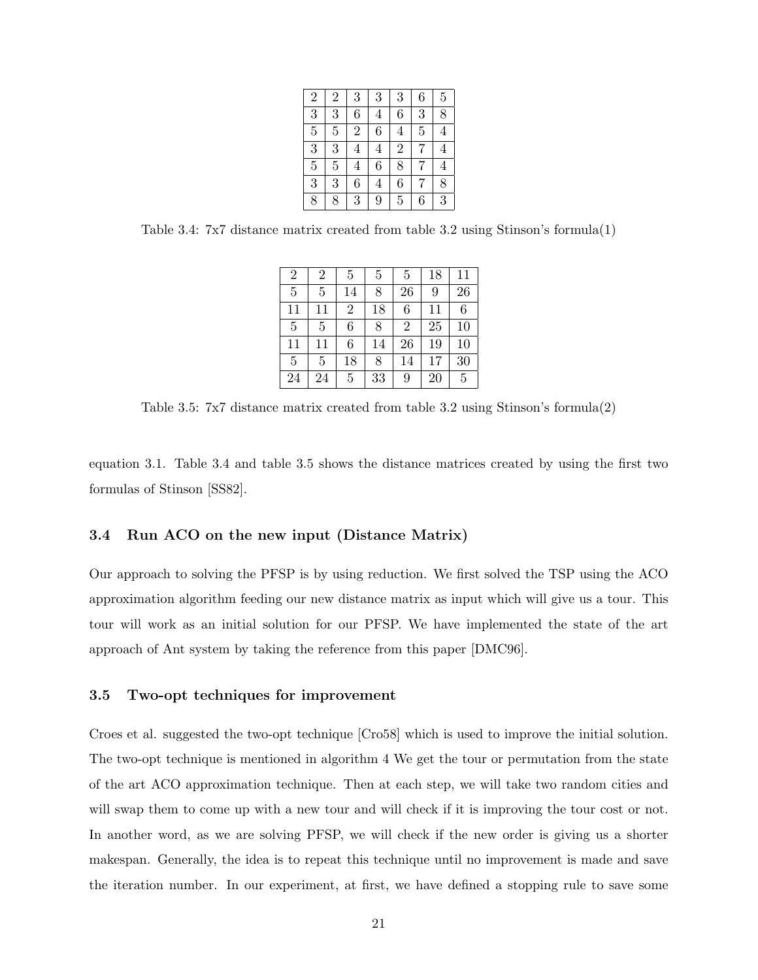| $\overline{2}$ | $\overline{2}$ | 3              | 3              | 3              | 6              | $\overline{5}$ |
|----------------|----------------|----------------|----------------|----------------|----------------|----------------|
| $\overline{3}$ | 3              | 6              | $\overline{4}$ | $\overline{6}$ | 3              | $\overline{8}$ |
| $\overline{5}$ | $\overline{5}$ | $\overline{2}$ | 6              | $\overline{4}$ | $\overline{5}$ | $\overline{4}$ |
| $\overline{3}$ | 3              | $\overline{4}$ | $\overline{4}$ | $\overline{2}$ | 7              | $\overline{4}$ |
| $\overline{5}$ | $\overline{5}$ | $\overline{4}$ | 6              | $\overline{8}$ | 7              | $\overline{4}$ |
| $\overline{3}$ | $\overline{3}$ | 6              | $\overline{4}$ | $\overline{6}$ |                | 8              |
| 8              | 8              | 3              | 9              | $\overline{5}$ | 6              | 3              |

Table 3.4: 7x7 distance matrix created from table 3.2 using Stinson's formula(1)

| $\overline{2}$ | 2  | 5              | 5  | 5              | 18 | 11 |
|----------------|----|----------------|----|----------------|----|----|
| 5              | 5  | 14             | 8  | 26             | 9  | 26 |
| 11             | 11 | $\overline{2}$ | 18 | 6              | 11 | 6  |
| 5              | 5  | 6              | 8  | $\overline{2}$ | 25 | 10 |
| 11             | 11 | 6              | 14 | 26             | 19 | 10 |
| $\overline{5}$ | 5  | 18             | 8  | 14             | 17 | 30 |
| 24             | 24 | 5              | 33 | 9              | 20 | 5  |

Table 3.5: 7x7 distance matrix created from table 3.2 using Stinson's formula(2)

equation 3.1. Table 3.4 and table 3.5 shows the distance matrices created by using the first two formulas of Stinson [SS82].

#### 3.4 Run ACO on the new input (Distance Matrix)

Our approach to solving the PFSP is by using reduction. We first solved the TSP using the ACO approximation algorithm feeding our new distance matrix as input which will give us a tour. This tour will work as an initial solution for our PFSP. We have implemented the state of the art approach of Ant system by taking the reference from this paper [DMC96].

#### 3.5 Two-opt techniques for improvement

Croes et al. suggested the two-opt technique [Cro58] which is used to improve the initial solution. The two-opt technique is mentioned in algorithm 4 We get the tour or permutation from the state of the art ACO approximation technique. Then at each step, we will take two random cities and will swap them to come up with a new tour and will check if it is improving the tour cost or not. In another word, as we are solving PFSP, we will check if the new order is giving us a shorter makespan. Generally, the idea is to repeat this technique until no improvement is made and save the iteration number. In our experiment, at first, we have defined a stopping rule to save some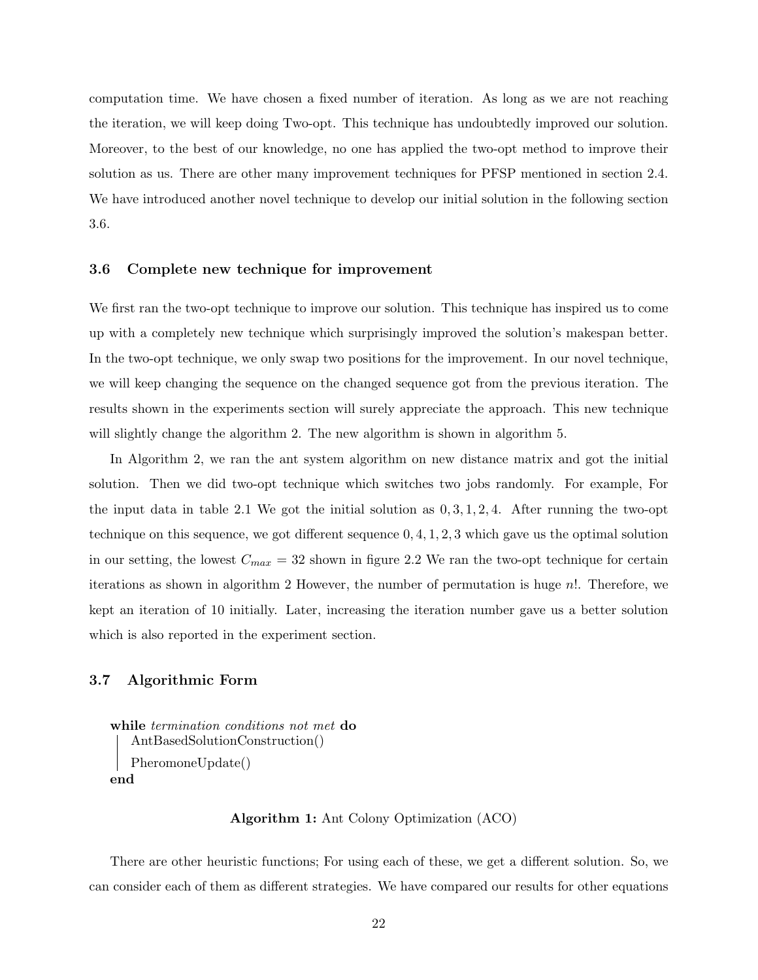computation time. We have chosen a fixed number of iteration. As long as we are not reaching the iteration, we will keep doing Two-opt. This technique has undoubtedly improved our solution. Moreover, to the best of our knowledge, no one has applied the two-opt method to improve their solution as us. There are other many improvement techniques for PFSP mentioned in section 2.4. We have introduced another novel technique to develop our initial solution in the following section 3.6.

#### 3.6 Complete new technique for improvement

We first ran the two-opt technique to improve our solution. This technique has inspired us to come up with a completely new technique which surprisingly improved the solution's makespan better. In the two-opt technique, we only swap two positions for the improvement. In our novel technique, we will keep changing the sequence on the changed sequence got from the previous iteration. The results shown in the experiments section will surely appreciate the approach. This new technique will slightly change the algorithm 2. The new algorithm is shown in algorithm 5.

In Algorithm 2, we ran the ant system algorithm on new distance matrix and got the initial solution. Then we did two-opt technique which switches two jobs randomly. For example, For the input data in table 2.1 We got the initial solution as  $0, 3, 1, 2, 4$ . After running the two-opt technique on this sequence, we got different sequence  $0, 4, 1, 2, 3$  which gave us the optimal solution in our setting, the lowest  $C_{max} = 32$  shown in figure 2.2 We ran the two-opt technique for certain iterations as shown in algorithm 2 However, the number of permutation is huge  $n!$ . Therefore, we kept an iteration of 10 initially. Later, increasing the iteration number gave us a better solution which is also reported in the experiment section.

#### 3.7 Algorithmic Form

```
while termination conditions not met do
   AntBasedSolutionConstruction()
   PheromoneUpdate()
end
```
#### Algorithm 1: Ant Colony Optimization (ACO)

There are other heuristic functions; For using each of these, we get a different solution. So, we can consider each of them as different strategies. We have compared our results for other equations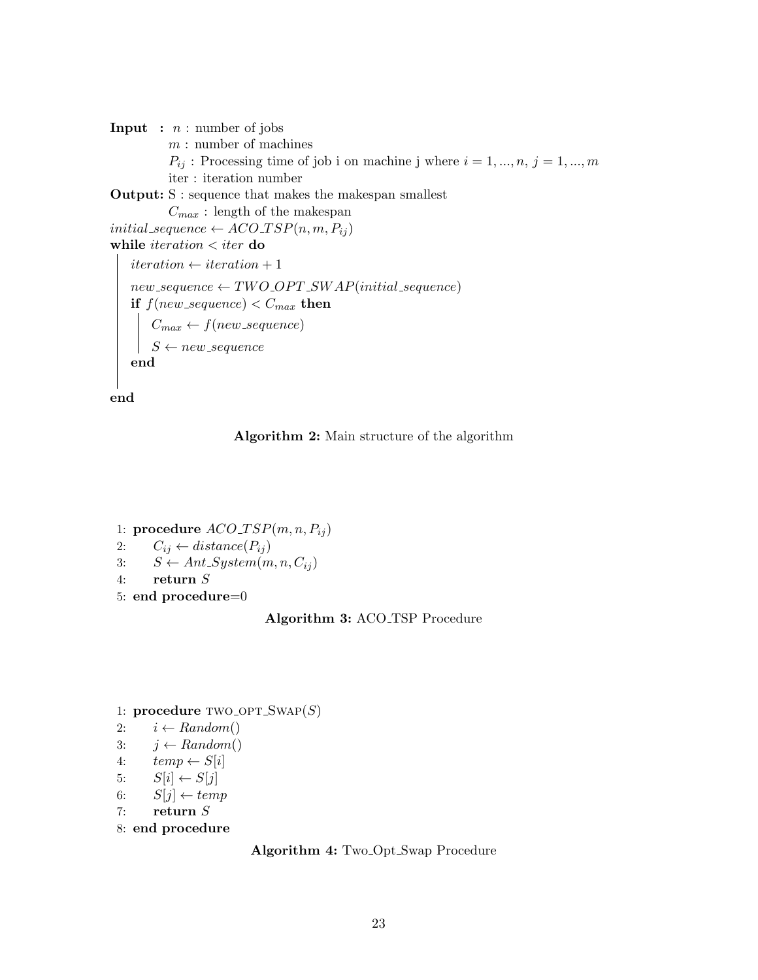**Input** :  $n:$  number of jobs  $m:$  number of machines  $P_{ij}$ : Processing time of job i on machine j where  $i = 1, ..., n, j = 1, ..., m$ iter : iteration number Output: S : sequence that makes the makespan smallest  $C_{max}$ : length of the makespan initial\_sequence  $\leftarrow ACO\_TSP(n, m, P_{ij})$ while  $iteration < iter$  do  $iteration \leftarrow iteration + 1$  $new\_sequence \leftarrow TWO\_OPT\_SWAP (initial\_sequence)$ if  $f(new\_sequence) < C_{max}$  then  $C_{max} \leftarrow f(new\_sequence)$  $S \leftarrow new\_sequence$ end

end



1: procedure  $ACO_TSP(m, n, P_{ij})$ 2:  $C_{ij} \leftarrow distance(P_{ij})$ 3:  $S \leftarrow Ant\_System(m, n, C_{ij})$ 4: return S 5: end procedure=0

#### Algorithm 3: ACO<sub>TSP</sub> Procedure

1: procedure  $TWO_OPT\_SWAP(S)$ 

- 2:  $i \leftarrow Random()$
- 3:  $j \leftarrow Random()$
- 4:  $temp \leftarrow S[i]$
- 5:  $S[i] \leftarrow S[j]$
- 6:  $S[j] \leftarrow temp$
- 7: return S
- 8: end procedure

```
Algorithm 4: Two Opt Swap Procedure
```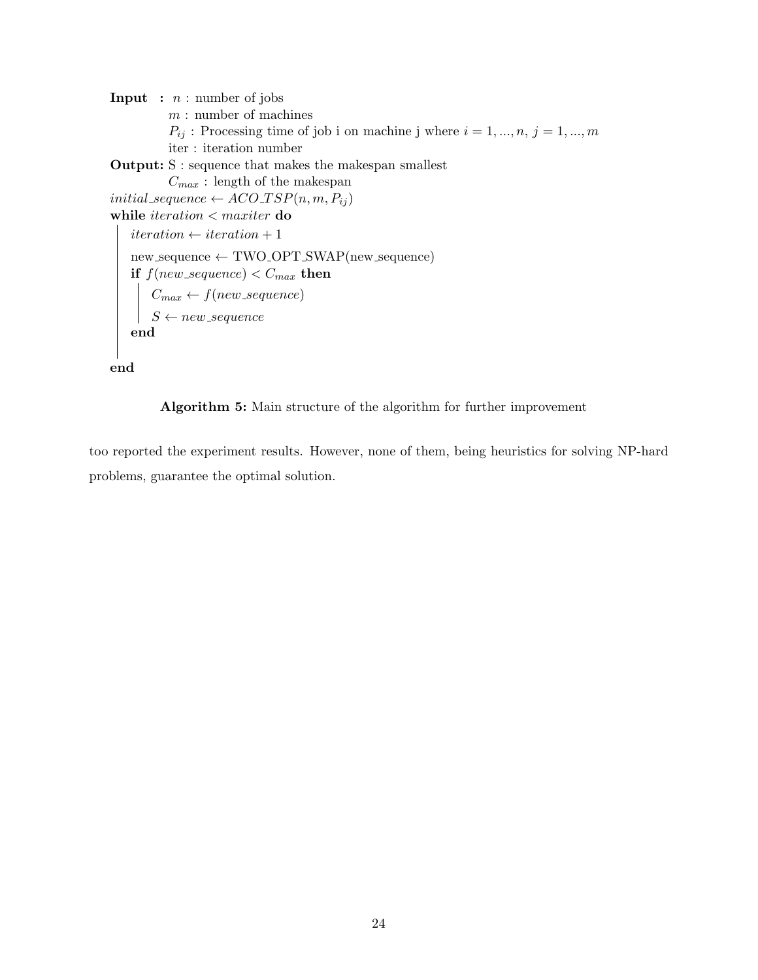**Input** :  $n:$  number of jobs  $m:$  number of machines  $P_{ij}$ : Processing time of job i on machine j where  $i = 1, ..., n, j = 1, ..., m$ iter : iteration number Output: S : sequence that makes the makespan smallest  $C_{\max}$  : length of the makespan initial sequence  $\leftarrow ACO_T SP(n, m, P_{ij})$ while  $iteration < maxiter$  do  $iteration \leftarrow iteration + 1$  $new\_sequence \leftarrow TWO\_OPT\_SWAP(new\_sequence)$  $\mathbf{if}\,\,f(new\_sequence) < C_{max}\,\,\mathbf{then}$  $C_{max} \leftarrow f(new\_sequence)$  $S \leftarrow new\_sequence$ end

end

Algorithm 5: Main structure of the algorithm for further improvement

too reported the experiment results. However, none of them, being heuristics for solving NP-hard problems, guarantee the optimal solution.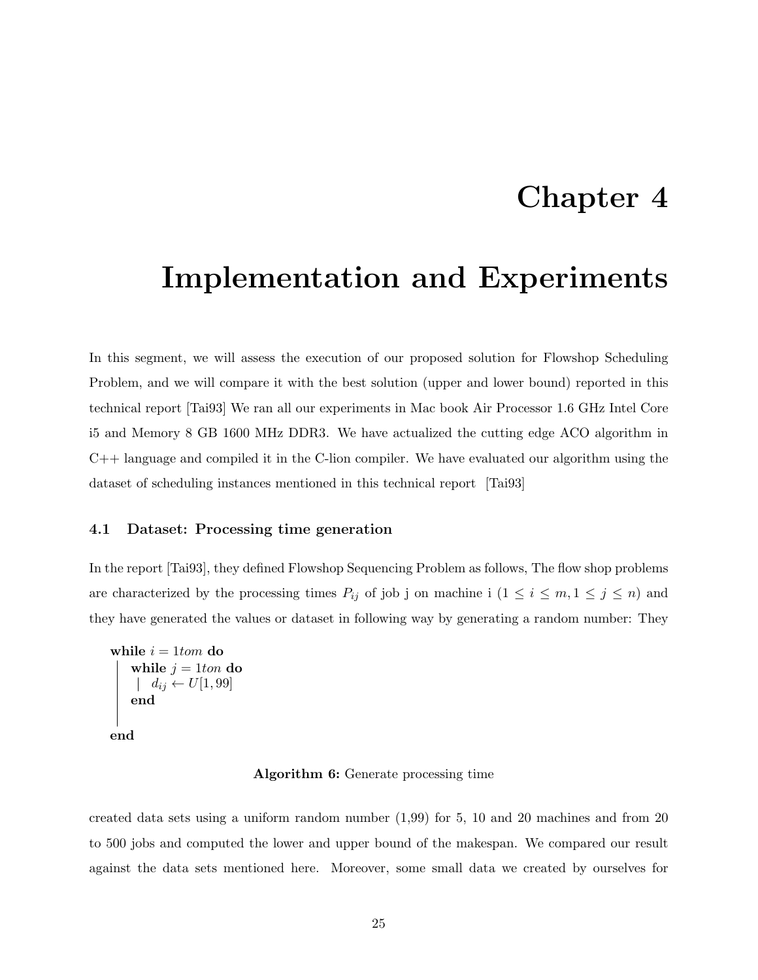### Chapter 4

### Implementation and Experiments

In this segment, we will assess the execution of our proposed solution for Flowshop Scheduling Problem, and we will compare it with the best solution (upper and lower bound) reported in this technical report [Tai93] We ran all our experiments in Mac book Air Processor 1.6 GHz Intel Core i5 and Memory 8 GB 1600 MHz DDR3. We have actualized the cutting edge ACO algorithm in  $C++$  language and compiled it in the C-lion compiler. We have evaluated our algorithm using the dataset of scheduling instances mentioned in this technical report [Tai93]

#### 4.1 Dataset: Processing time generation

In the report [Tai93], they defined Flowshop Sequencing Problem as follows, The flow shop problems are characterized by the processing times  $P_{ij}$  of job j on machine i  $(1 \le i \le m, 1 \le j \le n)$  and they have generated the values or dataset in following way by generating a random number: They

```
while i = 1tom do
    while j = 1ton do
    | d_{ij} \leftarrow U[1, 99]end
end
```
#### Algorithm 6: Generate processing time

created data sets using a uniform random number (1,99) for 5, 10 and 20 machines and from 20 to 500 jobs and computed the lower and upper bound of the makespan. We compared our result against the data sets mentioned here. Moreover, some small data we created by ourselves for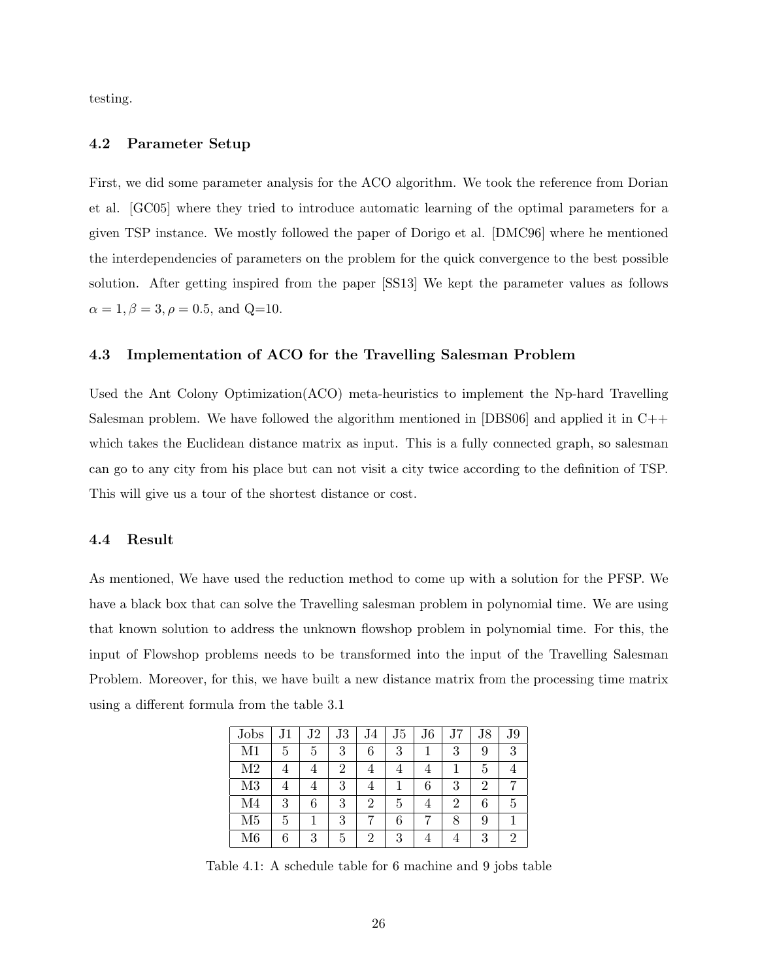testing.

#### 4.2 Parameter Setup

First, we did some parameter analysis for the ACO algorithm. We took the reference from Dorian et al. [GC05] where they tried to introduce automatic learning of the optimal parameters for a given TSP instance. We mostly followed the paper of Dorigo et al. [DMC96] where he mentioned the interdependencies of parameters on the problem for the quick convergence to the best possible solution. After getting inspired from the paper [SS13] We kept the parameter values as follows  $\alpha = 1, \beta = 3, \rho = 0.5, \text{ and } Q = 10.$ 

#### 4.3 Implementation of ACO for the Travelling Salesman Problem

Used the Ant Colony Optimization(ACO) meta-heuristics to implement the Np-hard Travelling Salesman problem. We have followed the algorithm mentioned in [DBS06] and applied it in  $C++$ which takes the Euclidean distance matrix as input. This is a fully connected graph, so salesman can go to any city from his place but can not visit a city twice according to the definition of TSP. This will give us a tour of the shortest distance or cost.

#### 4.4 Result

As mentioned, We have used the reduction method to come up with a solution for the PFSP. We have a black box that can solve the Travelling salesman problem in polynomial time. We are using that known solution to address the unknown flowshop problem in polynomial time. For this, the input of Flowshop problems needs to be transformed into the input of the Travelling Salesman Problem. Moreover, for this, we have built a new distance matrix from the processing time matrix using a different formula from the table 3.1

| Jobs           | $_{\rm J1}$ | $_{\rm J2}$ | J3 | J4             | J5 | J <sub>6</sub> |   | $\rm{J}8$ | $_{\rm J9}$ |
|----------------|-------------|-------------|----|----------------|----|----------------|---|-----------|-------------|
| M1             | 5           | 5           | 3  | 6              | 3  | 1              | 3 | 9         | 3           |
| M <sub>2</sub> |             | 4           | 2  | 4              | 4  | 4              |   | 5         |             |
| M <sub>3</sub> |             | 4           | 3  | 4              |    | 6              | 3 | 2         |             |
| M <sub>4</sub> | 3           | 6           | 3  | 2              | 5  | $\overline{4}$ | 2 | 6         | 5           |
| M <sub>5</sub> | 5           |             | 3  |                | 6  |                | 8 | 9         |             |
| M6             | 6           | 3           | 5  | $\overline{2}$ | 3  | $\overline{4}$ |   | 3         |             |

Table 4.1: A schedule table for 6 machine and 9 jobs table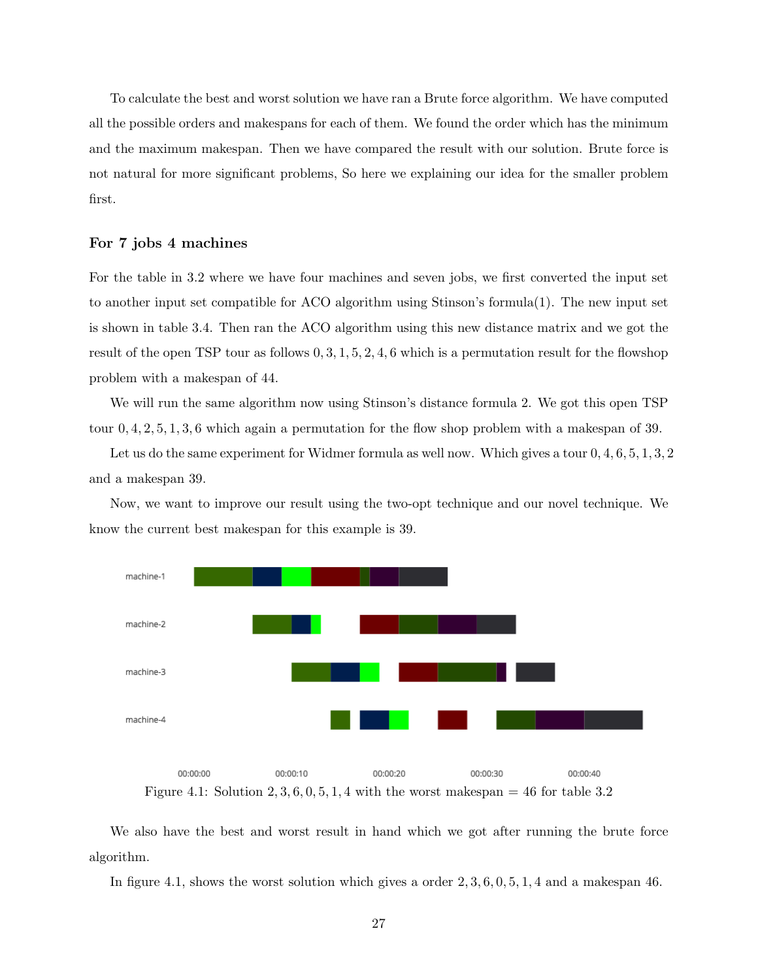To calculate the best and worst solution we have ran a Brute force algorithm. We have computed all the possible orders and makespans for each of them. We found the order which has the minimum and the maximum makespan. Then we have compared the result with our solution. Brute force is not natural for more significant problems, So here we explaining our idea for the smaller problem first.

#### For 7 jobs 4 machines

For the table in 3.2 where we have four machines and seven jobs, we first converted the input set to another input set compatible for ACO algorithm using Stinson's formula(1). The new input set is shown in table 3.4. Then ran the ACO algorithm using this new distance matrix and we got the result of the open TSP tour as follows  $0, 3, 1, 5, 2, 4, 6$  which is a permutation result for the flowshop problem with a makespan of 44.

We will run the same algorithm now using Stinson's distance formula 2. We got this open TSP tour 0, 4, 2, 5, 1, 3, 6 which again a permutation for the flow shop problem with a makespan of 39.

Let us do the same experiment for Widmer formula as well now. Which gives a tour  $0, 4, 6, 5, 1, 3, 2$ and a makespan 39.

Now, we want to improve our result using the two-opt technique and our novel technique. We know the current best makespan for this example is 39.



Figure 4.1: Solution 2, 3, 6, 0, 5, 1, 4 with the worst makespan = 46 for table 3.2

We also have the best and worst result in hand which we got after running the brute force algorithm.

In figure 4.1, shows the worst solution which gives a order 2, 3, 6, 0, 5, 1, 4 and a makespan 46.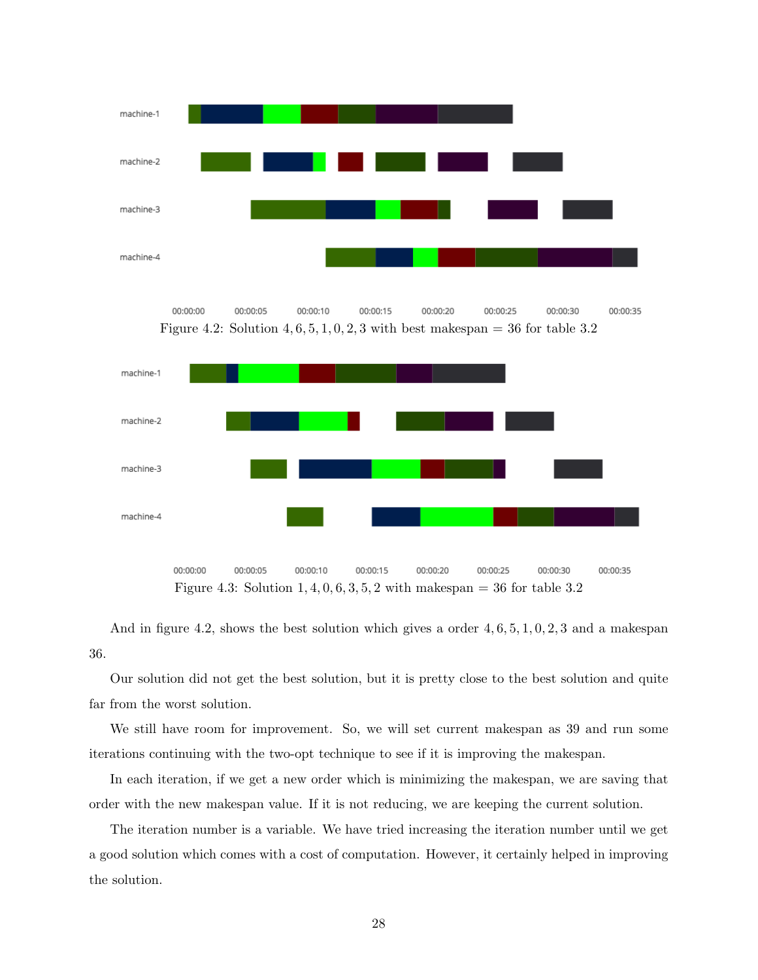

00:00:00 00:00:05 00:00:10 00:00:15 00:00:20 00:00:25 00:00:30 00:00:35 Figure 4.2: Solution  $4, 6, 5, 1, 0, 2, 3$  with best makespan = 36 for table 3.2



And in figure 4.2, shows the best solution which gives a order  $4, 6, 5, 1, 0, 2, 3$  and a makespan 36.

Our solution did not get the best solution, but it is pretty close to the best solution and quite far from the worst solution.

We still have room for improvement. So, we will set current makespan as 39 and run some iterations continuing with the two-opt technique to see if it is improving the makespan.

In each iteration, if we get a new order which is minimizing the makespan, we are saving that order with the new makespan value. If it is not reducing, we are keeping the current solution.

The iteration number is a variable. We have tried increasing the iteration number until we get a good solution which comes with a cost of computation. However, it certainly helped in improving the solution.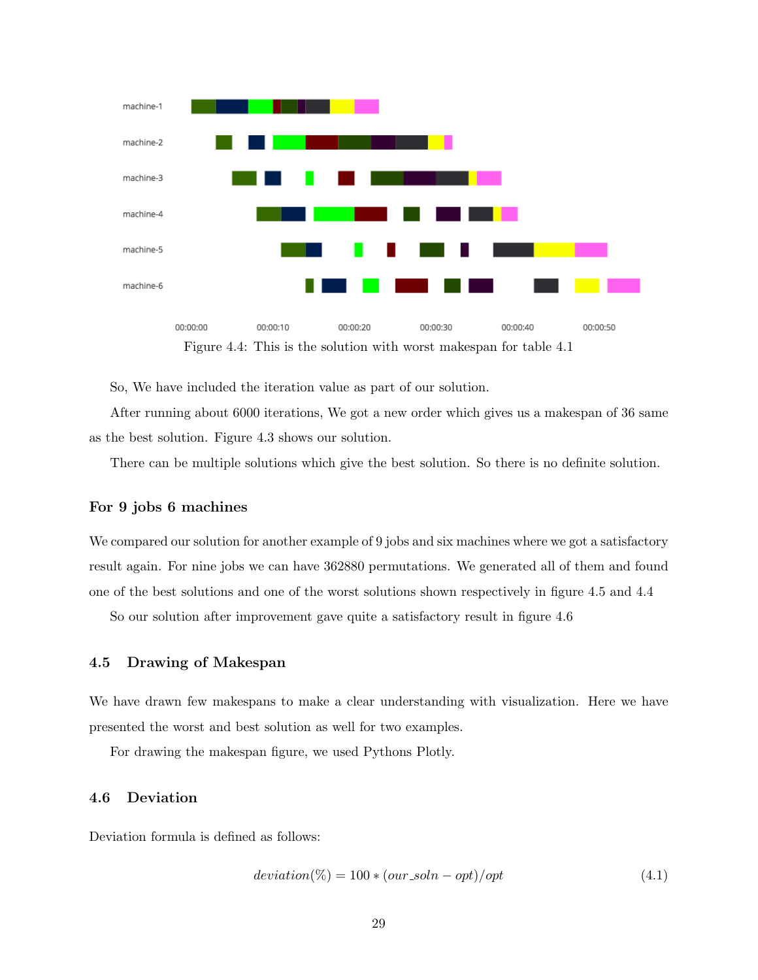

Figure 4.4: This is the solution with worst makespan for table 4.1

So, We have included the iteration value as part of our solution.

After running about 6000 iterations, We got a new order which gives us a makespan of 36 same as the best solution. Figure 4.3 shows our solution.

There can be multiple solutions which give the best solution. So there is no definite solution.

#### For 9 jobs 6 machines

We compared our solution for another example of 9 jobs and six machines where we got a satisfactory result again. For nine jobs we can have 362880 permutations. We generated all of them and found one of the best solutions and one of the worst solutions shown respectively in figure 4.5 and 4.4

So our solution after improvement gave quite a satisfactory result in figure 4.6

#### 4.5 Drawing of Makespan

We have drawn few makespans to make a clear understanding with visualization. Here we have presented the worst and best solution as well for two examples.

For drawing the makespan figure, we used Pythons Plotly.

#### 4.6 Deviation

Deviation formula is defined as follows:

$$
deviation(\%) = 100 * (our\_soln - opt)/opt
$$
\n(4.1)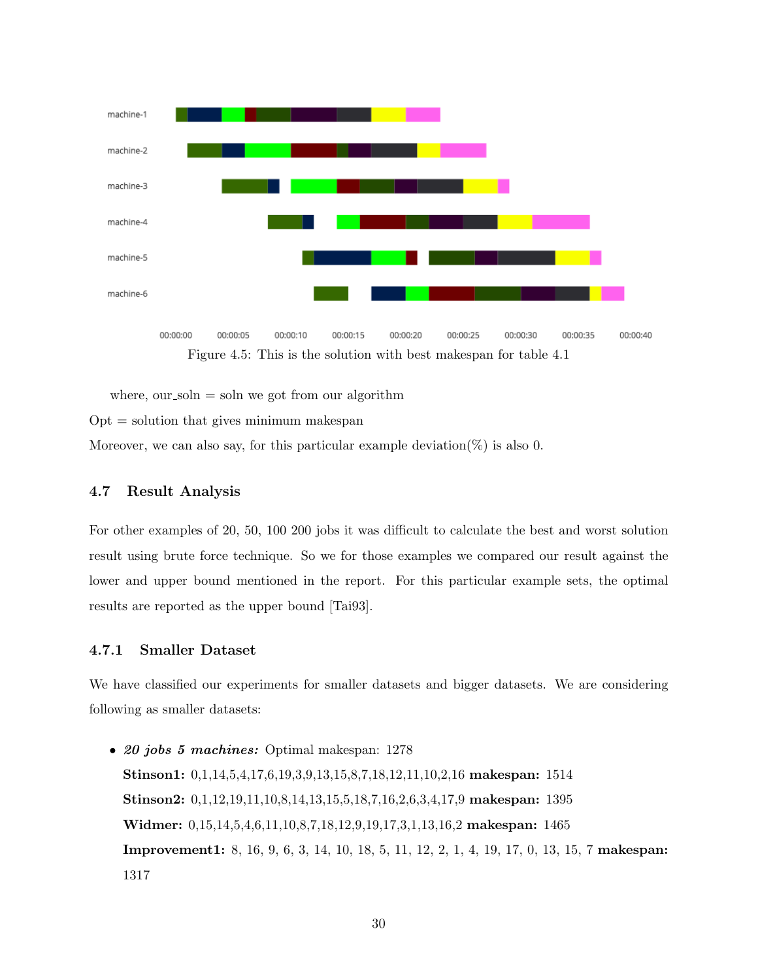

Figure 4.5: This is the solution with best makespan for table 4.1

where, our soln  $=$  soln we got from our algorithm

 $Opt =$  solution that gives minimum makespan

Moreover, we can also say, for this particular example deviation( $\%$ ) is also 0.

#### 4.7 Result Analysis

For other examples of 20, 50, 100 200 jobs it was difficult to calculate the best and worst solution result using brute force technique. So we for those examples we compared our result against the lower and upper bound mentioned in the report. For this particular example sets, the optimal results are reported as the upper bound [Tai93].

#### 4.7.1 Smaller Dataset

We have classified our experiments for smaller datasets and bigger datasets. We are considering following as smaller datasets:

• 20 jobs 5 machines: Optimal makespan: 1278 Stinson1: 0,1,14,5,4,17,6,19,3,9,13,15,8,7,18,12,11,10,2,16 makespan: 1514 Stinson2: 0,1,12,19,11,10,8,14,13,15,5,18,7,16,2,6,3,4,17,9 makespan: 1395 Widmer: 0,15,14,5,4,6,11,10,8,7,18,12,9,19,17,3,1,13,16,2 makespan: 1465 Improvement1: 8, 16, 9, 6, 3, 14, 10, 18, 5, 11, 12, 2, 1, 4, 19, 17, 0, 13, 15, 7 makespan: 1317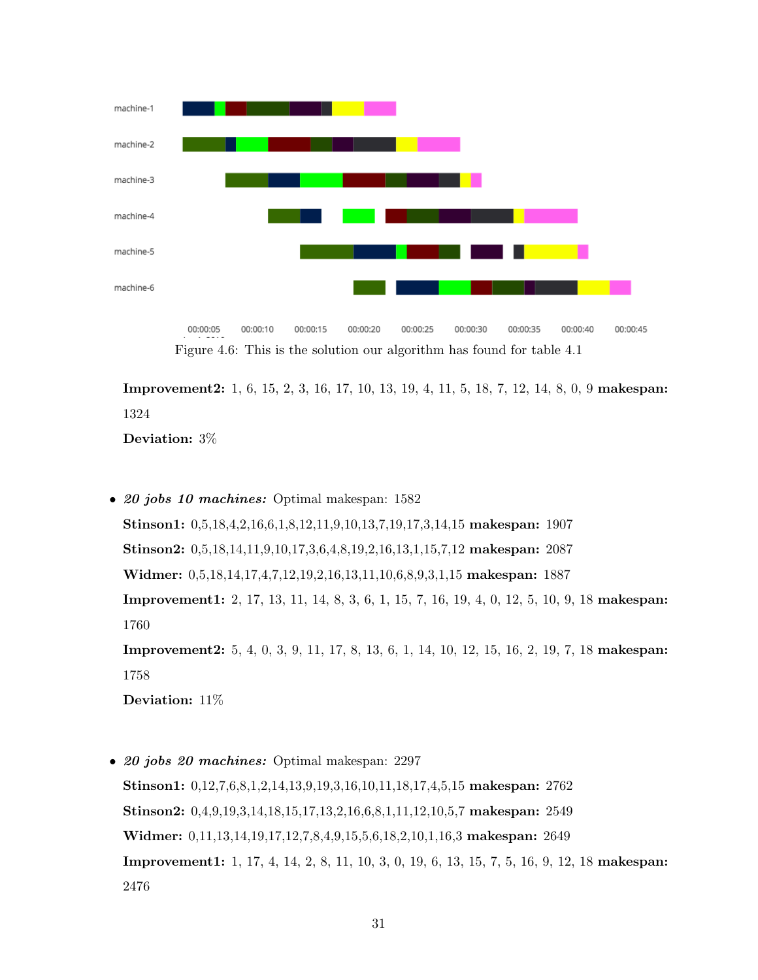

00:00:10 00:00:15 00:00:20 00:00:25 00:00:30 00:00:05 00:00:35 00:00:40 00:00:45 Figure 4.6: This is the solution our algorithm has found for table 4.1

Improvement2: 1, 6, 15, 2, 3, 16, 17, 10, 13, 19, 4, 11, 5, 18, 7, 12, 14, 8, 0, 9 makespan: 1324

Deviation: 3%

• 20 jobs 10 machines: Optimal makespan: 1582 Stinson1: 0,5,18,4,2,16,6,1,8,12,11,9,10,13,7,19,17,3,14,15 makespan: 1907 Stinson2: 0,5,18,14,11,9,10,17,3,6,4,8,19,2,16,13,1,15,7,12 makespan: 2087 Widmer: 0,5,18,14,17,4,7,12,19,2,16,13,11,10,6,8,9,3,1,15 makespan: 1887 Improvement1: 2, 17, 13, 11, 14, 8, 3, 6, 1, 15, 7, 16, 19, 4, 0, 12, 5, 10, 9, 18 makespan: 1760 Improvement2: 5, 4, 0, 3, 9, 11, 17, 8, 13, 6, 1, 14, 10, 12, 15, 16, 2, 19, 7, 18 makespan: 1758

Deviation: 11%

• 20 jobs 20 machines: Optimal makespan: 2297 Stinson1: 0,12,7,6,8,1,2,14,13,9,19,3,16,10,11,18,17,4,5,15 makespan: 2762 Stinson2: 0,4,9,19,3,14,18,15,17,13,2,16,6,8,1,11,12,10,5,7 makespan: 2549 Widmer: 0,11,13,14,19,17,12,7,8,4,9,15,5,6,18,2,10,1,16,3 makespan: 2649 Improvement1: 1, 17, 4, 14, 2, 8, 11, 10, 3, 0, 19, 6, 13, 15, 7, 5, 16, 9, 12, 18 makespan: 2476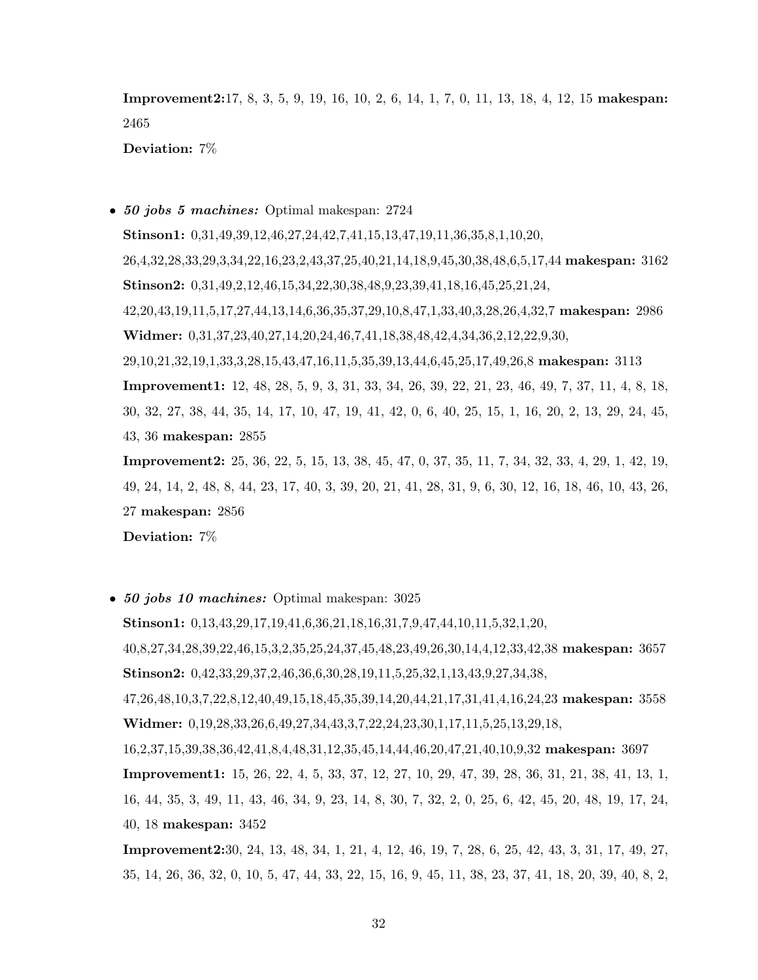Improvement2:17, 8, 3, 5, 9, 19, 16, 10, 2, 6, 14, 1, 7, 0, 11, 13, 18, 4, 12, 15 makespan: 2465

Deviation: 7%

• 50 jobs 5 machines: Optimal makespan: 2724

Stinson1: 0,31,49,39,12,46,27,24,42,7,41,15,13,47,19,11,36,35,8,1,10,20, 26,4,32,28,33,29,3,34,22,16,23,2,43,37,25,40,21,14,18,9,45,30,38,48,6,5,17,44 makespan: 3162 Stinson2: 0,31,49,2,12,46,15,34,22,30,38,48,9,23,39,41,18,16,45,25,21,24, 42,20,43,19,11,5,17,27,44,13,14,6,36,35,37,29,10,8,47,1,33,40,3,28,26,4,32,7 makespan: 2986 Widmer: 0,31,37,23,40,27,14,20,24,46,7,41,18,38,48,42,4,34,36,2,12,22,9,30, 29,10,21,32,19,1,33,3,28,15,43,47,16,11,5,35,39,13,44,6,45,25,17,49,26,8 makespan: 3113 Improvement1: 12, 48, 28, 5, 9, 3, 31, 33, 34, 26, 39, 22, 21, 23, 46, 49, 7, 37, 11, 4, 8, 18, 30, 32, 27, 38, 44, 35, 14, 17, 10, 47, 19, 41, 42, 0, 6, 40, 25, 15, 1, 16, 20, 2, 13, 29, 24, 45, 43, 36 makespan: 2855

Improvement2: 25, 36, 22, 5, 15, 13, 38, 45, 47, 0, 37, 35, 11, 7, 34, 32, 33, 4, 29, 1, 42, 19, 49, 24, 14, 2, 48, 8, 44, 23, 17, 40, 3, 39, 20, 21, 41, 28, 31, 9, 6, 30, 12, 16, 18, 46, 10, 43, 26, 27 makespan: 2856

Deviation: 7%

• 50 jobs 10 machines: Optimal makespan: 3025

Stinson1: 0,13,43,29,17,19,41,6,36,21,18,16,31,7,9,47,44,10,11,5,32,1,20, 40,8,27,34,28,39,22,46,15,3,2,35,25,24,37,45,48,23,49,26,30,14,4,12,33,42,38 makespan: 3657 Stinson2: 0,42,33,29,37,2,46,36,6,30,28,19,11,5,25,32,1,13,43,9,27,34,38, 47,26,48,10,3,7,22,8,12,40,49,15,18,45,35,39,14,20,44,21,17,31,41,4,16,24,23 makespan: 3558 Widmer: 0,19,28,33,26,6,49,27,34,43,3,7,22,24,23,30,1,17,11,5,25,13,29,18, 16,2,37,15,39,38,36,42,41,8,4,48,31,12,35,45,14,44,46,20,47,21,40,10,9,32 makespan: 3697

Improvement1: 15, 26, 22, 4, 5, 33, 37, 12, 27, 10, 29, 47, 39, 28, 36, 31, 21, 38, 41, 13, 1, 16, 44, 35, 3, 49, 11, 43, 46, 34, 9, 23, 14, 8, 30, 7, 32, 2, 0, 25, 6, 42, 45, 20, 48, 19, 17, 24, 40, 18 makespan: 3452

Improvement2:30, 24, 13, 48, 34, 1, 21, 4, 12, 46, 19, 7, 28, 6, 25, 42, 43, 3, 31, 17, 49, 27, 35, 14, 26, 36, 32, 0, 10, 5, 47, 44, 33, 22, 15, 16, 9, 45, 11, 38, 23, 37, 41, 18, 20, 39, 40, 8, 2,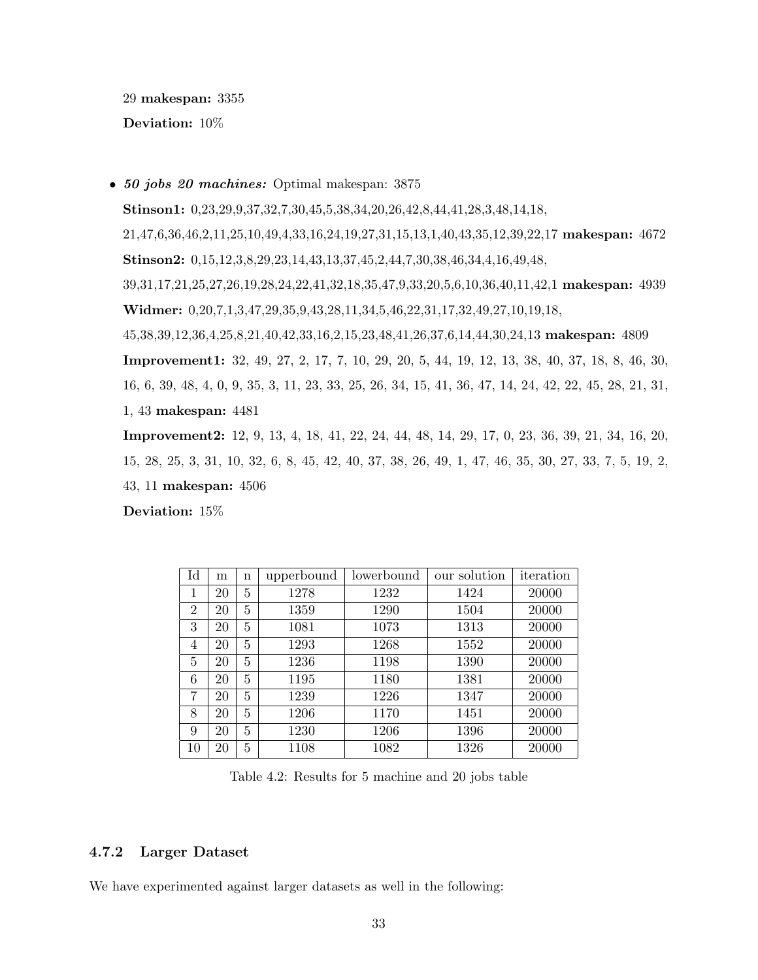29 makespan: 3355

Deviation: 10%

• 50 jobs 20 machines: Optimal makespan: 3875 Stinson1: 0,23,29,9,37,32,7,30,45,5,38,34,20,26,42,8,44,41,28,3,48,14,18, 21,47,6,36,46,2,11,25,10,49,4,33,16,24,19,27,31,15,13,1,40,43,35,12,39,22,17 makespan: 4672 Stinson2: 0,15,12,3,8,29,23,14,43,13,37,45,2,44,7,30,38,46,34,4,16,49,48, 39,31,17,21,25,27,26,19,28,24,22,41,32,18,35,47,9,33,20,5,6,10,36,40,11,42,1 makespan: 4939 Widmer: 0,20,7,1,3,47,29,35,9,43,28,11,34,5,46,22,31,17,32,49,27,10,19,18, 45,38,39,12,36,4,25,8,21,40,42,33,16,2,15,23,48,41,26,37,6,14,44,30,24,13 makespan: 4809 Improvement1: 32, 49, 27, 2, 17, 7, 10, 29, 20, 5, 44, 19, 12, 13, 38, 40, 37, 18, 8, 46, 30, 16, 6, 39, 48, 4, 0, 9, 35, 3, 11, 23, 33, 25, 26, 34, 15, 41, 36, 47, 14, 24, 42, 22, 45, 28, 21, 31, 1, 43 makespan: 4481

Improvement2: 12, 9, 13, 4, 18, 41, 22, 24, 44, 48, 14, 29, 17, 0, 23, 36, 39, 21, 34, 16, 20, 15, 28, 25, 3, 31, 10, 32, 6, 8, 45, 42, 40, 37, 38, 26, 49, 1, 47, 46, 35, 30, 27, 33, 7, 5, 19, 2, 43, 11 makespan: 4506

Deviation: 15%

| $_{\rm Id}$    | m  | n | upperbound | lowerbound | our solution | iteration |
|----------------|----|---|------------|------------|--------------|-----------|
| 1              | 20 | 5 | 1278       | 1232       | 1424         | 20000     |
| $\overline{2}$ | 20 | 5 | 1359       | 1290       | 1504         | 20000     |
| 3              | 20 | 5 | 1081       | 1073       | 1313         | 20000     |
| 4              | 20 | 5 | 1293       | 1268       | 1552         | 20000     |
| 5              | 20 | 5 | 1236       | 1198       | 1390         | 20000     |
| 6              | 20 | 5 | 1195       | 1180       | 1381         | 20000     |
| 7              | 20 | 5 | 1239       | 1226       | 1347         | 20000     |
| 8              | 20 | 5 | 1206       | 1170       | 1451         | 20000     |
| 9              | 20 | 5 | 1230       | 1206       | 1396         | 20000     |
| 10             | 20 | 5 | 1108       | 1082       | 1326         | 20000     |

Table 4.2: Results for 5 machine and 20 jobs table

#### 4.7.2 Larger Dataset

We have experimented against larger datasets as well in the following: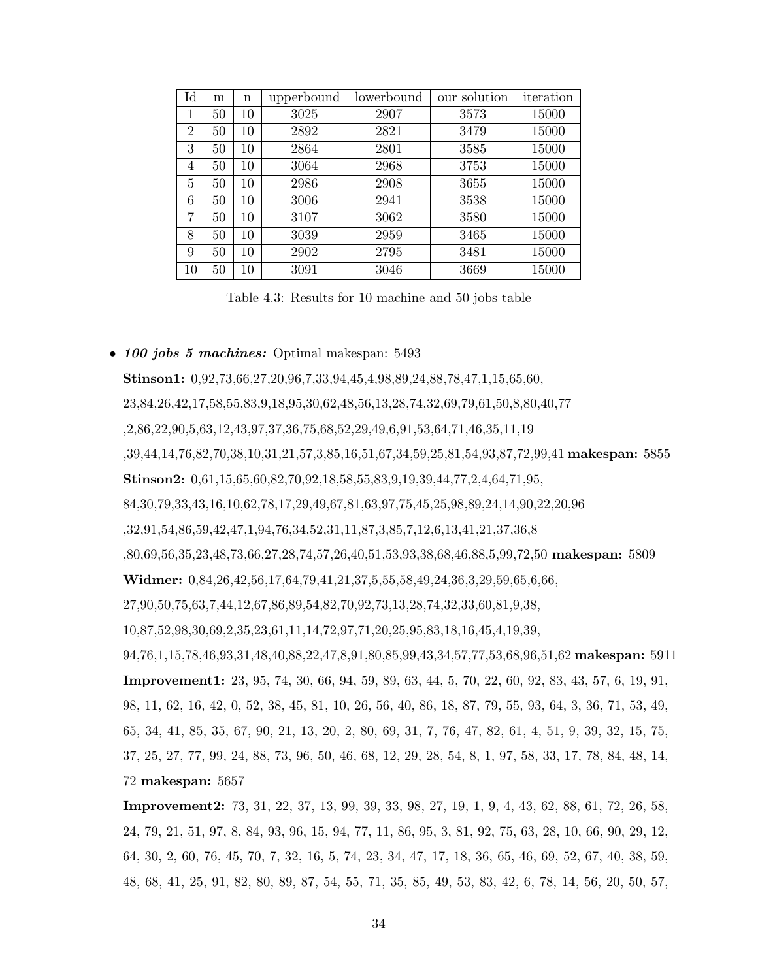| Id             | m  | $\mathbf n$ | upperbound | lowerbound | our solution | iteration |
|----------------|----|-------------|------------|------------|--------------|-----------|
| 1              | 50 | 10          | 3025       | 2907       | 3573         | 15000     |
| $\overline{2}$ | 50 | 10          | 2892       | 2821       | 3479         | 15000     |
| 3              | 50 | 10          | 2864       | 2801       | 3585         | 15000     |
| 4              | 50 | 10          | 3064       | 2968       | 3753         | 15000     |
| 5              | 50 | 10          | 2986       | 2908       | 3655         | 15000     |
| 6              | 50 | 10          | 3006       | 2941       | 3538         | 15000     |
| 7              | 50 | 10          | 3107       | 3062       | 3580         | 15000     |
| 8              | 50 | 10          | 3039       | 2959       | 3465         | 15000     |
| 9              | 50 | 10          | 2902       | 2795       | 3481         | 15000     |
| 10             | 50 | 10          | 3091       | 3046       | 3669         | 15000     |

Table 4.3: Results for 10 machine and 50 jobs table

#### • 100 jobs 5 machines: Optimal makespan: 5493

Stinson1: 0,92,73,66,27,20,96,7,33,94,45,4,98,89,24,88,78,47,1,15,65,60, 23,84,26,42,17,58,55,83,9,18,95,30,62,48,56,13,28,74,32,69,79,61,50,8,80,40,77 ,2,86,22,90,5,63,12,43,97,37,36,75,68,52,29,49,6,91,53,64,71,46,35,11,19 ,39,44,14,76,82,70,38,10,31,21,57,3,85,16,51,67,34,59,25,81,54,93,87,72,99,41 makespan: 5855 Stinson2: 0,61,15,65,60,82,70,92,18,58,55,83,9,19,39,44,77,2,4,64,71,95, 84,30,79,33,43,16,10,62,78,17,29,49,67,81,63,97,75,45,25,98,89,24,14,90,22,20,96 ,32,91,54,86,59,42,47,1,94,76,34,52,31,11,87,3,85,7,12,6,13,41,21,37,36,8 ,80,69,56,35,23,48,73,66,27,28,74,57,26,40,51,53,93,38,68,46,88,5,99,72,50 makespan: 5809 Widmer:  $0.84, 26, 42, 56, 17, 64, 79, 41, 21, 37, 5, 55, 58, 49, 24, 36, 3, 29, 59, 65, 6, 66,$ 27,90,50,75,63,7,44,12,67,86,89,54,82,70,92,73,13,28,74,32,33,60,81,9,38, 10,87,52,98,30,69,2,35,23,61,11,14,72,97,71,20,25,95,83,18,16,45,4,19,39, 94,76,1,15,78,46,93,31,48,40,88,22,47,8,91,80,85,99,43,34,57,77,53,68,96,51,62 makespan: 5911 Improvement1: 23, 95, 74, 30, 66, 94, 59, 89, 63, 44, 5, 70, 22, 60, 92, 83, 43, 57, 6, 19, 91, 98, 11, 62, 16, 42, 0, 52, 38, 45, 81, 10, 26, 56, 40, 86, 18, 87, 79, 55, 93, 64, 3, 36, 71, 53, 49, 65, 34, 41, 85, 35, 67, 90, 21, 13, 20, 2, 80, 69, 31, 7, 76, 47, 82, 61, 4, 51, 9, 39, 32, 15, 75, 37, 25, 27, 77, 99, 24, 88, 73, 96, 50, 46, 68, 12, 29, 28, 54, 8, 1, 97, 58, 33, 17, 78, 84, 48, 14, 72 makespan: 5657

Improvement2: 73, 31, 22, 37, 13, 99, 39, 33, 98, 27, 19, 1, 9, 4, 43, 62, 88, 61, 72, 26, 58, 24, 79, 21, 51, 97, 8, 84, 93, 96, 15, 94, 77, 11, 86, 95, 3, 81, 92, 75, 63, 28, 10, 66, 90, 29, 12, 64, 30, 2, 60, 76, 45, 70, 7, 32, 16, 5, 74, 23, 34, 47, 17, 18, 36, 65, 46, 69, 52, 67, 40, 38, 59, 48, 68, 41, 25, 91, 82, 80, 89, 87, 54, 55, 71, 35, 85, 49, 53, 83, 42, 6, 78, 14, 56, 20, 50, 57,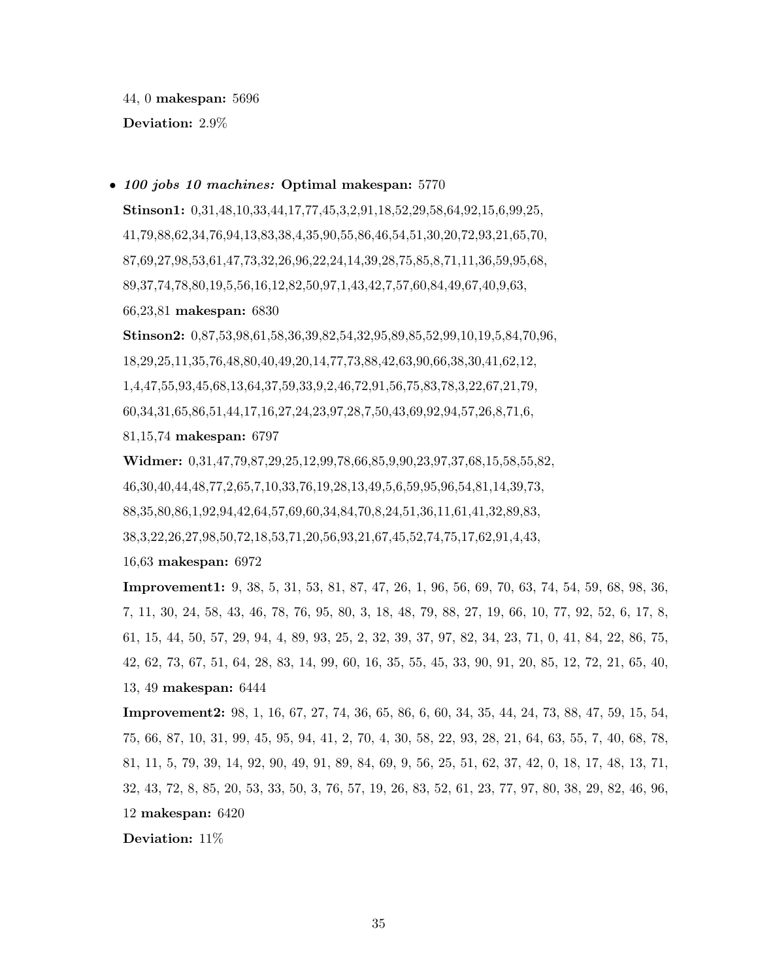44, 0 makespan: 5696

Deviation: 2.9%

#### • 100 jobs 10 machines: Optimal makespan: 5770

Stinson1: 0,31,48,10,33,44,17,77,45,3,2,91,18,52,29,58,64,92,15,6,99,25, 41,79,88,62,34,76,94,13,83,38,4,35,90,55,86,46,54,51,30,20,72,93,21,65,70, 87,69,27,98,53,61,47,73,32,26,96,22,24,14,39,28,75,85,8,71,11,36,59,95,68, 89,37,74,78,80,19,5,56,16,12,82,50,97,1,43,42,7,57,60,84,49,67,40,9,63, 66,23,81 makespan: 6830

Stinson2: 0,87,53,98,61,58,36,39,82,54,32,95,89,85,52,99,10,19,5,84,70,96, 18,29,25,11,35,76,48,80,40,49,20,14,77,73,88,42,63,90,66,38,30,41,62,12, 1,4,47,55,93,45,68,13,64,37,59,33,9,2,46,72,91,56,75,83,78,3,22,67,21,79, 60,34,31,65,86,51,44,17,16,27,24,23,97,28,7,50,43,69,92,94,57,26,8,71,6,

81,15,74 makespan: 6797

Widmer: 0,31,47,79,87,29,25,12,99,78,66,85,9,90,23,97,37,68,15,58,55,82, 46,30,40,44,48,77,2,65,7,10,33,76,19,28,13,49,5,6,59,95,96,54,81,14,39,73, 88,35,80,86,1,92,94,42,64,57,69,60,34,84,70,8,24,51,36,11,61,41,32,89,83, 38,3,22,26,27,98,50,72,18,53,71,20,56,93,21,67,45,52,74,75,17,62,91,4,43,

16,63 makespan: 6972

Improvement1: 9, 38, 5, 31, 53, 81, 87, 47, 26, 1, 96, 56, 69, 70, 63, 74, 54, 59, 68, 98, 36, 7, 11, 30, 24, 58, 43, 46, 78, 76, 95, 80, 3, 18, 48, 79, 88, 27, 19, 66, 10, 77, 92, 52, 6, 17, 8, 61, 15, 44, 50, 57, 29, 94, 4, 89, 93, 25, 2, 32, 39, 37, 97, 82, 34, 23, 71, 0, 41, 84, 22, 86, 75, 42, 62, 73, 67, 51, 64, 28, 83, 14, 99, 60, 16, 35, 55, 45, 33, 90, 91, 20, 85, 12, 72, 21, 65, 40, 13, 49 makespan: 6444

Improvement2: 98, 1, 16, 67, 27, 74, 36, 65, 86, 6, 60, 34, 35, 44, 24, 73, 88, 47, 59, 15, 54, 75, 66, 87, 10, 31, 99, 45, 95, 94, 41, 2, 70, 4, 30, 58, 22, 93, 28, 21, 64, 63, 55, 7, 40, 68, 78, 81, 11, 5, 79, 39, 14, 92, 90, 49, 91, 89, 84, 69, 9, 56, 25, 51, 62, 37, 42, 0, 18, 17, 48, 13, 71, 32, 43, 72, 8, 85, 20, 53, 33, 50, 3, 76, 57, 19, 26, 83, 52, 61, 23, 77, 97, 80, 38, 29, 82, 46, 96, 12 makespan: 6420

Deviation: 11%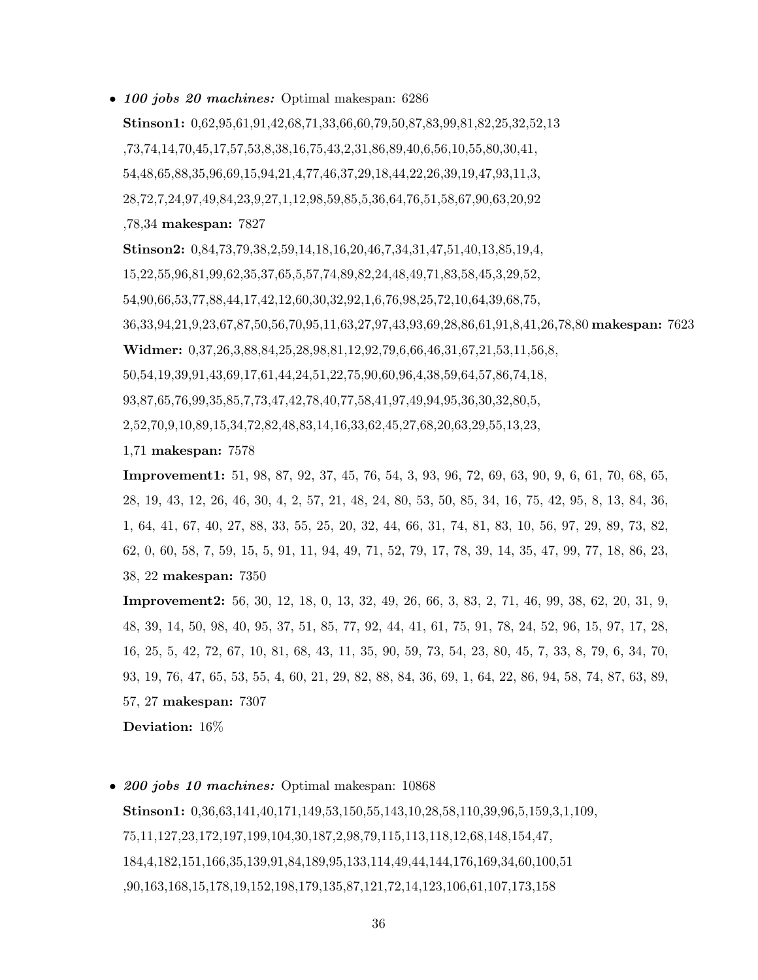• 100 jobs 20 machines: Optimal makespan: 6286

Stinson1: 0,62,95,61,91,42,68,71,33,66,60,79,50,87,83,99,81,82,25,32,52,13 ,73,74,14,70,45,17,57,53,8,38,16,75,43,2,31,86,89,40,6,56,10,55,80,30,41, 54,48,65,88,35,96,69,15,94,21,4,77,46,37,29,18,44,22,26,39,19,47,93,11,3, 28,72,7,24,97,49,84,23,9,27,1,12,98,59,85,5,36,64,76,51,58,67,90,63,20,92 ,78,34 makespan: 7827

Stinson2: 0,84,73,79,38,2,59,14,18,16,20,46,7,34,31,47,51,40,13,85,19,4,

15,22,55,96,81,99,62,35,37,65,5,57,74,89,82,24,48,49,71,83,58,45,3,29,52,

54,90,66,53,77,88,44,17,42,12,60,30,32,92,1,6,76,98,25,72,10,64,39,68,75,

36,33,94,21,9,23,67,87,50,56,70,95,11,63,27,97,43,93,69,28,86,61,91,8,41,26,78,80 makespan: 7623 Widmer: 0,37,26,3,88,84,25,28,98,81,12,92,79,6,66,46,31,67,21,53,11,56,8,

50,54,19,39,91,43,69,17,61,44,24,51,22,75,90,60,96,4,38,59,64,57,86,74,18,

93,87,65,76,99,35,85,7,73,47,42,78,40,77,58,41,97,49,94,95,36,30,32,80,5,

2,52,70,9,10,89,15,34,72,82,48,83,14,16,33,62,45,27,68,20,63,29,55,13,23,

1,71 makespan: 7578

Improvement1: 51, 98, 87, 92, 37, 45, 76, 54, 3, 93, 96, 72, 69, 63, 90, 9, 6, 61, 70, 68, 65, 28, 19, 43, 12, 26, 46, 30, 4, 2, 57, 21, 48, 24, 80, 53, 50, 85, 34, 16, 75, 42, 95, 8, 13, 84, 36, 1, 64, 41, 67, 40, 27, 88, 33, 55, 25, 20, 32, 44, 66, 31, 74, 81, 83, 10, 56, 97, 29, 89, 73, 82, 62, 0, 60, 58, 7, 59, 15, 5, 91, 11, 94, 49, 71, 52, 79, 17, 78, 39, 14, 35, 47, 99, 77, 18, 86, 23, 38, 22 makespan: 7350

Improvement2: 56, 30, 12, 18, 0, 13, 32, 49, 26, 66, 3, 83, 2, 71, 46, 99, 38, 62, 20, 31, 9, 48, 39, 14, 50, 98, 40, 95, 37, 51, 85, 77, 92, 44, 41, 61, 75, 91, 78, 24, 52, 96, 15, 97, 17, 28, 16, 25, 5, 42, 72, 67, 10, 81, 68, 43, 11, 35, 90, 59, 73, 54, 23, 80, 45, 7, 33, 8, 79, 6, 34, 70, 93, 19, 76, 47, 65, 53, 55, 4, 60, 21, 29, 82, 88, 84, 36, 69, 1, 64, 22, 86, 94, 58, 74, 87, 63, 89, 57, 27 makespan: 7307

Deviation: 16%

• 200 jobs 10 machines: Optimal makespan: 10868 Stinson1: 0,36,63,141,40,171,149,53,150,55,143,10,28,58,110,39,96,5,159,3,1,109, 75,11,127,23,172,197,199,104,30,187,2,98,79,115,113,118,12,68,148,154,47, 184,4,182,151,166,35,139,91,84,189,95,133,114,49,44,144,176,169,34,60,100,51 ,90,163,168,15,178,19,152,198,179,135,87,121,72,14,123,106,61,107,173,158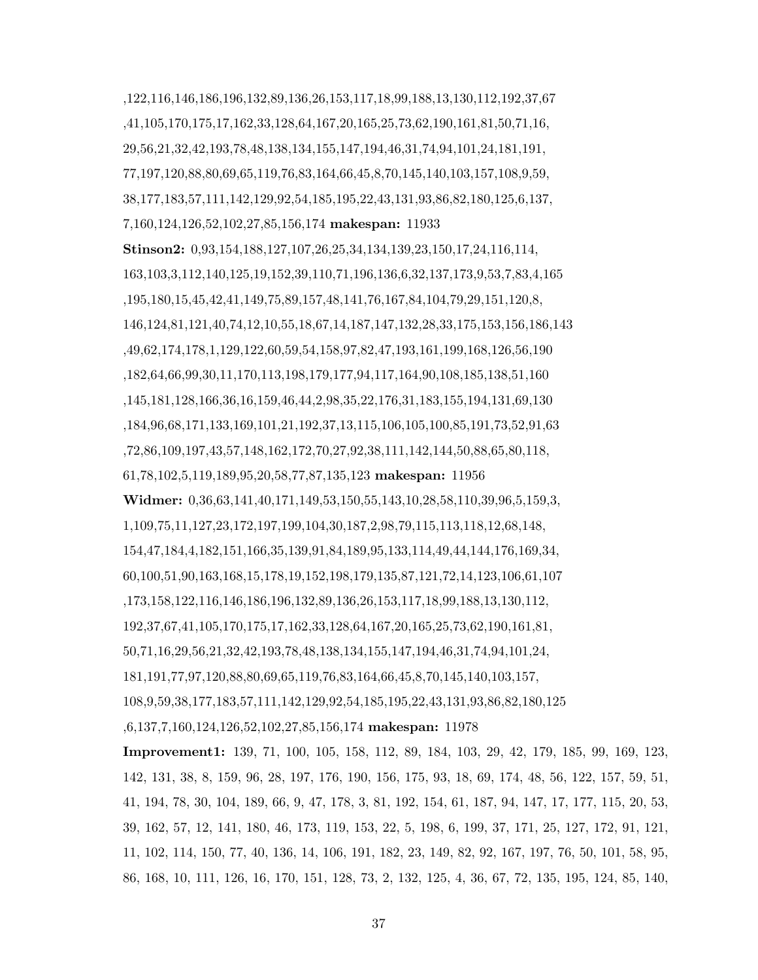,122,116,146,186,196,132,89,136,26,153,117,18,99,188,13,130,112,192,37,67 ,41,105,170,175,17,162,33,128,64,167,20,165,25,73,62,190,161,81,50,71,16, 29,56,21,32,42,193,78,48,138,134,155,147,194,46,31,74,94,101,24,181,191, 77,197,120,88,80,69,65,119,76,83,164,66,45,8,70,145,140,103,157,108,9,59, 38,177,183,57,111,142,129,92,54,185,195,22,43,131,93,86,82,180,125,6,137, 7,160,124,126,52,102,27,85,156,174 makespan: 11933 Stinson2: 0,93,154,188,127,107,26,25,34,134,139,23,150,17,24,116,114, 163,103,3,112,140,125,19,152,39,110,71,196,136,6,32,137,173,9,53,7,83,4,165 ,195,180,15,45,42,41,149,75,89,157,48,141,76,167,84,104,79,29,151,120,8, 146,124,81,121,40,74,12,10,55,18,67,14,187,147,132,28,33,175,153,156,186,143 ,49,62,174,178,1,129,122,60,59,54,158,97,82,47,193,161,199,168,126,56,190 ,182,64,66,99,30,11,170,113,198,179,177,94,117,164,90,108,185,138,51,160 ,145,181,128,166,36,16,159,46,44,2,98,35,22,176,31,183,155,194,131,69,130 ,184,96,68,171,133,169,101,21,192,37,13,115,106,105,100,85,191,73,52,91,63 ,72,86,109,197,43,57,148,162,172,70,27,92,38,111,142,144,50,88,65,80,118, 61,78,102,5,119,189,95,20,58,77,87,135,123 makespan: 11956 Widmer: 0,36,63,141,40,171,149,53,150,55,143,10,28,58,110,39,96,5,159,3, 1,109,75,11,127,23,172,197,199,104,30,187,2,98,79,115,113,118,12,68,148, 154,47,184,4,182,151,166,35,139,91,84,189,95,133,114,49,44,144,176,169,34, 60,100,51,90,163,168,15,178,19,152,198,179,135,87,121,72,14,123,106,61,107 ,173,158,122,116,146,186,196,132,89,136,26,153,117,18,99,188,13,130,112, 192,37,67,41,105,170,175,17,162,33,128,64,167,20,165,25,73,62,190,161,81, 50,71,16,29,56,21,32,42,193,78,48,138,134,155,147,194,46,31,74,94,101,24, 181,191,77,97,120,88,80,69,65,119,76,83,164,66,45,8,70,145,140,103,157, 108,9,59,38,177,183,57,111,142,129,92,54,185,195,22,43,131,93,86,82,180,125 ,6,137,7,160,124,126,52,102,27,85,156,174 makespan: 11978 Improvement1: 139, 71, 100, 105, 158, 112, 89, 184, 103, 29, 42, 179, 185, 99, 169, 123, 142, 131, 38, 8, 159, 96, 28, 197, 176, 190, 156, 175, 93, 18, 69, 174, 48, 56, 122, 157, 59, 51, 41, 194, 78, 30, 104, 189, 66, 9, 47, 178, 3, 81, 192, 154, 61, 187, 94, 147, 17, 177, 115, 20, 53,

39, 162, 57, 12, 141, 180, 46, 173, 119, 153, 22, 5, 198, 6, 199, 37, 171, 25, 127, 172, 91, 121, 11, 102, 114, 150, 77, 40, 136, 14, 106, 191, 182, 23, 149, 82, 92, 167, 197, 76, 50, 101, 58, 95, 86, 168, 10, 111, 126, 16, 170, 151, 128, 73, 2, 132, 125, 4, 36, 67, 72, 135, 195, 124, 85, 140,

37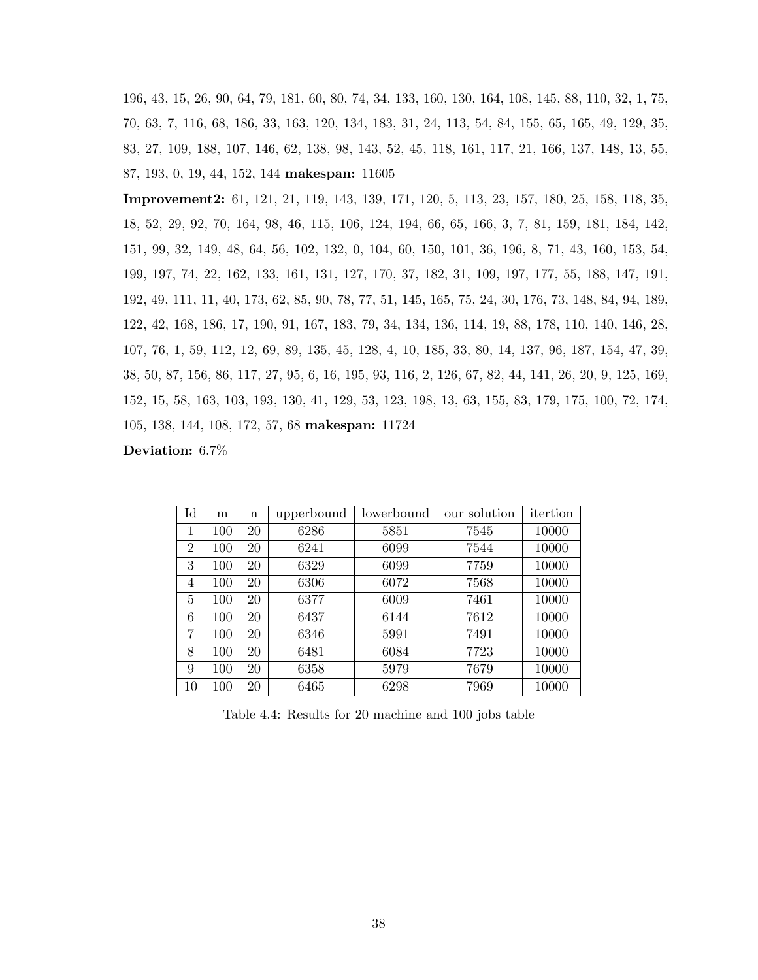196, 43, 15, 26, 90, 64, 79, 181, 60, 80, 74, 34, 133, 160, 130, 164, 108, 145, 88, 110, 32, 1, 75, 70, 63, 7, 116, 68, 186, 33, 163, 120, 134, 183, 31, 24, 113, 54, 84, 155, 65, 165, 49, 129, 35, 83, 27, 109, 188, 107, 146, 62, 138, 98, 143, 52, 45, 118, 161, 117, 21, 166, 137, 148, 13, 55, 87, 193, 0, 19, 44, 152, 144 makespan: 11605

Improvement2: 61, 121, 21, 119, 143, 139, 171, 120, 5, 113, 23, 157, 180, 25, 158, 118, 35, 18, 52, 29, 92, 70, 164, 98, 46, 115, 106, 124, 194, 66, 65, 166, 3, 7, 81, 159, 181, 184, 142, 151, 99, 32, 149, 48, 64, 56, 102, 132, 0, 104, 60, 150, 101, 36, 196, 8, 71, 43, 160, 153, 54, 199, 197, 74, 22, 162, 133, 161, 131, 127, 170, 37, 182, 31, 109, 197, 177, 55, 188, 147, 191, 192, 49, 111, 11, 40, 173, 62, 85, 90, 78, 77, 51, 145, 165, 75, 24, 30, 176, 73, 148, 84, 94, 189, 122, 42, 168, 186, 17, 190, 91, 167, 183, 79, 34, 134, 136, 114, 19, 88, 178, 110, 140, 146, 28, 107, 76, 1, 59, 112, 12, 69, 89, 135, 45, 128, 4, 10, 185, 33, 80, 14, 137, 96, 187, 154, 47, 39, 38, 50, 87, 156, 86, 117, 27, 95, 6, 16, 195, 93, 116, 2, 126, 67, 82, 44, 141, 26, 20, 9, 125, 169, 152, 15, 58, 163, 103, 193, 130, 41, 129, 53, 123, 198, 13, 63, 155, 83, 179, 175, 100, 72, 174, 105, 138, 144, 108, 172, 57, 68 makespan: 11724

Deviation: 6.7%

| Id | m   | n  | upperbound | lowerbound | our solution | itertion |
|----|-----|----|------------|------------|--------------|----------|
| 1  | 100 | 20 | 6286       | 5851       | 7545         | 10000    |
| 2  | 100 | 20 | 6241       | 6099       | 7544         | 10000    |
| 3  | 100 | 20 | 6329       | 6099       | 7759         | 10000    |
| 4  | 100 | 20 | 6306       | 6072       | 7568         | 10000    |
| 5  | 100 | 20 | 6377       | 6009       | 7461         | 10000    |
| 6  | 100 | 20 | 6437       | 6144       | 7612         | 10000    |
| 7  | 100 | 20 | 6346       | 5991       | 7491         | 10000    |
| 8  | 100 | 20 | 6481       | 6084       | 7723         | 10000    |
| 9  | 100 | 20 | 6358       | 5979       | 7679         | 10000    |
| 10 | 100 | 20 | 6465       | 6298       | 7969         | 10000    |

Table 4.4: Results for 20 machine and 100 jobs table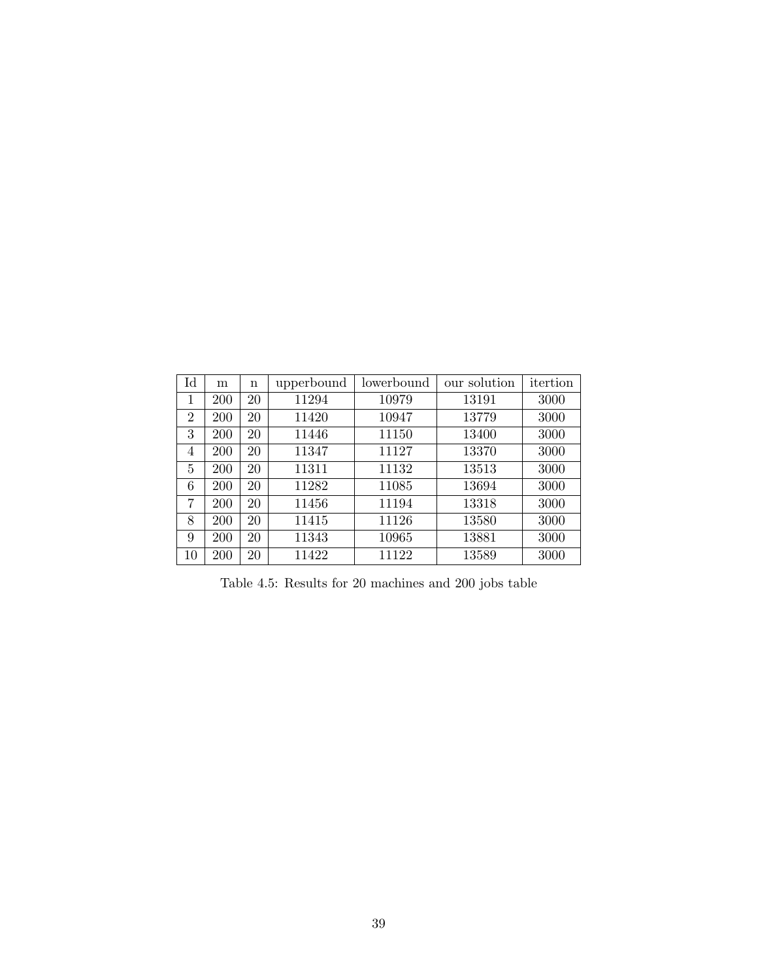| Id             | m   | n  | upperbound | lowerbound | our solution | itertion |
|----------------|-----|----|------------|------------|--------------|----------|
| 1              | 200 | 20 | 11294      | 10979      | 13191        | 3000     |
| $\overline{2}$ | 200 | 20 | 11420      | 10947      | 13779        | 3000     |
| 3              | 200 | 20 | 11446      | 11150      | 13400        | 3000     |
| 4              | 200 | 20 | 11347      | 11127      | 13370        | 3000     |
| 5              | 200 | 20 | 11311      | 11132      | 13513        | 3000     |
| 6              | 200 | 20 | 11282      | 11085      | 13694        | 3000     |
| 7              | 200 | 20 | 11456      | 11194      | 13318        | 3000     |
| 8              | 200 | 20 | 11415      | 11126      | 13580        | 3000     |
| 9              | 200 | 20 | 11343      | 10965      | 13881        | 3000     |
| 10             | 200 | 20 | 11422      | 11122      | 13589        | 3000     |

Table 4.5: Results for 20 machines and 200 jobs table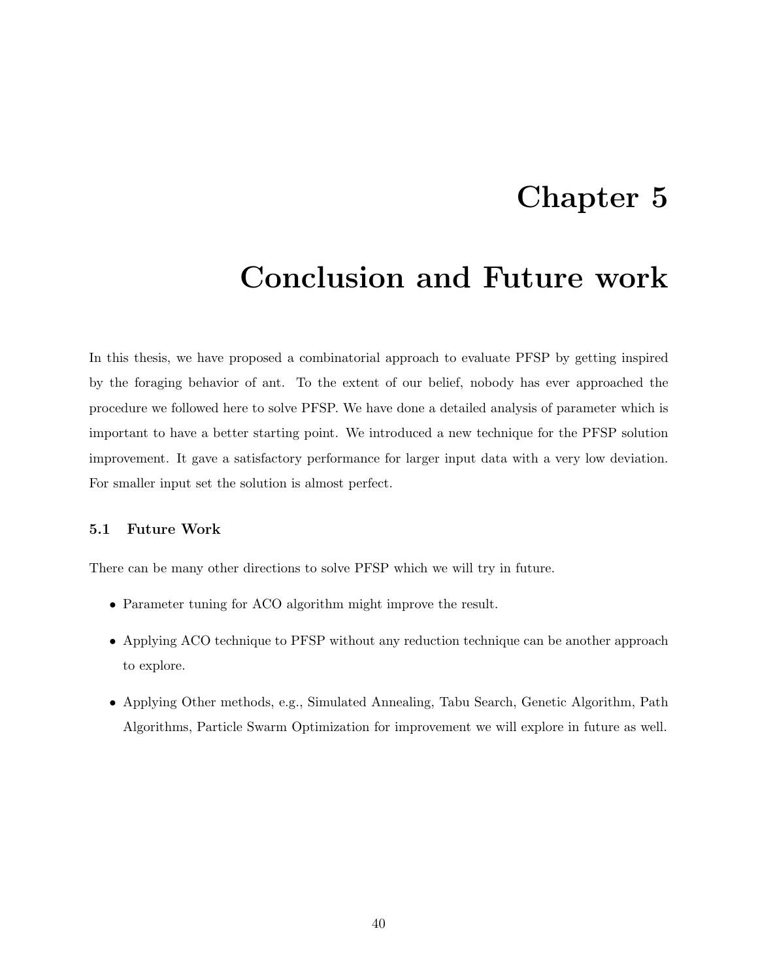### Chapter 5

### Conclusion and Future work

In this thesis, we have proposed a combinatorial approach to evaluate PFSP by getting inspired by the foraging behavior of ant. To the extent of our belief, nobody has ever approached the procedure we followed here to solve PFSP. We have done a detailed analysis of parameter which is important to have a better starting point. We introduced a new technique for the PFSP solution improvement. It gave a satisfactory performance for larger input data with a very low deviation. For smaller input set the solution is almost perfect.

#### 5.1 Future Work

There can be many other directions to solve PFSP which we will try in future.

- Parameter tuning for ACO algorithm might improve the result.
- Applying ACO technique to PFSP without any reduction technique can be another approach to explore.
- Applying Other methods, e.g., Simulated Annealing, Tabu Search, Genetic Algorithm, Path Algorithms, Particle Swarm Optimization for improvement we will explore in future as well.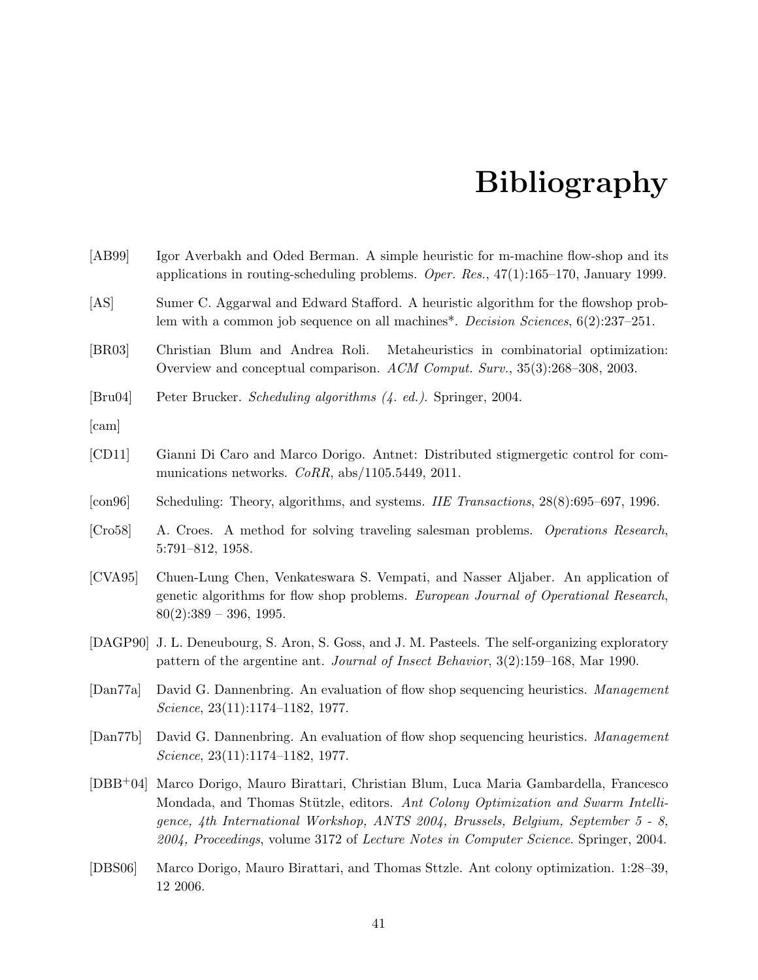### Bibliography

| [AB99]                       | Igor Averbakh and Oded Berman. A simple heuristic for m-machine flow-shop and its<br>applications in routing-scheduling problems. Oper. Res., $47(1):165-170$ , January 1999.                       |  |  |  |  |  |
|------------------------------|-----------------------------------------------------------------------------------------------------------------------------------------------------------------------------------------------------|--|--|--|--|--|
| [AS]                         | Sumer C. Aggarwal and Edward Stafford. A heuristic algorithm for the flowshop prob-<br>lem with a common job sequence on all machines <sup>*</sup> . <i>Decision Sciences</i> , $6(2):237-251$ .    |  |  |  |  |  |
| [BR03]                       | Metaheuristics in combinatorial optimization:<br>Christian Blum and Andrea Roli.<br>Overview and conceptual comparison. ACM Comput. Surv., 35(3):268–308, 2003.                                     |  |  |  |  |  |
| $\left[\text{Bru04}\right]$  | Peter Brucker. Scheduling algorithms (4. ed.). Springer, 2004.                                                                                                                                      |  |  |  |  |  |
| $\lceil \text{cam} \rceil$   |                                                                                                                                                                                                     |  |  |  |  |  |
| [CD11]                       | Gianni Di Caro and Marco Dorigo. Antnet: Distributed stigmergetic control for com-<br>munications networks. $CoRR$ , abs/1105.5449, 2011.                                                           |  |  |  |  |  |
| $\lceil \text{con96} \rceil$ | Scheduling: Theory, algorithms, and systems. IIE Transactions, 28(8):695–697, 1996.                                                                                                                 |  |  |  |  |  |
| [Cro58]                      | A. Croes. A method for solving traveling salesman problems. Operations Research,<br>$5:791-812, 1958.$                                                                                              |  |  |  |  |  |
| [CVA95]                      | Chuen-Lung Chen, Venkateswara S. Vempati, and Nasser Aljaber. An application of<br>genetic algorithms for flow shop problems. European Journal of Operational Research,<br>$80(2):389 - 396, 1995.$ |  |  |  |  |  |
|                              | [DAGP90] J. L. Deneubourg, S. Aron, S. Goss, and J. M. Pasteels. The self-organizing exploratory<br>pattern of the argentine ant. Journal of Insect Behavior, 3(2):159–168, Mar 1990.               |  |  |  |  |  |
| $\left[\text{Dan77a}\right]$ | David G. Dannenbring. An evaluation of flow shop sequencing heuristics. Management                                                                                                                  |  |  |  |  |  |

[Dan77b] David G. Dannenbring. An evaluation of flow shop sequencing heuristics. Management Science, 23(11):1174–1182, 1977.

Science, 23(11):1174–1182, 1977.

- [DBB+04] Marco Dorigo, Mauro Birattari, Christian Blum, Luca Maria Gambardella, Francesco Mondada, and Thomas Stützle, editors. Ant Colony Optimization and Swarm Intelligence, 4th International Workshop, ANTS 2004, Brussels, Belgium, September 5 - 8, 2004, Proceedings, volume 3172 of Lecture Notes in Computer Science. Springer, 2004.
- [DBS06] Marco Dorigo, Mauro Birattari, and Thomas Sttzle. Ant colony optimization. 1:28–39, 12 2006.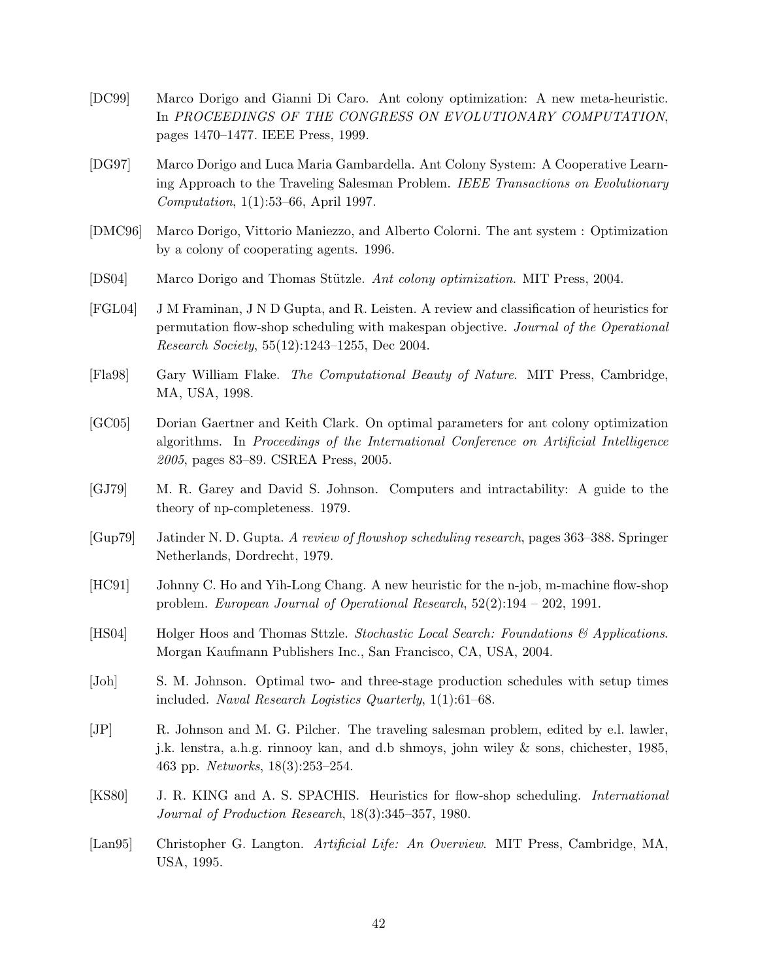- [DC99] Marco Dorigo and Gianni Di Caro. Ant colony optimization: A new meta-heuristic. In PROCEEDINGS OF THE CONGRESS ON EVOLUTIONARY COMPUTATION, pages 1470–1477. IEEE Press, 1999.
- [DG97] Marco Dorigo and Luca Maria Gambardella. Ant Colony System: A Cooperative Learning Approach to the Traveling Salesman Problem. IEEE Transactions on Evolutionary Computation, 1(1):53–66, April 1997.
- [DMC96] Marco Dorigo, Vittorio Maniezzo, and Alberto Colorni. The ant system : Optimization by a colony of cooperating agents. 1996.
- [DS04] Marco Dorigo and Thomas Stützle. Ant colony optimization. MIT Press, 2004.
- [FGL04] J M Framinan, J N D Gupta, and R. Leisten. A review and classification of heuristics for permutation flow-shop scheduling with makespan objective. Journal of the Operational Research Society, 55(12):1243–1255, Dec 2004.
- [Fla98] Gary William Flake. The Computational Beauty of Nature. MIT Press, Cambridge, MA, USA, 1998.
- [GC05] Dorian Gaertner and Keith Clark. On optimal parameters for ant colony optimization algorithms. In Proceedings of the International Conference on Artificial Intelligence 2005, pages 83–89. CSREA Press, 2005.
- [GJ79] M. R. Garey and David S. Johnson. Computers and intractability: A guide to the theory of np-completeness. 1979.
- [Gup79] Jatinder N. D. Gupta. A review of flowshop scheduling research, pages 363–388. Springer Netherlands, Dordrecht, 1979.
- [HC91] Johnny C. Ho and Yih-Long Chang. A new heuristic for the n-job, m-machine flow-shop problem. European Journal of Operational Research,  $52(2):194 - 202$ , 1991.
- [HS04] Holger Hoos and Thomas Sttzle. Stochastic Local Search: Foundations & Applications. Morgan Kaufmann Publishers Inc., San Francisco, CA, USA, 2004.
- [Joh] S. M. Johnson. Optimal two- and three-stage production schedules with setup times included. Naval Research Logistics Quarterly, 1(1):61–68.
- [JP] R. Johnson and M. G. Pilcher. The traveling salesman problem, edited by e.l. lawler, j.k. lenstra, a.h.g. rinnooy kan, and d.b shmoys, john wiley & sons, chichester, 1985, 463 pp. Networks, 18(3):253–254.
- [KS80] J. R. KING and A. S. SPACHIS. Heuristics for flow-shop scheduling. International Journal of Production Research, 18(3):345–357, 1980.
- [Lan95] Christopher G. Langton. Artificial Life: An Overview. MIT Press, Cambridge, MA, USA, 1995.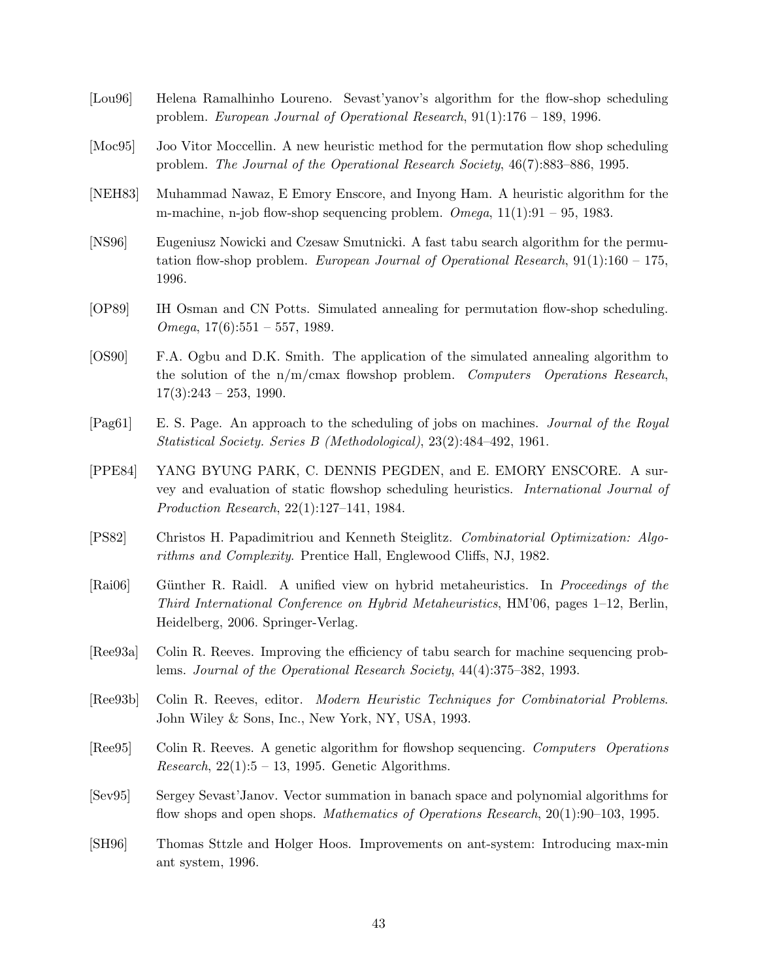- [Lou96] Helena Ramalhinho Loureno. Sevast'yanov's algorithm for the flow-shop scheduling problem. European Journal of Operational Research,  $91(1):176-189$ , 1996.
- [Moc95] Joo Vitor Moccellin. A new heuristic method for the permutation flow shop scheduling problem. The Journal of the Operational Research Society, 46(7):883–886, 1995.
- [NEH83] Muhammad Nawaz, E Emory Enscore, and Inyong Ham. A heuristic algorithm for the m-machine, n-job flow-shop sequencing problem.  $Omega, 11(1):91 - 95, 1983$ .
- [NS96] Eugeniusz Nowicki and Czesaw Smutnicki. A fast tabu search algorithm for the permutation flow-shop problem. European Journal of Operational Research,  $91(1):160 - 175$ , 1996.
- [OP89] IH Osman and CN Potts. Simulated annealing for permutation flow-shop scheduling. Omega,  $17(6):551 - 557$ , 1989.
- [OS90] F.A. Ogbu and D.K. Smith. The application of the simulated annealing algorithm to the solution of the  $n/m/cmax$  flowshop problem. Computers Operations Research,  $17(3):243 - 253, 1990.$
- [Pag61] E. S. Page. An approach to the scheduling of jobs on machines. Journal of the Royal Statistical Society. Series B (Methodological), 23(2):484–492, 1961.
- [PPE84] YANG BYUNG PARK, C. DENNIS PEGDEN, and E. EMORY ENSCORE. A survey and evaluation of static flowshop scheduling heuristics. International Journal of Production Research, 22(1):127–141, 1984.
- [PS82] Christos H. Papadimitriou and Kenneth Steiglitz. Combinatorial Optimization: Algorithms and Complexity. Prentice Hall, Englewood Cliffs, NJ, 1982.
- [Rai06] Günther R. Raidl. A unified view on hybrid metaheuristics. In Proceedings of the Third International Conference on Hybrid Metaheuristics, HM'06, pages 1–12, Berlin, Heidelberg, 2006. Springer-Verlag.
- [Ree93a] Colin R. Reeves. Improving the efficiency of tabu search for machine sequencing problems. Journal of the Operational Research Society, 44(4):375–382, 1993.
- [Ree93b] Colin R. Reeves, editor. Modern Heuristic Techniques for Combinatorial Problems. John Wiley & Sons, Inc., New York, NY, USA, 1993.
- [Ree95] Colin R. Reeves. A genetic algorithm for flowshop sequencing. Computers Operations *Research*,  $22(1):5 - 13$ , 1995. Genetic Algorithms.
- [Sev95] Sergey Sevast'Janov. Vector summation in banach space and polynomial algorithms for flow shops and open shops. Mathematics of Operations Research, 20(1):90–103, 1995.
- [SH96] Thomas Sttzle and Holger Hoos. Improvements on ant-system: Introducing max-min ant system, 1996.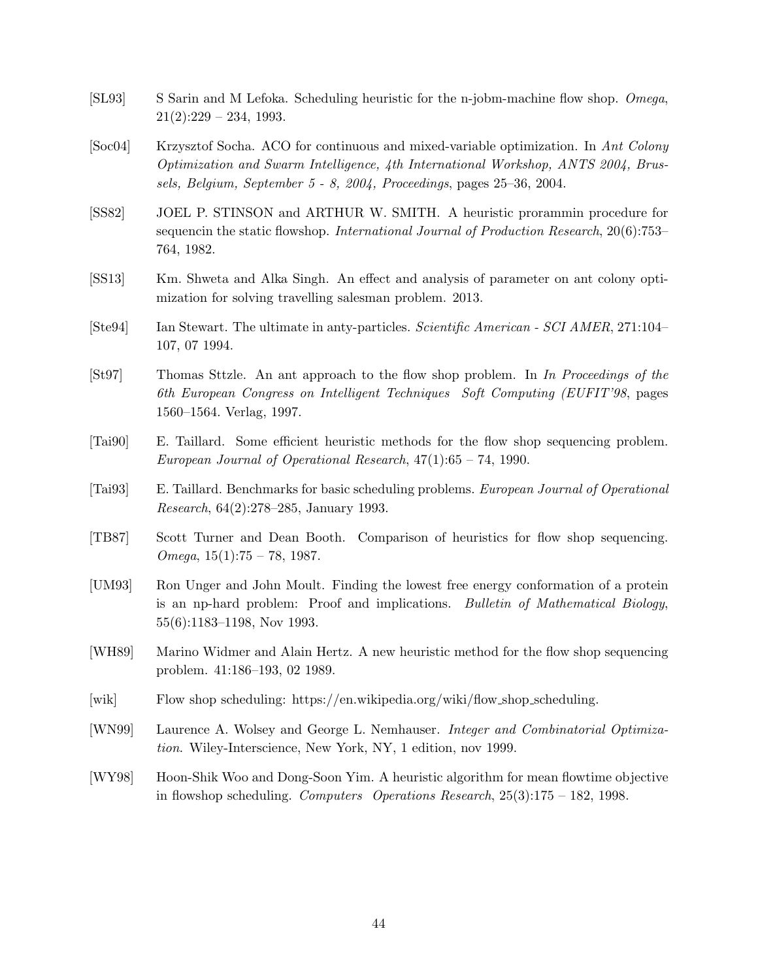- [SL93] S Sarin and M Lefoka. Scheduling heuristic for the n-jobm-machine flow shop. Omega,  $21(2):229 - 234, 1993.$
- [Soc04] Krzysztof Socha. ACO for continuous and mixed-variable optimization. In Ant Colony Optimization and Swarm Intelligence, 4th International Workshop, ANTS 2004, Brussels, Belgium, September 5 - 8, 2004, Proceedings, pages 25–36, 2004.
- [SS82] JOEL P. STINSON and ARTHUR W. SMITH. A heuristic prorammin procedure for sequencin the static flowshop. *International Journal of Production Research*, 20(6):753– 764, 1982.
- [SS13] Km. Shweta and Alka Singh. An effect and analysis of parameter on ant colony optimization for solving travelling salesman problem. 2013.
- [Ste94] Ian Stewart. The ultimate in anty-particles. Scientific American SCI AMER, 271:104– 107, 07 1994.
- [St97] Thomas Sttzle. An ant approach to the flow shop problem. In In Proceedings of the 6th European Congress on Intelligent Techniques Soft Computing (EUFIT'98, pages 1560–1564. Verlag, 1997.
- [Tai90] E. Taillard. Some efficient heuristic methods for the flow shop sequencing problem. European Journal of Operational Research, 47(1):65 – 74, 1990.
- [Tai93] E. Taillard. Benchmarks for basic scheduling problems. European Journal of Operational Research, 64(2):278–285, January 1993.
- [TB87] Scott Turner and Dean Booth. Comparison of heuristics for flow shop sequencing.  $Omega, 15(1):75 - 78, 1987.$
- [UM93] Ron Unger and John Moult. Finding the lowest free energy conformation of a protein is an np-hard problem: Proof and implications. Bulletin of Mathematical Biology, 55(6):1183–1198, Nov 1993.
- [WH89] Marino Widmer and Alain Hertz. A new heuristic method for the flow shop sequencing problem. 41:186–193, 02 1989.
- [wik] Flow shop scheduling: https://en.wikipedia.org/wiki/flow shop scheduling.
- [WN99] Laurence A. Wolsey and George L. Nemhauser. Integer and Combinatorial Optimization. Wiley-Interscience, New York, NY, 1 edition, nov 1999.
- [WY98] Hoon-Shik Woo and Dong-Soon Yim. A heuristic algorithm for mean flowtime objective in flowshop scheduling. Computers Operations Research, 25(3):175 – 182, 1998.